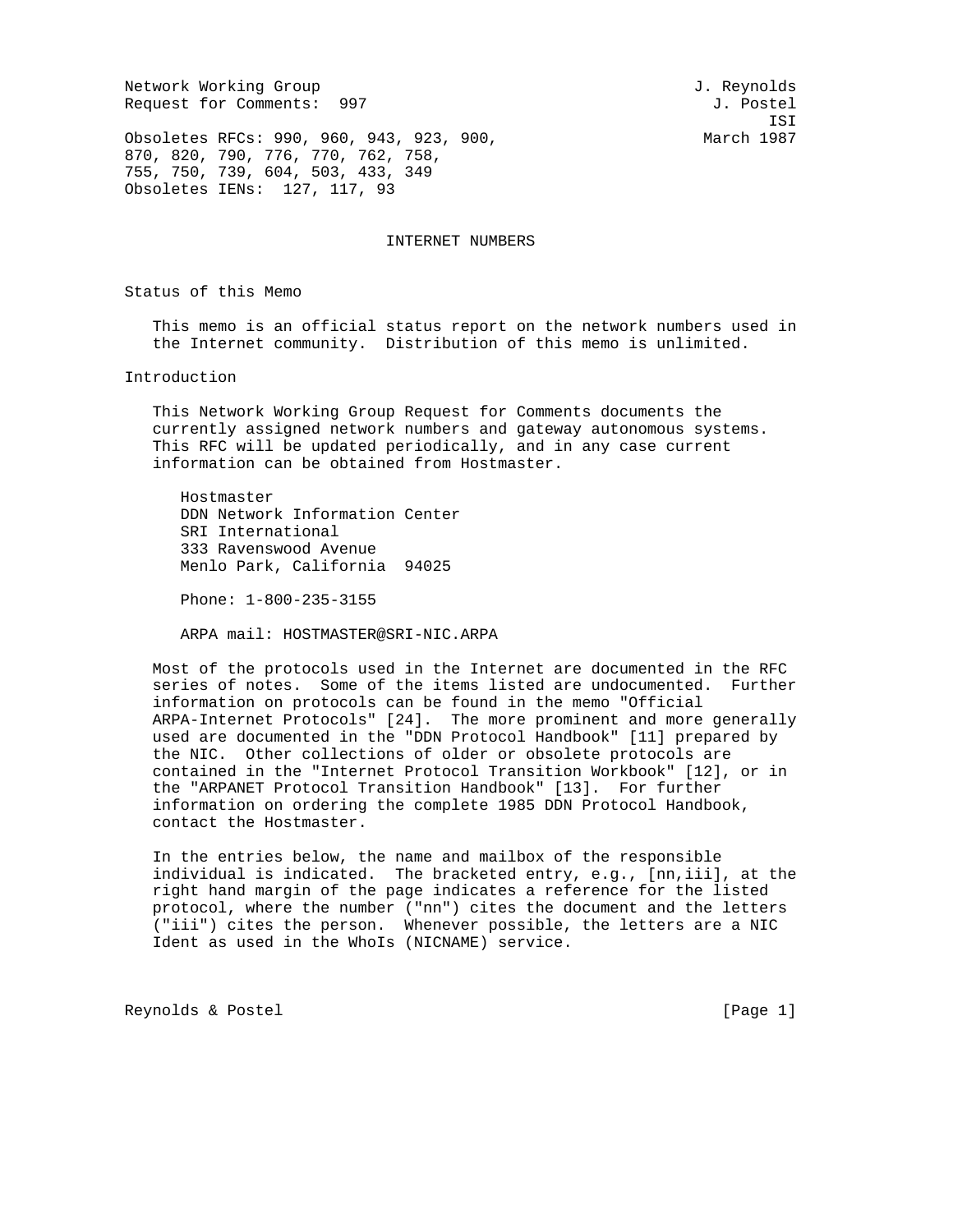Network Working Group and Services and Services and J. Reynolds Request for Comments: 997 J. Postel

ISI

Obsoletes RFCs: 990, 960, 943, 923, 900, March 1987 870, 820, 790, 776, 770, 762, 758, 755, 750, 739, 604, 503, 433, 349 Obsoletes IENs: 127, 117, 93

INTERNET NUMBERS

Status of this Memo

 This memo is an official status report on the network numbers used in the Internet community. Distribution of this memo is unlimited.

Introduction

 This Network Working Group Request for Comments documents the currently assigned network numbers and gateway autonomous systems. This RFC will be updated periodically, and in any case current information can be obtained from Hostmaster.

 Hostmaster DDN Network Information Center SRI International 333 Ravenswood Avenue Menlo Park, California 94025

Phone: 1-800-235-3155

ARPA mail: HOSTMASTER@SRI-NIC.ARPA

 Most of the protocols used in the Internet are documented in the RFC series of notes. Some of the items listed are undocumented. Further information on protocols can be found in the memo "Official ARPA-Internet Protocols" [24]. The more prominent and more generally used are documented in the "DDN Protocol Handbook" [11] prepared by the NIC. Other collections of older or obsolete protocols are contained in the "Internet Protocol Transition Workbook" [12], or in the "ARPANET Protocol Transition Handbook" [13]. For further information on ordering the complete 1985 DDN Protocol Handbook, contact the Hostmaster.

 In the entries below, the name and mailbox of the responsible individual is indicated. The bracketed entry, e.g., [nn,iii], at the right hand margin of the page indicates a reference for the listed protocol, where the number ("nn") cites the document and the letters ("iii") cites the person. Whenever possible, the letters are a NIC Ident as used in the WhoIs (NICNAME) service.

Reynolds & Postel [Page 1]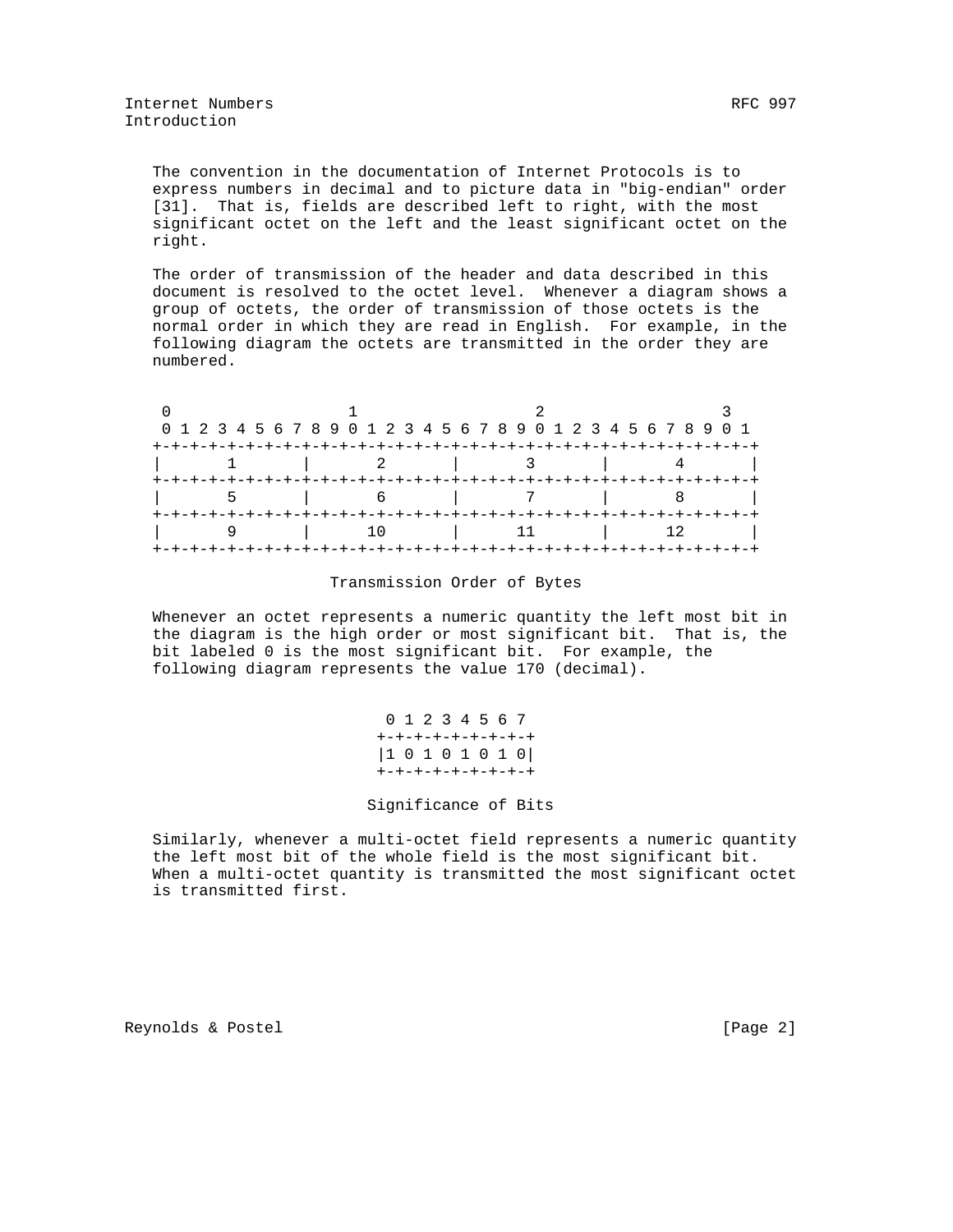The convention in the documentation of Internet Protocols is to express numbers in decimal and to picture data in "big-endian" order [31]. That is, fields are described left to right, with the most significant octet on the left and the least significant octet on the right.

 The order of transmission of the header and data described in this document is resolved to the octet level. Whenever a diagram shows a group of octets, the order of transmission of those octets is the normal order in which they are read in English. For example, in the following diagram the octets are transmitted in the order they are numbered.

|  | 0 1 2 3 4 5 6 7 8 9 0 1 2 3 4 5 6 7 8 9 0 1 2 3 4 5 6 7 8 9 0 1 |  |
|--|-----------------------------------------------------------------|--|
|  |                                                                 |  |
|  |                                                                 |  |
|  |                                                                 |  |
|  |                                                                 |  |
|  |                                                                 |  |
|  |                                                                 |  |

## Transmission Order of Bytes

 Whenever an octet represents a numeric quantity the left most bit in the diagram is the high order or most significant bit. That is, the bit labeled 0 is the most significant bit. For example, the following diagram represents the value 170 (decimal).

> 0 1 2 3 4 5 6 7 +-+-+-+-+-+-+-+-+ |1 0 1 0 1 0 1 0| +-+-+-+-+-+-+-+-+

## Significance of Bits

 Similarly, whenever a multi-octet field represents a numeric quantity the left most bit of the whole field is the most significant bit. When a multi-octet quantity is transmitted the most significant octet is transmitted first.

Reynolds & Postel [Page 2]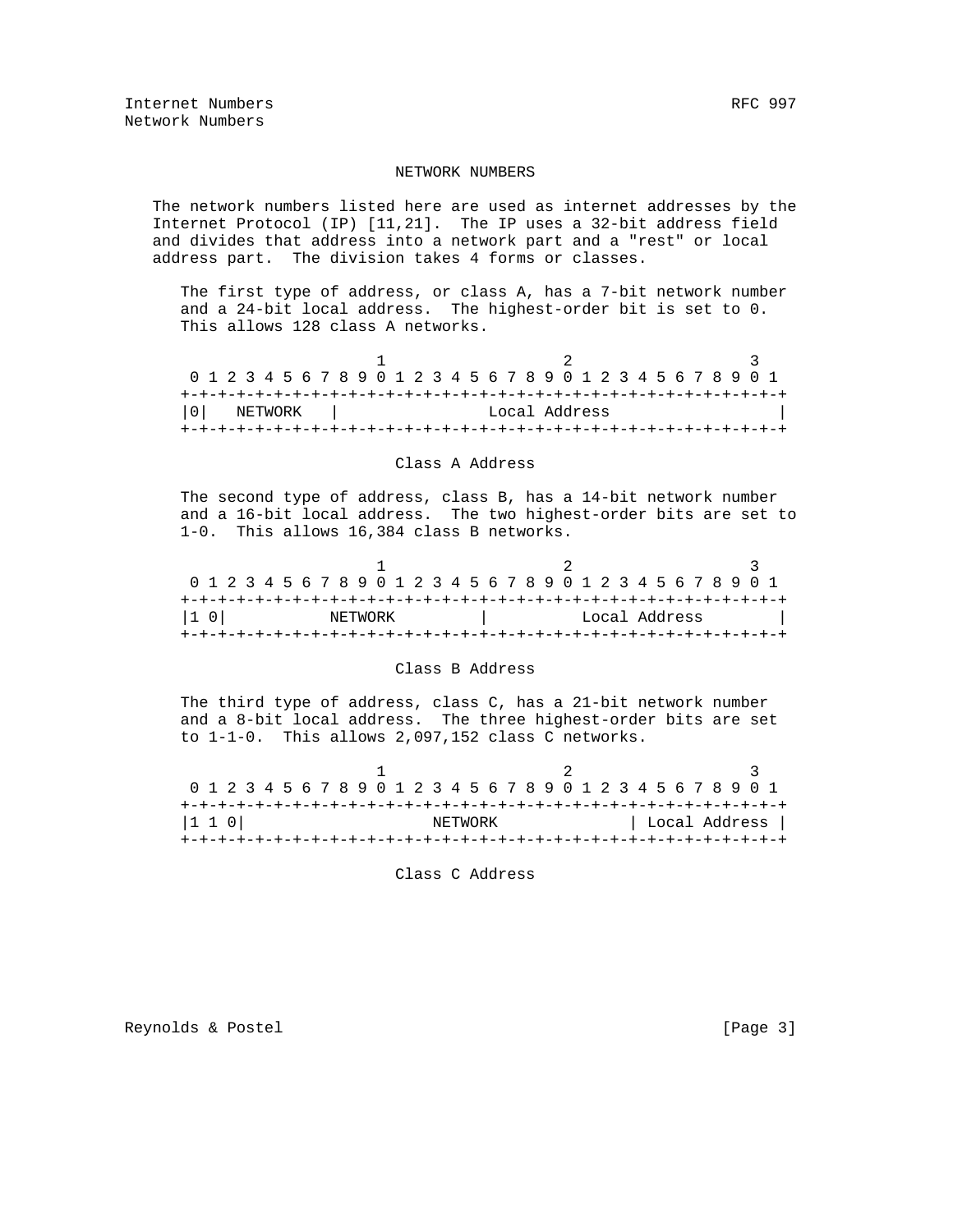## NETWORK NUMBERS

 The network numbers listed here are used as internet addresses by the Internet Protocol (IP) [11,21]. The IP uses a 32-bit address field and divides that address into a network part and a "rest" or local address part. The division takes 4 forms or classes.

 The first type of address, or class A, has a 7-bit network number and a 24-bit local address. The highest-order bit is set to 0. This allows 128 class A networks.

| 0 1 2 3 4 5 6 7 8 9 0 1 2 3 4 5 6 7 8 9 0 1 2 3 4 5 6 7 8 9 0 1 |         |  |  |  |  |  |  |  |  |               |  |  |  |  |  |  |
|-----------------------------------------------------------------|---------|--|--|--|--|--|--|--|--|---------------|--|--|--|--|--|--|
|                                                                 |         |  |  |  |  |  |  |  |  |               |  |  |  |  |  |  |
| l 0 l                                                           | NETWORK |  |  |  |  |  |  |  |  | Local Address |  |  |  |  |  |  |
|                                                                 |         |  |  |  |  |  |  |  |  |               |  |  |  |  |  |  |

## Class A Address

 The second type of address, class B, has a 14-bit network number and a 16-bit local address. The two highest-order bits are set to 1-0. This allows 16,384 class B networks.

| 0 1 2 3 4 5 6 7 8 9 0 1 2 3 4 5 6 7 8 9 0 1 2 3 4 5 6 7 8 9 0 1 |  |  |  |         |  |  |  |  |  |  |  |               |  |  |  |  |
|-----------------------------------------------------------------|--|--|--|---------|--|--|--|--|--|--|--|---------------|--|--|--|--|
|                                                                 |  |  |  |         |  |  |  |  |  |  |  |               |  |  |  |  |
| I1 OI                                                           |  |  |  | NETWORK |  |  |  |  |  |  |  | Local Address |  |  |  |  |
|                                                                 |  |  |  |         |  |  |  |  |  |  |  |               |  |  |  |  |

## Class B Address

 The third type of address, class C, has a 21-bit network number and a 8-bit local address. The three highest-order bits are set to 1-1-0. This allows 2,097,152 class C networks.

|       | 0 1 2 3 4 5 6 7 8 9 0 1 2 3 4 5 6 7 8 9 0 1 2 3 4 5 6 7 8 9 0 1 |  |  |  |  |  |  |         |  |  |  |  |  |  |  |  |               |
|-------|-----------------------------------------------------------------|--|--|--|--|--|--|---------|--|--|--|--|--|--|--|--|---------------|
|       |                                                                 |  |  |  |  |  |  |         |  |  |  |  |  |  |  |  |               |
| 1 1 0 |                                                                 |  |  |  |  |  |  | NETWORK |  |  |  |  |  |  |  |  | Local Address |
|       |                                                                 |  |  |  |  |  |  |         |  |  |  |  |  |  |  |  |               |

Class C Address

Reynolds & Postel **Example 20** (Page 3)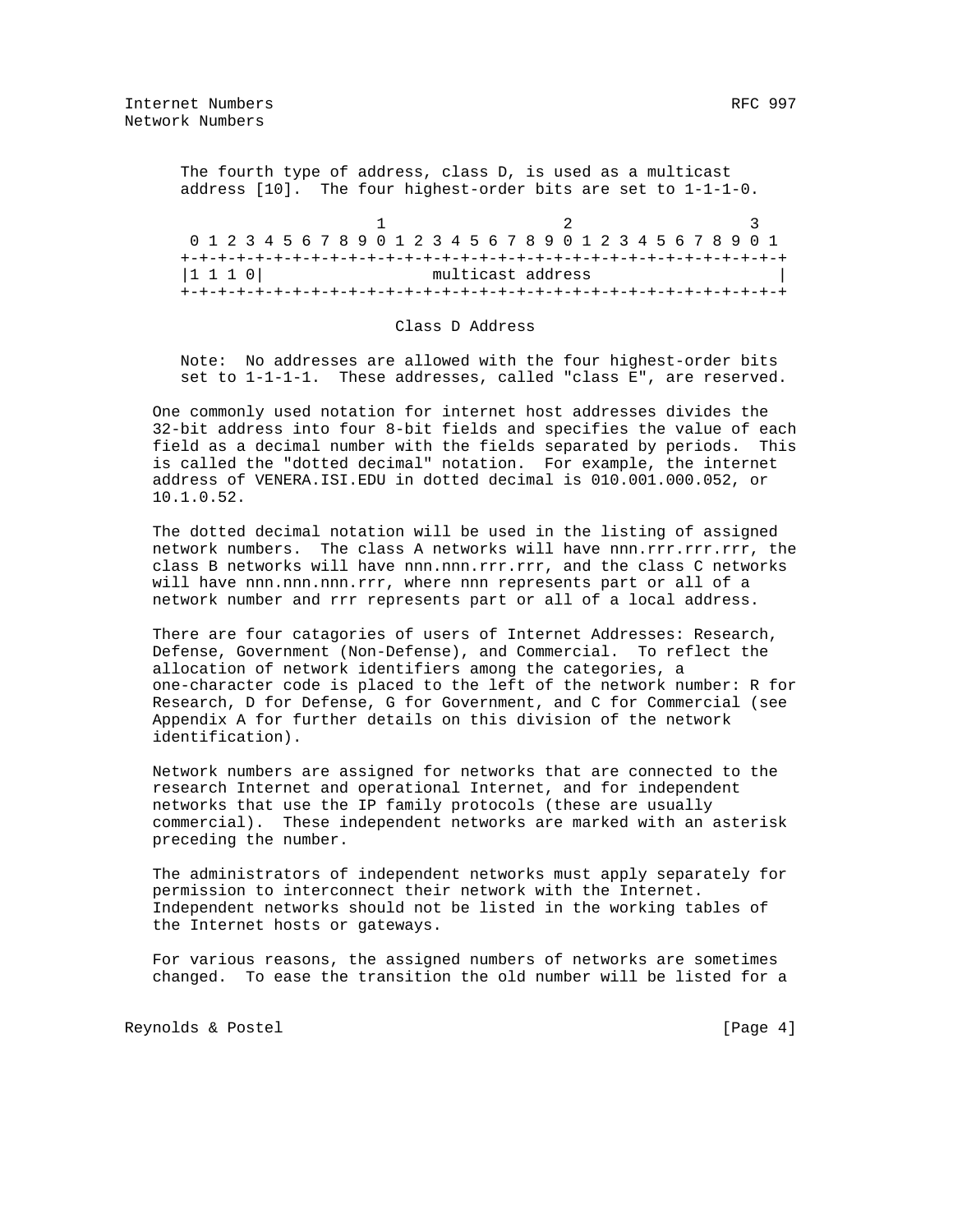The fourth type of address, class D, is used as a multicast address [10]. The four highest-order bits are set to 1-1-1-0.

| 0 1 2 3 4 5 6 7 8 9 0 1 2 3 4 5 6 7 8 9 0 1 2 3 4 5 6 7 8 9 0 1 |  |  |  |  |  |  |                   |  |  |  |  |  |  |  |  |
|-----------------------------------------------------------------|--|--|--|--|--|--|-------------------|--|--|--|--|--|--|--|--|
|                                                                 |  |  |  |  |  |  |                   |  |  |  |  |  |  |  |  |
| $ 1\;1\;1\;0 $                                                  |  |  |  |  |  |  | multicast address |  |  |  |  |  |  |  |  |
|                                                                 |  |  |  |  |  |  |                   |  |  |  |  |  |  |  |  |

### Class D Address

 Note: No addresses are allowed with the four highest-order bits set to 1-1-1-1. These addresses, called "class E", are reserved.

 One commonly used notation for internet host addresses divides the 32-bit address into four 8-bit fields and specifies the value of each field as a decimal number with the fields separated by periods. This is called the "dotted decimal" notation. For example, the internet address of VENERA.ISI.EDU in dotted decimal is 010.001.000.052, or 10.1.0.52.

 The dotted decimal notation will be used in the listing of assigned network numbers. The class A networks will have nnn.rrr.rrr.rrr, the class B networks will have nnn.nnn.rrr.rrr, and the class C networks will have nnn.nnn.nnn.rrr, where nnn represents part or all of a network number and rrr represents part or all of a local address.

 There are four catagories of users of Internet Addresses: Research, Defense, Government (Non-Defense), and Commercial. To reflect the allocation of network identifiers among the categories, a one-character code is placed to the left of the network number: R for Research, D for Defense, G for Government, and C for Commercial (see Appendix A for further details on this division of the network identification).

 Network numbers are assigned for networks that are connected to the research Internet and operational Internet, and for independent networks that use the IP family protocols (these are usually commercial). These independent networks are marked with an asterisk preceding the number.

 The administrators of independent networks must apply separately for permission to interconnect their network with the Internet. Independent networks should not be listed in the working tables of the Internet hosts or gateways.

 For various reasons, the assigned numbers of networks are sometimes changed. To ease the transition the old number will be listed for a

Reynolds & Postel **Example 20** (Page 4)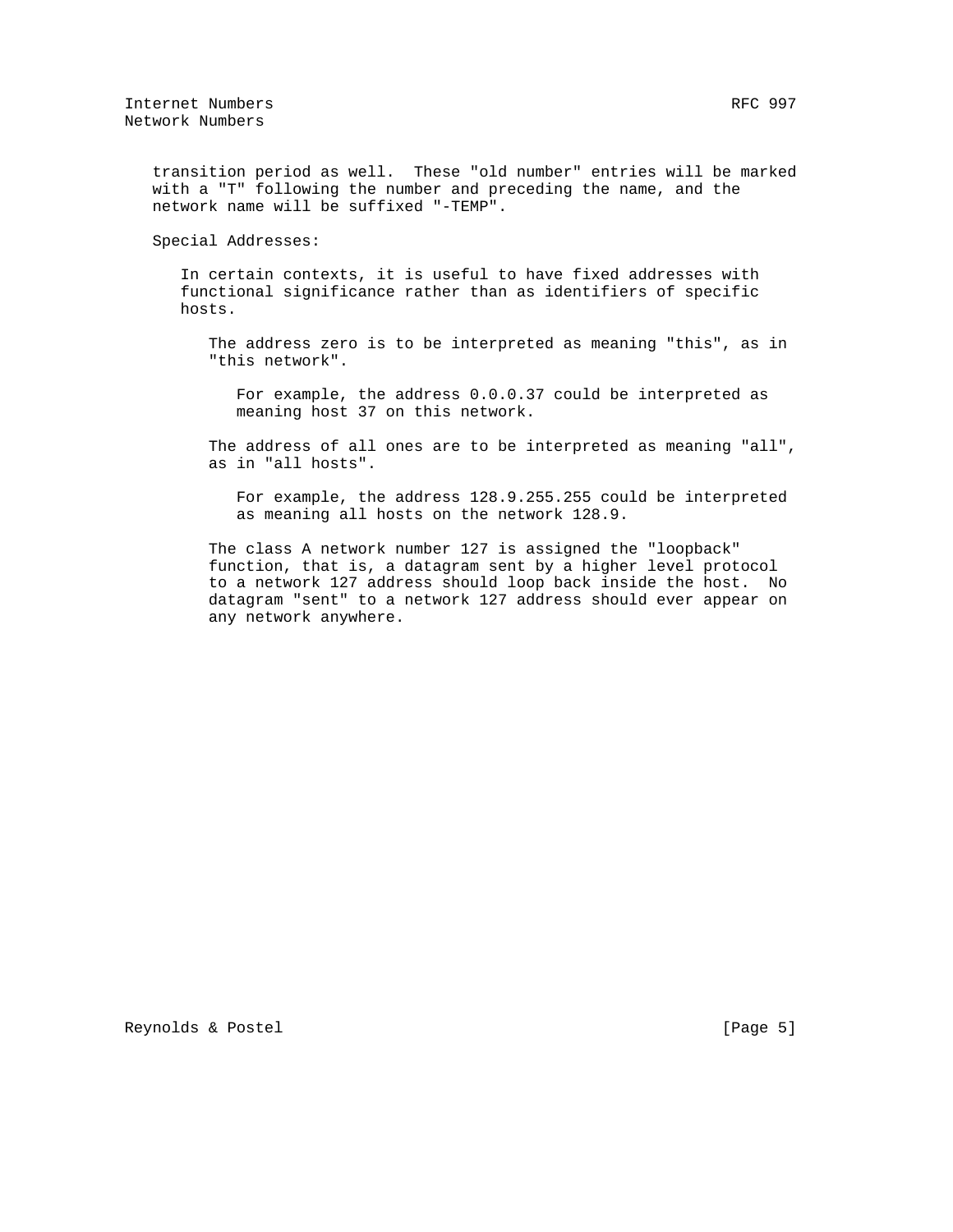transition period as well. These "old number" entries will be marked with a "T" following the number and preceding the name, and the network name will be suffixed "-TEMP".

Special Addresses:

 In certain contexts, it is useful to have fixed addresses with functional significance rather than as identifiers of specific hosts.

 The address zero is to be interpreted as meaning "this", as in "this network".

 For example, the address 0.0.0.37 could be interpreted as meaning host 37 on this network.

 The address of all ones are to be interpreted as meaning "all", as in "all hosts".

 For example, the address 128.9.255.255 could be interpreted as meaning all hosts on the network 128.9.

 The class A network number 127 is assigned the "loopback" function, that is, a datagram sent by a higher level protocol to a network 127 address should loop back inside the host. No datagram "sent" to a network 127 address should ever appear on any network anywhere.

Reynolds & Postel (Page 5)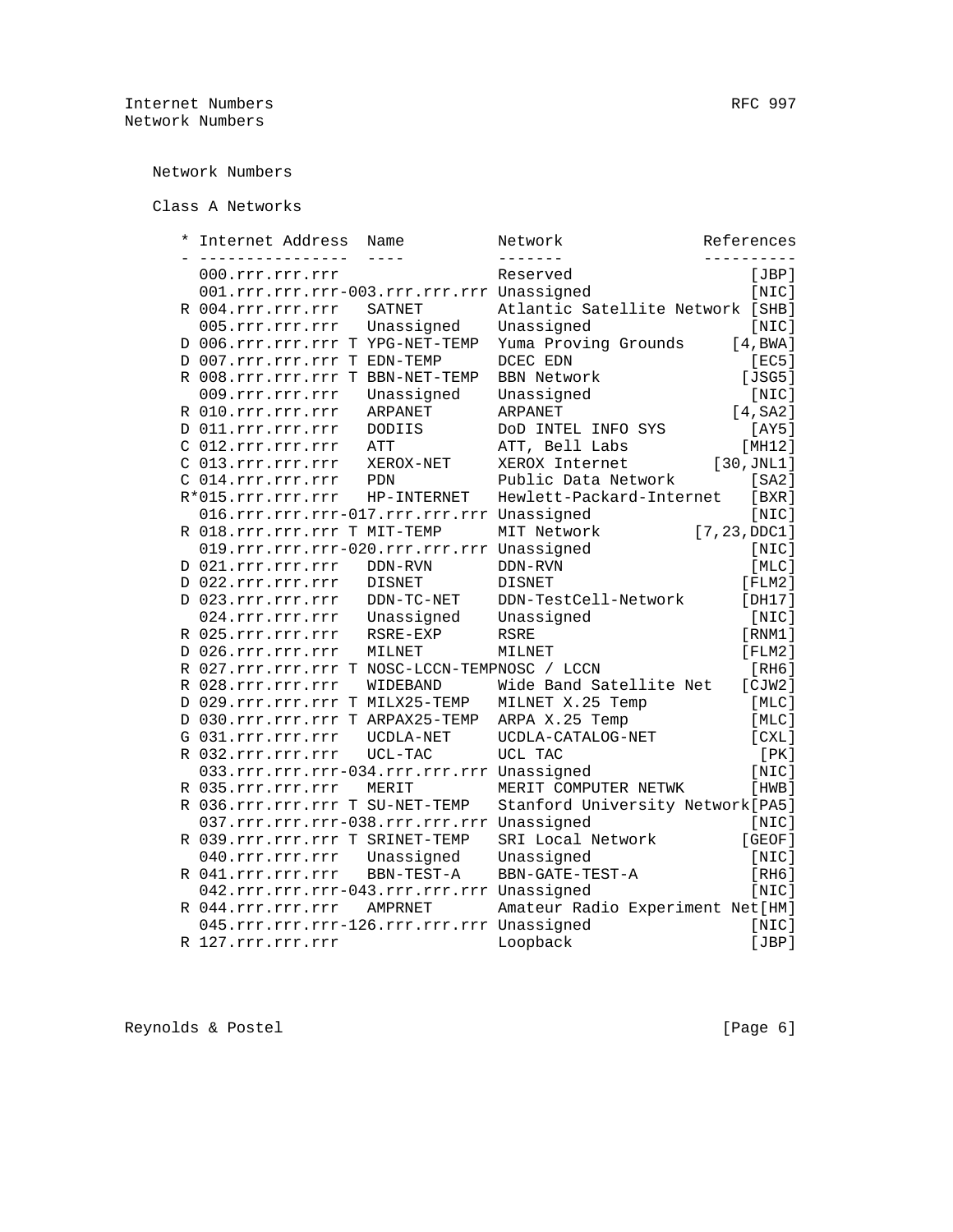Network Numbers

Class A Networks

| * | Internet Address                              | Name          | Network                           | References    |
|---|-----------------------------------------------|---------------|-----------------------------------|---------------|
|   | . _ _ _ _ _ _ _ _ _ _ _ _ _ _ _               |               |                                   |               |
|   | 000.rrr.rrr.rrr                               |               | Reserved                          | [JBP]         |
|   | 001.rrr.rrr.rrr-003.rrr.rrr.rrr Unassigned    |               |                                   | [NIC]         |
|   | R 004.rrr.rrr.rrr                             | SATNET        | Atlantic Satellite Network [SHB]  |               |
|   | 005.rrr.rrr.rrr                               | Unassigned    | Unassigned                        | [NIC]         |
|   | D 006.rrr.rrr.rrr T YPG-NET-TEMP              |               | Yuma Proving Grounds              | [4, BWA]      |
|   | D 007.rrr.rrr.rrr T EDN-TEMP                  |               | DCEC EDN                          | [EC5]         |
|   | R 008.rrr.rrr.rrr T BBN-NET-TEMP              |               | <b>BBN Network</b>                | [JSG5]        |
|   | 009.rrr.rrr.rrr                               | Unassigned    | Unassigned                        | [NIC]         |
|   | R 010.rrr.rrr.rrr                             | ARPANET       | ARPANET                           | $[4, S_A2]$   |
|   | D 011.rrr.rrr.rrr                             | <b>DODIIS</b> | DOD INTEL INFO SYS                | [AY5]         |
|   | C 012.rrr.rrr.rrr                             | ATT           | ATT, Bell Labs                    | [MH12]        |
|   | C 013.rrr.rrr.rrr                             | XEROX-NET     | XEROX Internet                    | [30, JNL1]    |
|   | C 014.rrr.rrr.rrr                             | PDN           | Public Data Network               | [SA2]         |
|   | R*015.rrr.rrr.rrr                             | HP-INTERNET   | Hewlett-Packard-Internet          | [BXR]         |
|   | 016.rrr.rrr.rrr-017.rrr.rrr.rrr Unassigned    |               |                                   | [NIC]         |
|   | R 018.rrr.rrr.rrr T MIT-TEMP                  |               | MIT Network                       | [7, 23, DDC1] |
|   | 019.rrr.rrr.rrr-020.rrr.rrr.rrr Unassigned    |               |                                   | [NIC]         |
|   | D 021.rrr.rrr.rrr                             | DDN-RVN       | DDN-RVN                           | [MLC]         |
|   | D 022.rrr.rrr.rrr                             | <b>DISNET</b> | <b>DISNET</b>                     | [FLM2]        |
|   | D 023.rrr.rrr.rrr                             | $DDN-TC-NET$  | DDN-TestCell-Network              | [DH17]        |
|   | 024.rrr.rrr.rrr                               | Unassigned    | Unassigned                        | [NIC]         |
|   | R 025.rrr.rrr.rrr                             | RSRE-EXP      | RSRE                              | [RNM1]        |
|   | D 026.rrr.rrr.rrr                             | MILNET        | MILNET                            | [FLM2]        |
|   | R 027.rrr.rrr.rrr T NOSC-LCCN-TEMPNOSC / LCCN |               |                                   | <b>[RH6]</b>  |
|   | R 028.rrr.rrr.rrr                             | WIDEBAND      | Wide Band Satellite Net           | [CIW2]        |
|   | D 029.rrr.rrr.rrr T MILX25-TEMP               |               | MILNET X.25 Temp                  | [MLC]         |
|   | D 030.rrr.rrr.rrr T ARPAX25-TEMP              |               | ARPA X.25 Temp                    | [MLC]         |
|   | G 031.rrr.rrr.rrr                             | UCDLA-NET     | UCDLA-CATALOG-NET                 | [CXL]         |
|   | R 032.rrr.rrr.rrr                             | UCL-TAC       | UCL TAC                           | [PK]          |
|   | 033.rrr.rrr.rrr-034.rrr.rrr.rrr Unassigned    |               |                                   | [NIC]         |
|   | R 035.rrr.rrr.rrr                             | MERIT         | MERIT COMPUTER NETWK              | [HWB]         |
|   | R 036.rrr.rrr.rrr T SU-NET-TEMP               |               |                                   |               |
|   |                                               |               | Stanford University Network [PA5] |               |
|   | 037.rrr.rrr.rrr-038.rrr.rrr.rrr Unassigned    |               |                                   | [NIC]         |
|   | R 039. rrr. rrr. rrr T SRINET-TEMP            |               | SRI Local Network                 | [GEOF]        |
|   | 040.rrr.rrr.rrr                               | Unassigned    | Unassigned                        | [NIC]         |
|   | R 041.rrr.rrr.rrr                             | BBN-TEST-A    | BBN-GATE-TEST-A                   | [RH6]         |
|   | 042.rrr.rrr.rrr-043.rrr.rrr.rrr Unassigned    |               |                                   | [NIC]         |
|   | R 044.rrr.rrr.rrr                             | AMPRNET       | Amateur Radio Experiment Net [HM] |               |
|   | 045.rrr.rrr.rrr-126.rrr.rrr.rrr Unassigned    |               |                                   | [NIC]         |
|   | R 127.rrr.rrr.rrr                             |               | Loopback                          | [JBP]         |

Reynolds & Postel (Page 6)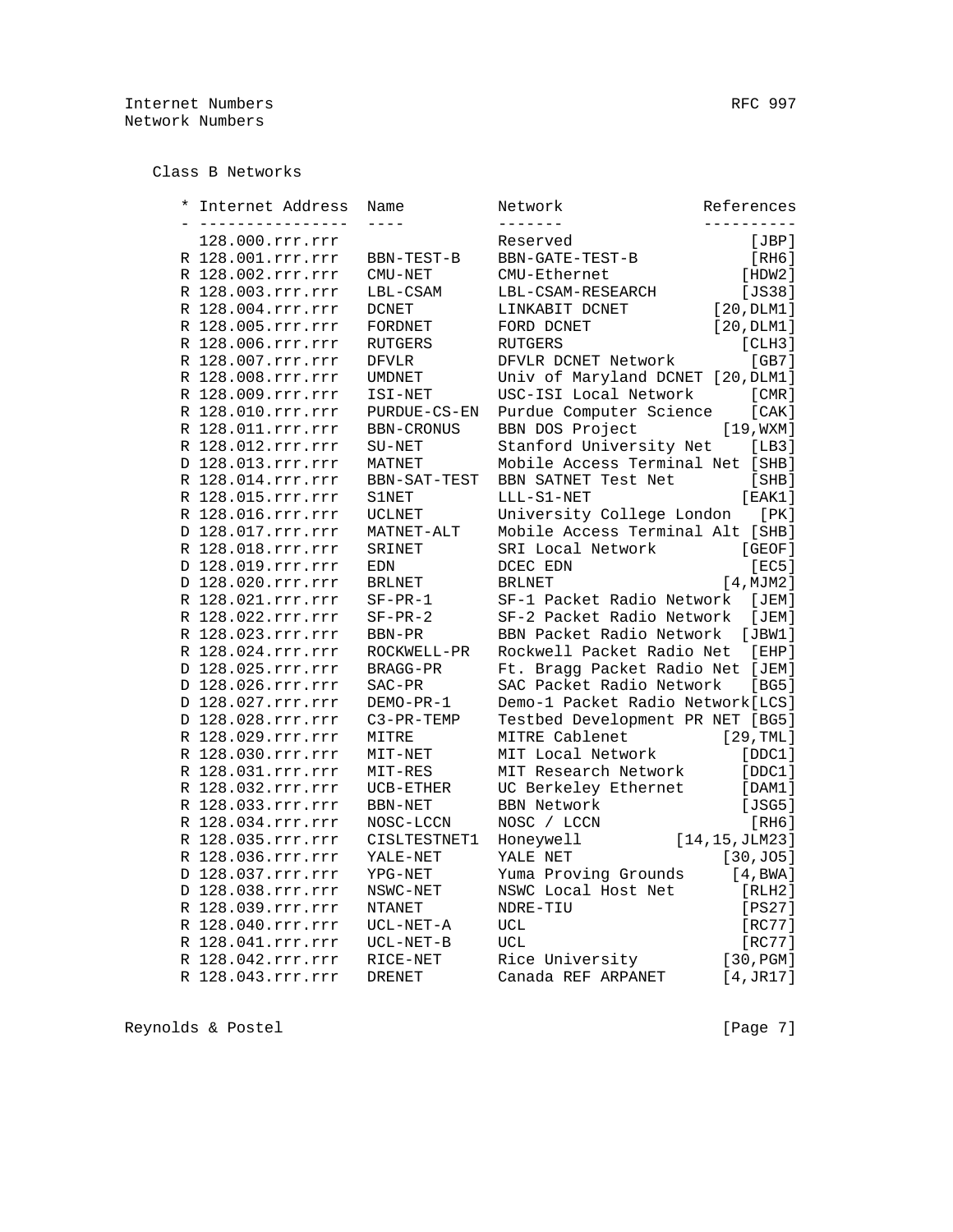Class B Networks

|  | Internet Address                 | Name              | Network                           | References      |
|--|----------------------------------|-------------------|-----------------------------------|-----------------|
|  | -------------<br>128.000.rrr.rrr |                   | -------<br>Reserved               | [JBP]           |
|  | R 128.001.rrr.rrr                | BBN-TEST-B        | BBN-GATE-TEST-B                   | [RH6]           |
|  | R 128.002.rrr.rrr                | CMU-NET           | CMU-Ethernet                      | [HDW2]          |
|  | R 128.003.rrr.rrr                | LBL-CSAM          | LBL-CSAM-RESEARCH                 | [JS38]          |
|  | R 128.004.rrr.rrr                | <b>DCNET</b>      | LINKABIT DCNET                    | [20, DLM1]      |
|  | R 128.005.rrr.rrr                | FORDNET           | FORD DCNET                        | [20, DLM1]      |
|  | R 128.006.rrr.rrr                | <b>RUTGERS</b>    | <b>RUTGERS</b>                    | [CHH3]          |
|  | R 128.007.rrr.rrr                | <b>DFVLR</b>      | DFVLR DCNET Network               | [GB7]           |
|  | R 128.008.rrr.rrr                | <b>UMDNET</b>     | Univ of Maryland DCNET [20, DLM1] |                 |
|  | R 128.009.rrr.rrr                | ISI-NET           | USC-ISI Local Network             | [CMR]           |
|  | R 128.010.rrr.rrr                | PURDUE-CS-EN      | Purdue Computer Science           | [CAK]           |
|  | R 128.011.rrr.rrr                | <b>BBN-CRONUS</b> | BBN DOS Project                   | [19, WXM]       |
|  | R 128.012.rrr.rrr                | SU-NET            | Stanford University Net           | [LB3]           |
|  | D 128.013.rrr.rrr                | MATNET            | Mobile Access Terminal Net [SHB]  |                 |
|  | R 128.014.rrr.rrr                | BBN-SAT-TEST      | BBN SATNET Test Net               | [SHB]           |
|  | R 128.015.rrr.rrr                | S1NET             | LLL-S1-NET                        | [EAK1]          |
|  | R 128.016.rrr.rrr                | <b>UCLNET</b>     | University College London         | [PK]            |
|  | D 128.017.rrr.rrr                | MATNET-ALT        | Mobile Access Terminal Alt [SHB]  |                 |
|  | R 128.018.rrr.rrr                | SRINET            | SRI Local Network                 | [GEOF]          |
|  | D 128.019.rrr.rrr                | <b>EDN</b>        | DCEC EDN                          | [EC5]           |
|  | D 128.020.rrr.rrr                | <b>BRLNET</b>     | <b>BRLNET</b>                     | [4, MJM2]       |
|  | R 128.021.rrr.rrr                | $SF-PR-1$         | SF-1 Packet Radio Network         | [JEM]           |
|  | R 128.022.rrr.rrr                | $SF-PR-2$         | SF-2 Packet Radio Network         | [JEM]           |
|  | R 128.023.rrr.rrr                | BBN-PR            | BBN Packet Radio Network          | [JBW1]          |
|  | R 128.024.rrr.rrr                | ROCKWELL-PR       | Rockwell Packet Radio Net         | [EHP]           |
|  | D 128.025.rrr.rrr                | <b>BRAGG-PR</b>   | Ft. Bragg Packet Radio Net [JEM]  |                 |
|  | D 128.026.rrr.rrr                | $SAC-PR$          | SAC Packet Radio Network          | [BG5]           |
|  | D 128.027.rrr.rrr                | DEMO-PR-1         | Demo-1 Packet Radio Network [LCS] |                 |
|  | D 128.028.rrr.rrr                | C3-PR-TEMP        | Testbed Development PR NET [BG5]  |                 |
|  | R 128.029.rrr.rrr                | MITRE             | MITRE Cablenet                    | [29, TML]       |
|  | R 128.030.rrr.rrr                | MIT-NET           | MIT Local Network                 | [DDC1]          |
|  | R 128.031.rrr.rrr                | MIT-RES           | MIT Research Network              | [DDC1]          |
|  | R 128.032.rrr.rrr                | UCB-ETHER         | UC Berkeley Ethernet              | [DAM1]          |
|  | R 128.033.rrr.rrr                | BBN-NET           | <b>BBN Network</b>                | [JSG5]          |
|  | R 128.034.rrr.rrr                | NOSC-LCCN         | NOSC / LCCN                       | [RH6]           |
|  | R 128.035.rrr.rrr                | CISLTESTNET1      | Honeywell                         | [14, 15, JLM23] |
|  | R 128.036.rrr.rrr                | YALE-NET          | YALE NET                          | [30, J05]       |
|  | D 128.037.rrr.rrr                | YPG-NET           | Yuma Proving Grounds              | [4, BWA]        |
|  | D 128.038.rrr.rrr                | NSWC-NET          | NSWC Local Host Net               | [RLH2]          |
|  | R 128.039.rrr.rrr                |                   | NDRE-TIU                          | [PS27]          |
|  |                                  | NTANET            |                                   |                 |
|  | R 128.040.rrr.rrr                | UCL-NET-A         | UCL                               | [RC77]          |
|  | R 128.041.rrr.rrr                | $UCL-NET-B$       | <b>UCL</b>                        | [RC77]          |
|  | R 128.042.rrr.rrr                | RICE-NET          | Rice University                   | [30,PGM]        |
|  | R 128.043.rrr.rrr                | <b>DRENET</b>     | Canada REF ARPANET                | [4, JR17]       |

Reynolds & Postel (Page 7)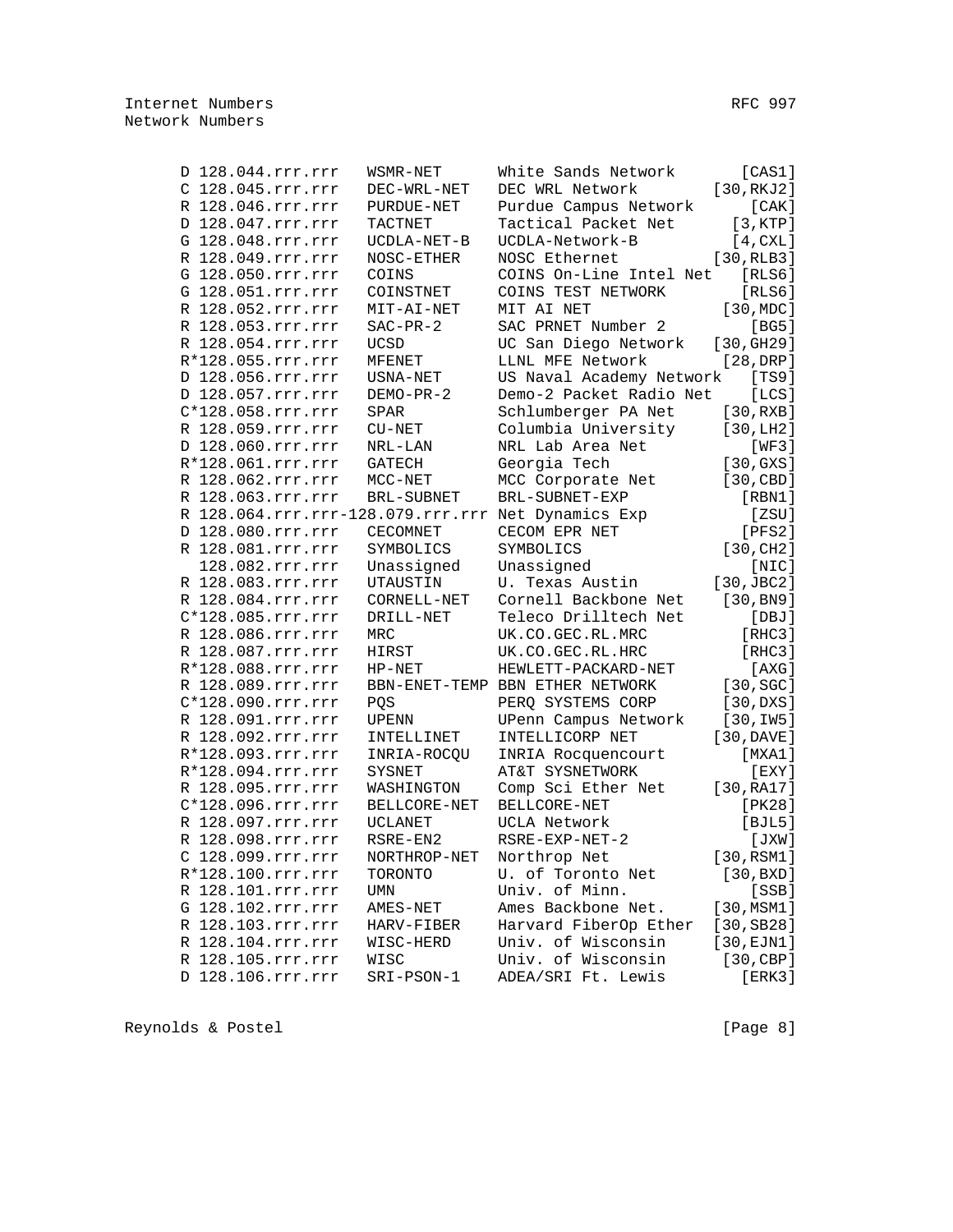| D 128.044.rrr.rrr                                  | WSMR-NET            | White Sands Network             | [CAS1]                 |
|----------------------------------------------------|---------------------|---------------------------------|------------------------|
| C 128.045.rrr.rrr                                  | DEC-WRL-NET         | DEC WRL Network                 | [30, RKJ2]             |
| R 128.046.rrr.rrr                                  | PURDUE-NET          | Purdue Campus Network           | [CAK]                  |
| D 128.047.rrr.rrr                                  | TACTNET             | Tactical Packet Net             | [3, KTP]               |
| G 128.048.rrr.rrr                                  | UCDLA-NET-B         | UCDLA-Network-B                 | [4, CXL]               |
| R 128.049.rrr.rrr                                  | NOSC-ETHER          | NOSC Ethernet                   | [30, RLB3]             |
| G 128.050.rrr.rrr                                  | COINS               | COINS On-Line Intel Net         | [RLS6]                 |
| G 128.051.rrr.rrr                                  | COINSTNET           | COINS TEST NETWORK              | [RLS6]                 |
| R 128.052.rrr.rrr                                  | MIT-AI-NET          | MIT AI NET                      | [30, MDC]              |
| R 128.053.rrr.rrr                                  | $SAC-PR-2$          | SAC PRNET Number 2              | [BG5]                  |
| R 128.054.rrr.rrr                                  | <b>UCSD</b>         | UC San Diego Network            | [30, GHz9]             |
| R*128.055.rrr.rrr                                  | MFENET              | LLNL MFE Network                | [28,DRP]               |
| D 128.056.rrr.rrr                                  | USNA-NET            | US Naval Academy Network        | [TS9]                  |
| D 128.057.rrr.rrr                                  | DEMO-PR-2           | Demo-2 Packet Radio Net         | [LCS]                  |
| C*128.058.rrr.rrr                                  | SPAR                | Schlumberger PA Net             | [30, RXB]              |
| R 128.059.rrr.rrr                                  | $\rm C U\!-\!N E T$ | Columbia University             | [30, LH2]              |
| D 128.060.rrr.rrr                                  | NRL-LAN             | NRL Lab Area Net                | [WF3]                  |
| R*128.061.rrr.rrr                                  | GATECH              | Georgia Tech                    | [30, GXS]              |
| R 128.062.rrr.rrr                                  | $MCC-NET$           | MCC Corporate Net               | [30, CBD]              |
| R 128.063.rrr.rrr                                  | <b>BRL-SUBNET</b>   | BRL-SUBNET-EXP                  | [RBN1]                 |
| R 128.064.rrr.rrr-128.079.rrr.rrr Net Dynamics Exp |                     |                                 | [ZSU]                  |
| D 128.080.rrr.rrr                                  | <b>CECOMNET</b>     | CECOM EPR NET                   | [PFS2]                 |
| R 128.081.rrr.rrr                                  | SYMBOLICS           | SYMBOLICS                       | [30, CH2]              |
| 128.082.rrr.rrr                                    | Unassigned          | Unassigned                      | [NIC]                  |
| R 128.083.rrr.rrr                                  | UTAUSTIN            | U. Texas Austin                 | $[30, \text{JBC2}]$    |
| R 128.084.rrr.rrr                                  | CORNELL-NET         | Cornell Backbone Net            | [30, B <sub>N</sub> 9] |
| C*128.085.rrr.rrr                                  | DRILL-NET           | Teleco Drilltech Net            | [DBJ]                  |
| R 128.086.rrr.rrr                                  | MRC                 | UK.CO.GEC.RL.MRC                | [RHC3]                 |
| R 128.087.rrr.rrr                                  | HIRST               | UK.CO.GEC.RL.HRC                | [RHC3]                 |
| R*128.088.rrr.rrr                                  | $HP-NET$            | HEWLETT-PACKARD-NET             | [AXG]                  |
| R 128.089.rrr.rrr                                  |                     | BBN-ENET-TEMP BBN ETHER NETWORK | $[30, \text{SG}]$      |
| C*128.090.rrr.rrr                                  | PQS                 | PERQ SYSTEMS CORP               | [30,DXS]               |
| R 128.091.rrr.rrr                                  | UPENN               | UPenn Campus Network            | [30,1W5]               |
| R 128.092.rrr.rrr                                  | INTELLINET          | INTELLICORP NET                 | [30, DAVE]             |
| R*128.093.rrr.rrr                                  | INRIA-ROCQU         | INRIA Rocquencourt              | [MXA1]                 |
| R*128.094.rrr.rrr                                  | SYSNET              | AT&T SYSNETWORK                 | $[$ EXY $]$            |
| R 128.095.rrr.rrr                                  | WASHINGTON          | Comp Sci Ether Net              | [30, RA17]             |
| C*128.096.rrr.rrr                                  | BELLCORE-NET        | BELLCORE-NET                    | [PK28]                 |
| R 128.097.rrr.rrr                                  | <b>UCLANET</b>      | UCLA Network                    | [BJL5]                 |
| R 128.098.rrr.rrr                                  | RSRE-EN2            | RSRE-EXP-NET-2                  | [JXW]                  |
| C 128.099.rrr.rrr                                  | NORTHROP-NET        | Northrop Net                    | [30, RSM1]             |
| R*128.100.rrr.rrr                                  | TORONTO             | U. of Toronto Net               | [30,BXD]               |
| R 128.101.rrr.rrr                                  | UMN                 | Univ. of Minn.                  | [SSB]                  |
| G 128.102.rrr.rrr                                  | AMES-NET            | Ames Backbone Net.              | [30, MSM1]             |
| R 128.103.rrr.rrr                                  | HARV-FIBER          | Harvard FiberOp Ether           | [30, SB28]             |
| R 128.104.rrr.rrr                                  | WISC-HERD           | Univ. of Wisconsin              | [30, EJN1]             |
| R 128.105.rrr.rrr                                  | WISC                | Univ. of Wisconsin              | $[30, \mathsf{CBP}]$   |
| D 128.106.rrr.rrr                                  |                     |                                 |                        |
|                                                    | SRI-PSON-1          | ADEA/SRI Ft. Lewis              | [ERK3]                 |

Reynolds & Postel (Page 8)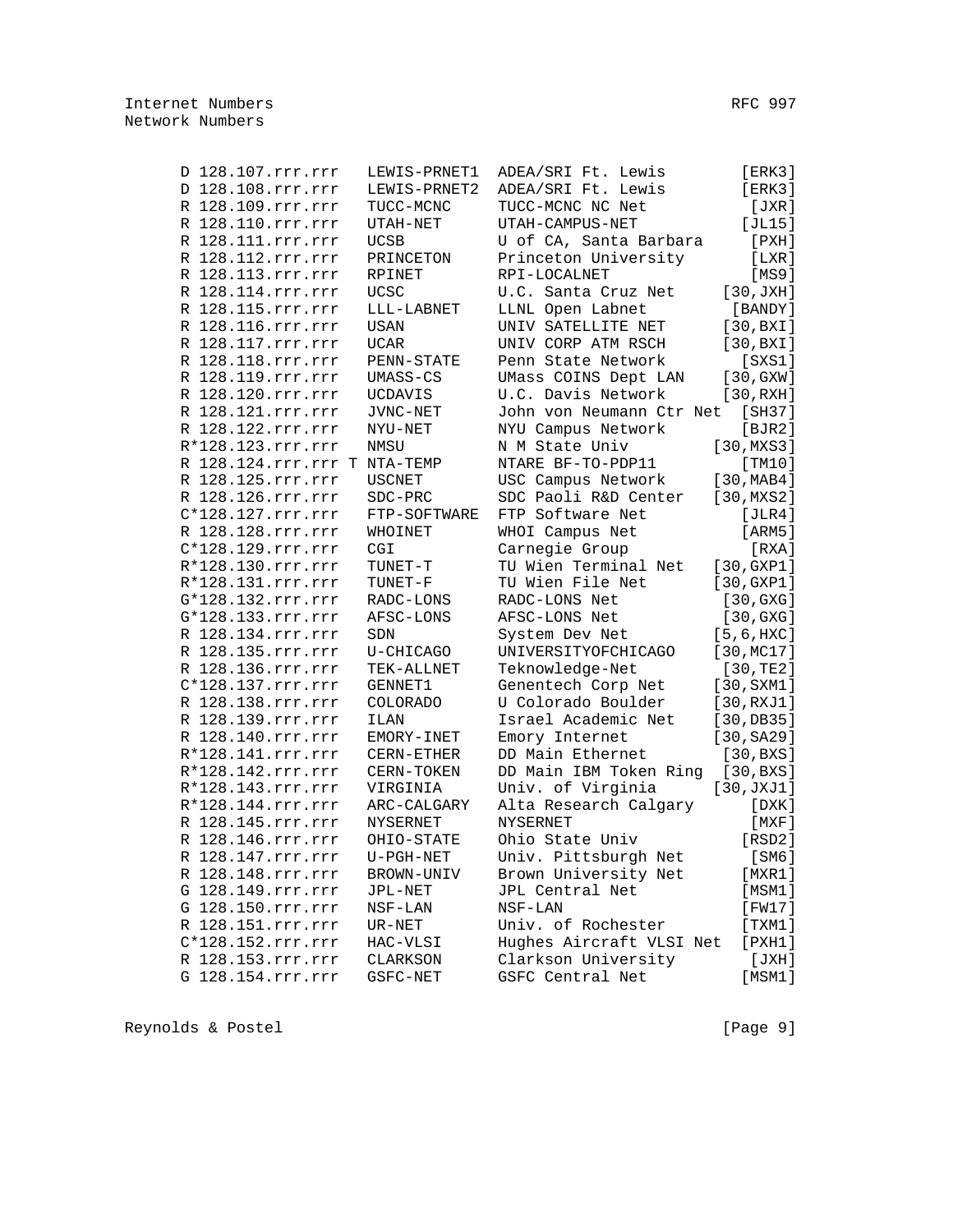| D 128.107.rrr.rrr            | LEWIS-PRNET1    | ADEA/SRI Ft. Lewis                       | [ERK3]       |
|------------------------------|-----------------|------------------------------------------|--------------|
| D 128.108.rrr.rrr            | LEWIS-PRNET2    | ADEA/SRI Ft. Lewis                       | [ERK3]       |
| R 128.109.rrr.rrr            | TUCC-MCNC       | TUCC-MCNC NC Net                         | [JXR]        |
| R 128.110.rrr.rrr            | UTAH-NET        | UTAH-CAMPUS-NET                          | [JL15]       |
| R 128.111.rrr.rrr            | <b>UCSB</b>     | U of CA, Santa Barbara                   | $[$ PXH $]$  |
| R 128.112.rrr.rrr            | PRINCETON       | Princeton University                     | [LXR]        |
| R 128.113.rrr.rrr            | RPINET          | RPI-LOCALNET                             | [MS9]        |
| R 128.114.rrr.rrr            | <b>UCSC</b>     | U.C. Santa Cruz Net                      | [30, JXH]    |
| R 128.115.rrr.rrr            | LLL-LABNET      | LLNL Open Labnet                         | [BANDY]      |
| R 128.116.rrr.rrr            |                 |                                          |              |
|                              | USAN            | UNIV SATELLITE NET<br>UNIV CORP ATM RSCH | [30,BXI]     |
| R 128.117.rrr.rrr            | UCAR            |                                          | [30,BXI]     |
| R 128.118.rrr.rrr            | PENN-STATE      | Penn State Network                       | $[$ SXS1 $]$ |
| R 128.119.rrr.rrr            | UMASS-CS        | UMass COINS Dept LAN                     | [30, GXW]    |
| R 128.120.rrr.rrr            | UCDAVIS         | U.C. Davis Network                       | [30, RXH]    |
| R 128.121.rrr.rrr            | JVNC-NET        | John von Neumann Ctr Net                 | [SH37]       |
| R 128.122.rrr.rrr            | NYU-NET         | NYU Campus Network                       | [BJR2]       |
| R*128.123.rrr.rrr            | NMSU            | N M State Univ                           | [30,MXS3]    |
| R 128.124.rrr.rrr T NTA-TEMP |                 | NTARE BF-TO-PDP11                        | [TM10]       |
| R 128.125.rrr.rrr            | <b>USCNET</b>   | USC Campus Network                       | [30, MAB4]   |
| R 128.126.rrr.rrr            | SDC-PRC         | SDC Paoli R&D Center                     | [30, MXS2]   |
| C*128.127.rrr.rrr            | FTP-SOFTWARE    | FTP Software Net                         | [JLR4]       |
| R 128.128.rrr.rrr            | WHOINET         | WHOI Campus Net                          | [ARM5]       |
| C*128.129.rrr.rrr            | CGI             | Carnegie Group                           | [RXA]        |
| R*128.130.rrr.rrr            | TUNET-T         | TU Wien Terminal Net                     | [30, GXP1]   |
| R*128.131.rrr.rrr            | TUNET-F         | TU Wien File Net                         | [30, GXP1]   |
| G*128.132.rrr.rrr            | RADC-LONS       | RADC-LONS Net                            | [30, GXG]    |
| G*128.133.rrr.rrr            | AFSC-LONS       | AFSC-LONS Net                            | [30, GXG]    |
| R 128.134.rrr.rrr            | SDN             | System Dev Net                           | [5, 6, HXC]  |
| R 128.135.rrr.rrr            | U-CHICAGO       | UNIVERSITYOFCHICAGO                      | [30, MCl7]   |
| R 128.136.rrr.rrr            | TEK-ALLNET      | Teknowledge-Net                          | [30, TE2]    |
| C*128.137.rrr.rrr            | GENNET1         | Genentech Corp Net                       | [30, SXM1]   |
| R 128.138.rrr.rrr            | <b>COLORADO</b> | U Colorado Boulder                       | [30, RXJ1]   |
| R 128.139.rrr.rrr            | <b>ILAN</b>     | Israel Academic Net                      | [30, DB35]   |
| R 128.140.rrr.rrr            | EMORY-INET      | Emory Internet                           | [30, SA29]   |
| R*128.141.rrr.rrr            |                 | DD Main Ethernet                         |              |
|                              | CERN-ETHER      |                                          | [30,BXS]     |
| R*128.142.rrr.rrr            | CERN-TOKEN      | DD Main IBM Token Ring                   | [30,BXS]     |
| R*128.143.rrr.rrr            | VIRGINIA        | Univ. of Virginia                        | [30, JXJ1]   |
| R*128.144.rrr.rrr            | ARC-CALGARY     | Alta Research Calgary                    | [DXK]        |
| R 128.145.rrr.rrr            | <b>NYSERNET</b> | <b>NYSERNET</b>                          | $[$ MXF $]$  |
| R 128.146.rrr.rrr            | OHIO-STATE      | Ohio State Univ                          | [RSD2]       |
| R 128.147.rrr.rrr            | $U-PGH-NET$     | Univ. Pittsburgh Net                     | [SM6]        |
| R 128.148.rrr.rrr            | BROWN-UNIV      | Brown University Net                     | [MXR1]       |
| G 128.149.rrr.rrr            | JPL-NET         | JPL Central Net                          | [MSM1]       |
| G 128.150.rrr.rrr            | $NSF-LAN$       | NSF-LAN                                  | [FW17]       |
| R 128.151.rrr.rrr            | $UR-NET$        | Univ. of Rochester                       | [TXM1]       |
| C*128.152.rrr.rrr            | HAC-VLSI        | Hughes Aircraft VLSI Net                 | $[$ PXH $1]$ |
| R 128.153.rrr.rrr            | CLARKSON        | Clarkson University                      | [JXH]        |
| G 128.154.rrr.rrr            | GSFC-NET        | GSFC Central Net                         | [MSM1]       |

Reynolds & Postel [Page 9]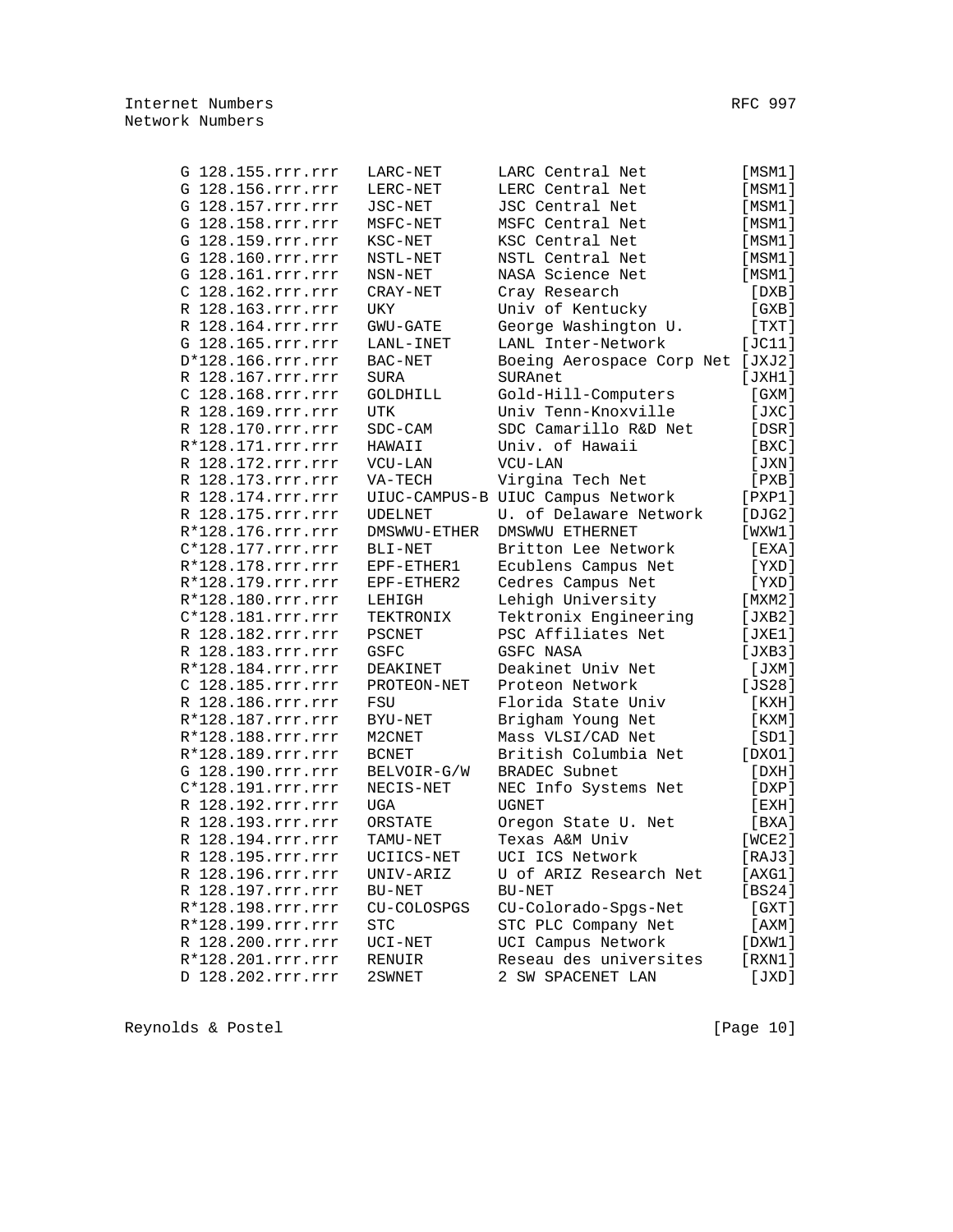|  | G 128.155.rrr.rrr   | LARC-NET     | LARC Central Net                    | [MSM1]  |
|--|---------------------|--------------|-------------------------------------|---------|
|  | G 128.156.rrr.rrr   | LERC-NET     | LERC Central Net                    | [MSM1]  |
|  | G 128.157.rrr.rrr   | JSC-NET      | JSC Central Net                     | [MSM1]  |
|  | G 128.158.rrr.rrr   | MSFC-NET     | MSFC Central Net                    | [MSM1]  |
|  | G 128.159.rrr.rrr   | KSC-NET      | KSC Central Net                     | [MSM1]  |
|  | G 128.160.rrr.rrr   | NSTL-NET     | NSTL Central Net                    | [MSM1]  |
|  | G 128.161.rrr.rrr   | NSN-NET      | NASA Science Net                    | [MSM1]  |
|  | C 128.162.rrr.rrr   | CRAY-NET     | Cray Research                       | [DXB]   |
|  | R 128.163.rrr.rrr   | UKY          | Univ of Kentucky                    | [ GXB ] |
|  | R 128.164.rrr.rrr   | GWU-GATE     | George Washington U.                | [ TXT ] |
|  | G 128.165.rrr.rrr   | LANL-INET    | LANL Inter-Network                  | [JC11]  |
|  | $D*128.166.rrr.rrr$ | BAC-NET      | Boeing Aerospace Corp Net           | [JXJ2]  |
|  | R 128.167.rrr.rrr   | SURA         | SURAnet                             | [JXH1]  |
|  | C 128.168.rrr.rrr   | GOLDHILL     | Gold-Hill-Computers                 | [ GXM ] |
|  | R 128.169.rrr.rrr   | UTK          | Univ Tenn-Knoxville                 | [JXC]   |
|  | D 108 170 rrr rrr   | $CDC$ $-CDM$ | $CDC$ $C2$ $D2$ $D1$ $D2$ $D3$ $D4$ | [neɒl   |

| G 128.157.rrr.rrr | JSC-NET        | JSC Central Net                   | [MSM1]                      |
|-------------------|----------------|-----------------------------------|-----------------------------|
| G 128.158.rrr.rrr | MSFC-NET       | MSFC Central Net                  | [MSM1]                      |
| G 128.159.rrr.rrr | KSC-NET        | KSC Central Net                   | [MSM1]                      |
| G 128.160.rrr.rrr | NSTL-NET       | NSTL Central Net                  | [MSM1]                      |
| G 128.161.rrr.rrr | NSN-NET        | NASA Science Net                  | [MSM1]                      |
| C 128.162.rrr.rrr | CRAY-NET       | Cray Research                     | [DXB]                       |
| R 128.163.rrr.rrr | UKY            | Univ of Kentucky                  | [GXB]                       |
| R 128.164.rrr.rrr | GWU-GATE       | George Washington U.              | [TXT]                       |
| G 128.165.rrr.rrr | LANL-INET      | LANL Inter-Network                | [JC11]                      |
| D*128.166.rrr.rrr | BAC-NET        | Boeing Aerospace Corp Net [JXJ2]  |                             |
| R 128.167.rrr.rrr | <b>SURA</b>    | SURAnet                           | [JXH1]                      |
| C 128.168.rrr.rrr | GOLDHILL       | Gold-Hill-Computers               | [ GXM ]                     |
| R 128.169.rrr.rrr | UTK            | Univ Tenn-Knoxville               | [JXC]                       |
| R 128.170.rrr.rrr | SDC-CAM        | SDC Camarillo R&D Net             | [DSR]                       |
| R*128.171.rrr.rrr | HAWAII         | Univ. of Hawaii                   | [BXC]                       |
| R 128.172.rrr.rrr | VCU-LAN        | VCU-LAN                           | [JXN]                       |
| R 128.173.rrr.rrr | VA-TECH        | Virgina Tech Net                  | [PXB]                       |
| R 128.174.rrr.rrr |                | UIUC-CAMPUS-B UIUC Campus Network | $[$ PXP $1$ ]               |
| R 128.175.rrr.rrr | <b>UDELNET</b> | U. of Delaware Network            | [DJG2]                      |
| R*128.176.rrr.rrr | DMSWWU-ETHER   | DMSWWU ETHERNET                   | [WXW1]                      |
| C*128.177.rrr.rrr | BLI-NET        | Britton Lee Network               | [EXA]                       |
| R*128.178.rrr.rrr | EPF-ETHER1     | Ecublens Campus Net               | [YXD]                       |
| R*128.179.rrr.rrr | EPF-ETHER2     | Cedres Campus Net                 | [YXD]                       |
| R*128.180.rrr.rrr | LEHIGH         | Lehigh University                 | [MXM2]                      |
| C*128.181.rrr.rrr | TEKTRONIX      | Tektronix Engineering             | [JXB2]                      |
| R 128.182.rrr.rrr | <b>PSCNET</b>  | PSC Affiliates Net                | [JXE1]                      |
| R 128.183.rrr.rrr | GSFC           | GSFC NASA                         | [JXB3]                      |
| R*128.184.rrr.rrr | DEAKINET       | Deakinet Univ Net                 | [JXM]                       |
| C 128.185.rrr.rrr | PROTEON-NET    | Proteon Network                   | [ $JS28$ ]                  |
| R 128.186.rrr.rrr | FSU            | Florida State Univ                | [KXH]                       |
| R*128.187.rrr.rrr | BYU-NET        | Brigham Young Net                 | [KXM]                       |
| R*128.188.rrr.rrr | M2CNET         | Mass VLSI/CAD Net                 | [SD1]                       |
| R*128.189.rrr.rrr | <b>BCNET</b>   | British Columbia Net              | [DXO1]                      |
| G 128.190.rrr.rrr | BELVOIR-G/W    | BRADEC Subnet                     | [DXH]                       |
| C*128.191.rrr.rrr | NECIS-NET      | NEC Info Systems Net              | [DXP]                       |
| R 128.192.rrr.rrr | UGA            | <b>UGNET</b>                      | [EXH]                       |
| R 128.193.rrr.rrr | ORSTATE        | Oregon State U. Net               | [ <b>BXA</b> ] <sub>2</sub> |
| R 128.194.rrr.rrr | TAMU-NET       | Texas A&M Univ                    | [WCE2]                      |
| R 128.195.rrr.rrr | UCIICS-NET     | UCI ICS Network                   | [RAJ3]                      |
| R 128.196.rrr.rrr | UNIV-ARIZ      | U of ARIZ Research Net            | [AXG1]                      |
| R 128.197.rrr.rrr | BU-NET         | BU-NET                            | [BS24]                      |
| R*128.198.rrr.rrr | CU-COLOSPGS    | CU-Colorado-Spgs-Net              | [GXT]                       |
| R*128.199.rrr.rrr | <b>STC</b>     | STC PLC Company Net               | [AXM]                       |
| R 128.200.rrr.rrr | UCI-NET        | UCI Campus Network                | [DXW1]                      |
| R*128.201.rrr.rrr | RENUIR         | Reseau des universites            | [RXN1]                      |
| D 128.202.rrr.rrr | 2SWNET         | 2 SW SPACENET LAN                 | [JXD]                       |
|                   |                |                                   |                             |

Reynolds & Postel [Page 10]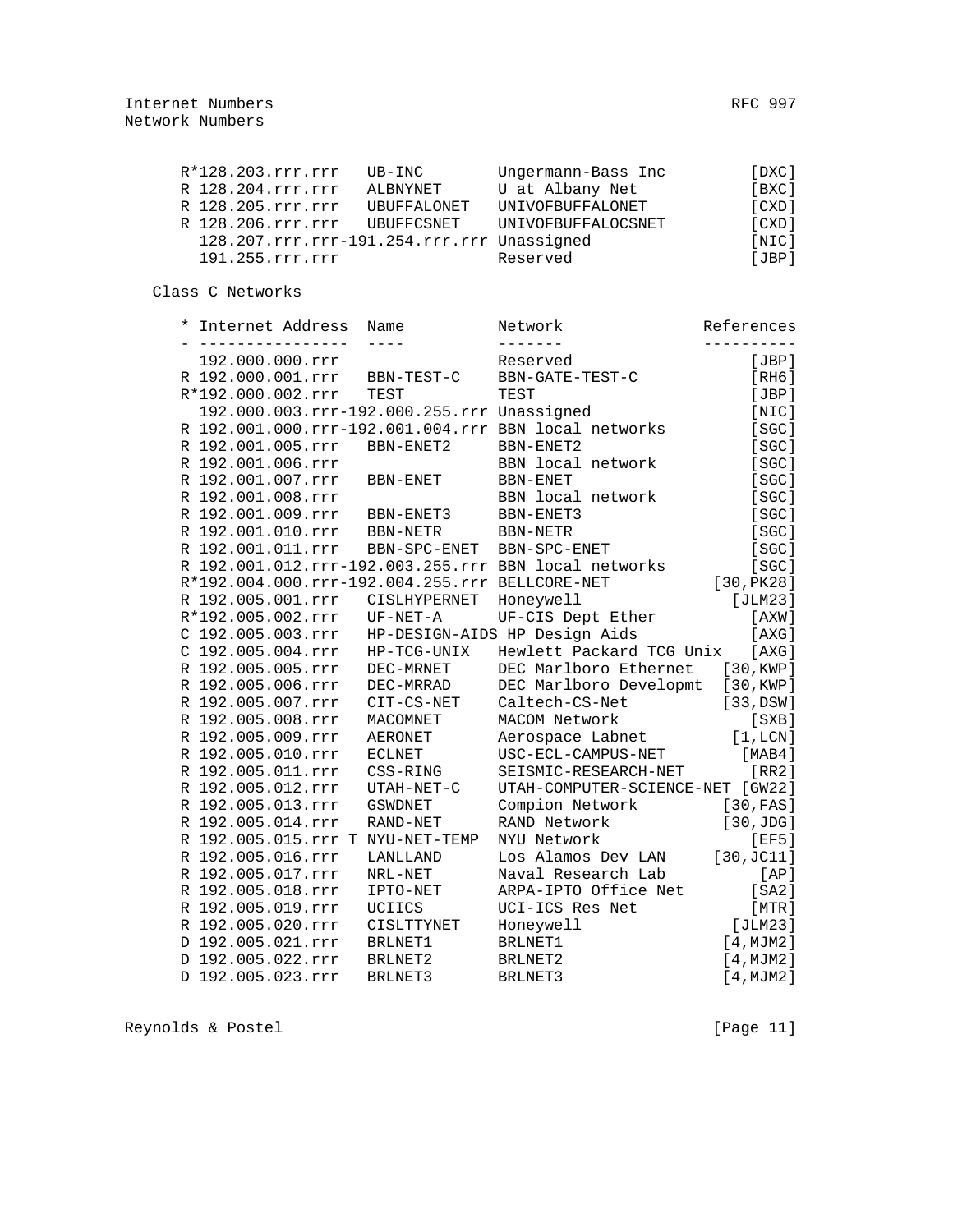|  | R*128.203.rrr.rrr                          | UB-INC             | Ungermann-Bass Inc | [DXC] |
|--|--------------------------------------------|--------------------|--------------------|-------|
|  | R 128.204.rrr.rrr                          | ALBNYNET           | U at Albany Net    | [BXC] |
|  | R 128.205.rrr.rrr                          | <b>UBUFFALONET</b> | UNIVOFBUFFALONET   | [CXD] |
|  | R 128.206.rrr.rrr                          | UBUFFCSNET         | UNIVOFBUFFALOCSNET | [CXD] |
|  | 128.207.rrr.rrr-191.254.rrr.rrr Unassigned |                    |                    | [NIC] |
|  | 191.255.rrr.rrr                            |                    | Reserved           | [JBP] |
|  |                                            |                    |                    |       |

Class C Networks

| $^\star$ | Internet Address                               | Name           | Network                                              | References |
|----------|------------------------------------------------|----------------|------------------------------------------------------|------------|
|          |                                                |                |                                                      |            |
|          | 192.000.000.rrr                                |                | Reserved                                             | [JBP]      |
|          | R 192.000.001.rrr                              | BBN-TEST-C     | BBN-GATE-TEST-C                                      | [RH6]      |
|          | R*192.000.002.rrr                              | TEST           | TEST                                                 | [JBP]      |
|          | 192.000.003.rrr-192.000.255.rrr Unassigned     |                |                                                      | [NIC]      |
|          |                                                |                | R 192.001.000.rrr-192.001.004.rrr BBN local networks | [SGC]      |
|          | R 192.001.005.rrr                              | BBN-ENET2      | BBN-ENET2                                            | [SGC]      |
|          | R 192.001.006.rrr                              |                | BBN local network                                    | [SGC]      |
|          | R 192.001.007.rrr                              | BBN-ENET       | BBN-ENET                                             | [SGC]      |
|          | R 192.001.008.rrr                              |                | BBN local network                                    | [SGC]      |
|          | R 192.001.009.rrr                              | BBN-ENET3      | BBN-ENET3                                            | [SGC]      |
|          | R 192.001.010.rrr                              | BBN-NETR       | BBN-NETR                                             | [SGC]      |
|          | R 192.001.011.rrr                              | BBN-SPC-ENET   | BBN-SPC-ENET                                         | [SC]       |
|          |                                                |                | R 192.001.012.rrr-192.003.255.rrr BBN local networks | [SGC]      |
|          | R*192.004.000.rrr-192.004.255.rrr BELLCORE-NET |                |                                                      | [30, PK28] |
|          | R 192.005.001.rrr                              | CISLHYPERNET   | Honeywell                                            | [JLM23]    |
|          | R*192.005.002.rrr                              | UF-NET-A       | UF-CIS Dept Ether                                    | [AXW]      |
|          | C 192.005.003.rrr                              |                | HP-DESIGN-AIDS HP Design Aids                        | [AXG]      |
|          | C 192.005.004.rrr                              | HP-TCG-UNIX    | Hewlett Packard TCG Unix                             | [AXG]      |
|          | R 192.005.005.rrr                              | DEC-MRNET      | DEC Marlboro Ethernet                                | [30, KWP]  |
|          | R 192.005.006.rrr                              | DEC-MRRAD      | DEC Marlboro Developmt                               | [30, KWP]  |
|          | R 192.005.007.rrr                              | CIT-CS-NET     | Caltech-CS-Net                                       | [33, DSW]  |
|          | R 192.005.008.rrr                              | MACOMNET       | MACOM Network                                        | [SXB]      |
|          | R 192.005.009.rrr                              | <b>AERONET</b> | Aerospace Labnet                                     | [1,LCN]    |
|          | R 192.005.010.rrr                              | <b>ECLNET</b>  | USC-ECL-CAMPUS-NET                                   | [MAB4]     |
|          | R 192.005.011.rrr                              | CSS-RING       | SEISMIC-RESEARCH-NET                                 | [RR2]      |
|          | R 192.005.012.rrr                              | UTAH-NET-C     | UTAH-COMPUTER-SCIENCE-NET [GW22]                     |            |
|          | R 192.005.013.rrr                              | <b>GSWDNET</b> | Compion Network                                      | [30, FAS]  |
|          | R 192.005.014.rrr                              | RAND-NET       | RAND Network                                         | [30,JDG]   |
|          | R 192.005.015.rrr T NYU-NET-TEMP               |                | NYU Network                                          | [EF5]      |
|          | R 192.005.016.rrr                              | LANLLAND       | Los Alamos Dev LAN                                   | [30, JC11] |
|          | R 192.005.017.rrr                              | NRL-NET        | Naval Research Lab                                   | [AP]       |
|          | R 192.005.018.rrr                              | IPTO-NET       | ARPA-IPTO Office Net                                 | [SA2]      |
|          | R 192.005.019.rrr                              | UCIICS         | UCI-ICS Res Net                                      | [MTR]      |
|          | R 192.005.020.rrr                              | CISLTTYNET     | Honeywell                                            | [JLM23]    |
|          | D 192.005.021.rrr                              | BRLNET1        | BRLNET1                                              | [4, MJM2]  |
|          | D 192.005.022.rrr                              | BRLNET2        | BRLNET2                                              | [4, MJM2]  |
|          | D 192.005.023.rrr                              | BRLNET3        | BRLNET3                                              | [4, MJM2]  |
|          |                                                |                |                                                      |            |

Reynolds & Postel (Page 11)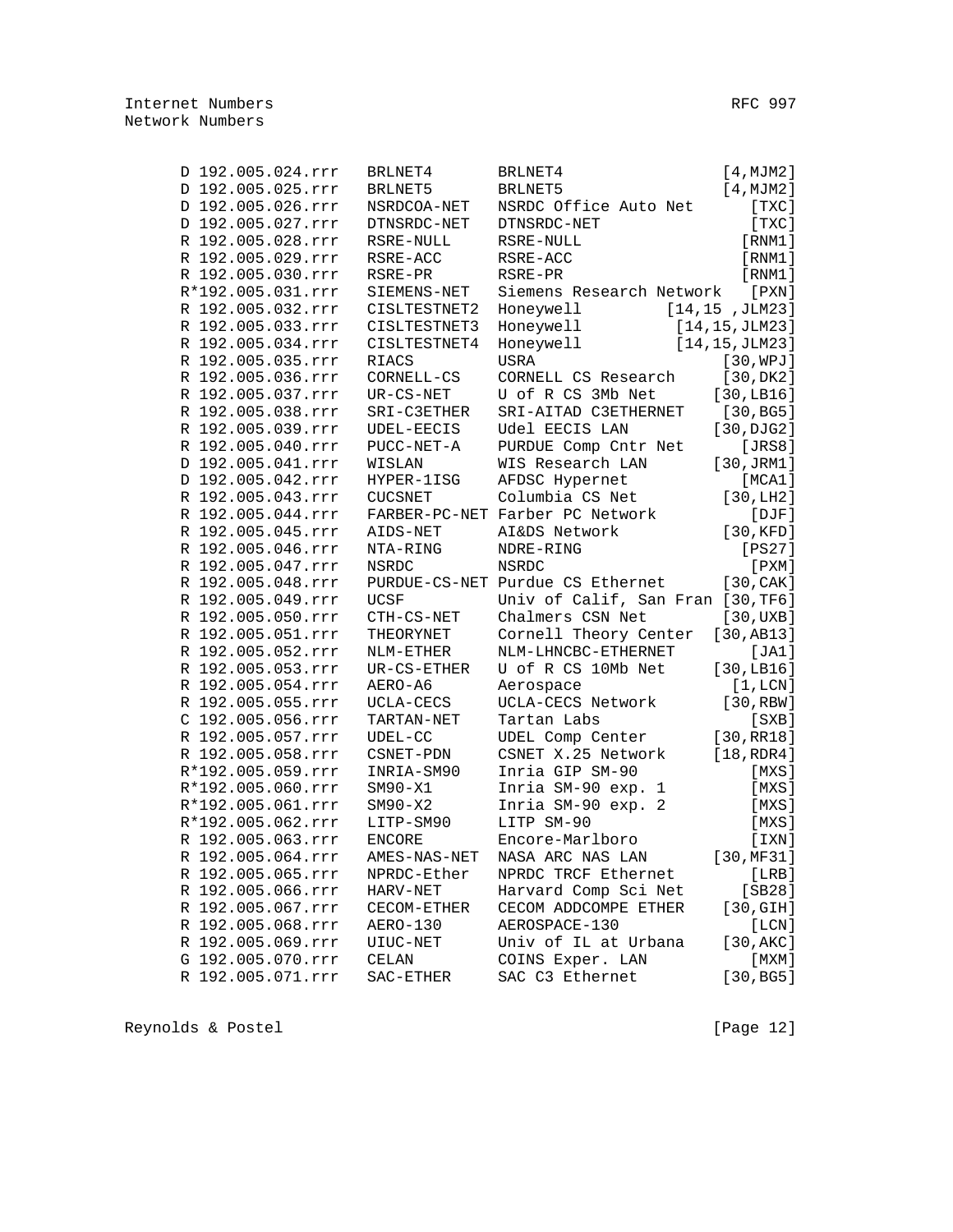| D 192.005.024.rrr | BRLNET4        | BRLNET4                           | [4, MJM2]       |
|-------------------|----------------|-----------------------------------|-----------------|
| D 192.005.025.rrr | BRLNET5        | BRLNET5                           | [4, MJM2]       |
| D 192.005.026.rrr | NSRDCOA-NET    | NSRDC Office Auto Net             | [TXC]           |
| D 192.005.027.rrr | DTNSRDC-NET    | DTNSRDC-NET                       | [TXC]           |
| R 192.005.028.rrr | RSRE-NULL      | RSRE-NULL                         | [RNM1]          |
| R 192.005.029.rrr | RSRE-ACC       | RSRE-ACC                          | [RNM1]          |
| R 192.005.030.rrr | RSRE-PR        | RSRE-PR                           | [RNM1]          |
| R*192.005.031.rrr | SIEMENS-NET    | Siemens Research Network          | $[$ PXN $]$     |
| R 192.005.032.rrr | CISLTESTNET2   | Honeywell                         | [14, 15, JLM23] |
| R 192.005.033.rrr | CISLTESTNET3   | Honeywell                         | [14,15,JLM23]   |
| R 192.005.034.rrr | CISLTESTNET4   | Honeywell                         | [14, 15, JLM23] |
| R 192.005.035.rrr | RIACS          | USRA                              | [30, WPJ]       |
| R 192.005.036.rrr | CORNELL-CS     | CORNELL CS Research               | [30, DK2]       |
| R 192.005.037.rrr | $UR-CS-NET$    | U of R CS 3Mb Net                 | [30, LBI6]      |
| R 192.005.038.rrr | SRI-C3ETHER    | SRI-AITAD C3ETHERNET              | [30, BG5]       |
| R 192.005.039.rrr | UDEL-EECIS     | Udel EECIS LAN                    | [30, DJG2]      |
| R 192.005.040.rrr | PUCC-NET-A     | PURDUE Comp Cntr Net              | [JRS8]          |
| D 192.005.041.rrr | WISLAN         | WIS Research LAN                  | [30, JRM1]      |
| D 192.005.042.rrr | HYPER-1ISG     | AFDSC Hypernet                    | [MCA1]          |
| R 192.005.043.rrr | <b>CUCSNET</b> | Columbia CS Net                   | [30, LH2]       |
| R 192.005.044.rrr |                | FARBER-PC-NET Farber PC Network   | $[$ $DJF]$      |
| R 192.005.045.rrr | AIDS-NET       | AI&DS Network                     | [30, KFD]       |
| R 192.005.046.rrr | NTA-RING       | NDRE-RING                         | [PS27]          |
| R 192.005.047.rrr | NSRDC          | <b>NSRDC</b>                      | $[$ PXM $]$     |
| R 192.005.048.rrr |                | PURDUE-CS-NET Purdue CS Ethernet  | [30, CAK]       |
| R 192.005.049.rrr | <b>UCSF</b>    | Univ of Calif, San Fran [30, TF6] |                 |
| R 192.005.050.rrr | CTH-CS-NET     | Chalmers CSN Net                  | [30,UXB]        |
| R 192.005.051.rrr | THEORYNET      | Cornell Theory Center             | [30, AB13]      |
| R 192.005.052.rrr | NLM-ETHER      | NLM-LHNCBC-ETHERNET               | [JA1]           |
| R 192.005.053.rrr | UR-CS-ETHER    | U of R CS 10Mb Net                | [30, LBI6]      |
| R 192.005.054.rrr | AERO-A6        | Aerospace                         | [1,LCN]         |
| R 192.005.055.rrr | UCLA-CECS      | UCLA-CECS Network                 | [30, RBW]       |
| C 192.005.056.rrr | TARTAN-NET     | Tartan Labs                       | [SXB]           |
| R 192.005.057.rrr | $UDEL-CC$      | UDEL Comp Center                  | [30, RR18]      |
| R 192.005.058.rrr | CSNET-PDN      | CSNET X.25 Network                | [18, RDR4]      |
| R*192.005.059.rrr | INRIA-SM90     | Inria GIP SM-90                   | [MXS]           |
| R*192.005.060.rrr | $SM90-X1$      | Inria SM-90 exp. 1                | [MXS]           |
| R*192.005.061.rrr | $SM90-X2$      | Inria SM-90 exp. 2                | [MXS]           |
| R*192.005.062.rrr | LITP-SM90      | LITP SM-90                        | [MXS]           |
| R 192.005.063.rrr | <b>ENCORE</b>  | Encore-Marlboro                   | [IXN]           |
| R 192.005.064.rrr |                | AMES-NAS-NET NASA ARC NAS LAN     | [30, MF31]      |
| R 192.005.065.rrr | NPRDC-Ether    | NPRDC TRCF Ethernet               | [LRB]           |
| R 192.005.066.rrr | HARV-NET       | Harvard Comp Sci Net              | [SB28]          |
| R 192.005.067.rrr | CECOM-ETHER    | CECOM ADDCOMPE ETHER              | [30, GIH]       |
| R 192.005.068.rrr | AERO-130       | AEROSPACE-130                     | [LCN]           |
| R 192.005.069.rrr | UIUC-NET       | Univ of IL at Urbana              | [30, AKC]       |
| G 192.005.070.rrr | CELAN          | COINS Exper. LAN                  | $[$ MXM $]$     |
| R 192.005.071.rrr | SAC-ETHER      | SAC C3 Ethernet                   | [30, BG5]       |
|                   |                |                                   |                 |

Reynolds & Postel (Page 12)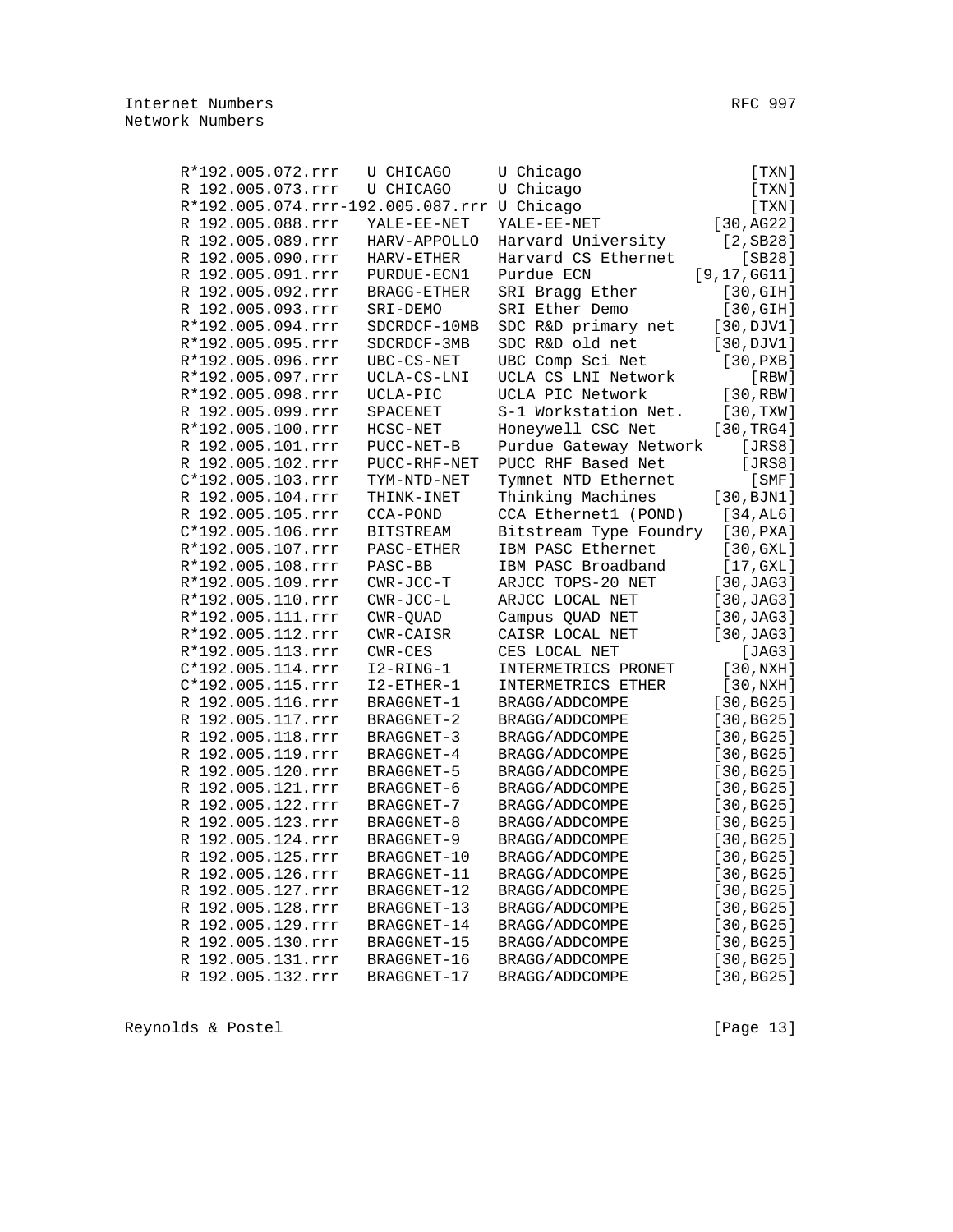| R*192.005.072.rrr                           | U CHICAGO         | U Chicago              | [ TXN ]              |
|---------------------------------------------|-------------------|------------------------|----------------------|
| R 192.005.073.rrr                           | U CHICAGO         | U Chicago              | [TXN]                |
| R*192.005.074.rrr-192.005.087.rrr U Chicago |                   |                        | [TXN]                |
| R 192.005.088.rrr                           | YALE-EE-NET       | YALE-EE-NET            | [30, AG22]           |
| R 192.005.089.rrr                           | HARV-APPOLLO      | Harvard University     | $[2,$ SB28]          |
| R 192.005.090.rrr                           | HARV-ETHER        | Harvard CS Ethernet    | $[SB28]$             |
| R 192.005.091.rrr                           | PURDUE-ECN1       | Purdue ECN             | [9, 17, GG11]        |
| R 192.005.092.rrr                           | BRAGG-ETHER       | SRI Bragg Ether        | $[30, \mathrm{GIH}]$ |
| R 192.005.093.rrr                           | SRI-DEMO          | SRI Ether Demo         | [30, GIH]            |
| R*192.005.094.rrr                           | SDCRDCF-10MB      | SDC R&D primary net    | [30, DJV1]           |
| R*192.005.095.rrr                           | SDCRDCF-3MB       | SDC R&D old net        | [30, DJV1]           |
| R*192.005.096.rrr                           | $UBC-CS-NET$      | UBC Comp Sci Net       | [30, PXB]            |
| R*192.005.097.rrr                           | UCLA-CS-LNI       | UCLA CS LNI Network    | $[$ RBW $]$          |
| R*192.005.098.rrr                           | UCLA-PIC          | UCLA PIC Network       | [30, RBW]            |
| R 192.005.099.rrr                           | SPACENET          | S-1 Workstation Net.   | [30, TXX]            |
| R*192.005.100.rrr                           | HCSC-NET          | Honeywell CSC Net      | [30, TRG4]           |
| R 192.005.101.rrr                           | PUCC-NET-B        | Purdue Gateway Network | [JRS8]               |
| R 192.005.102.rrr                           | PUCC-RHF-NET      | PUCC RHF Based Net     | [JRS8]               |
| C*192.005.103.rrr                           | TYM-NTD-NET       | Tymnet NTD Ethernet    | $[$ SMF $]$          |
| R 192.005.104.rrr                           | THINK-INET        | Thinking Machines      | [30, BJN1]           |
| R 192.005.105.rrr                           | CCA-POND          | CCA Ethernet1 (POND)   | [34, AL6]            |
| C*192.005.106.rrr                           | <b>BITSTREAM</b>  | Bitstream Type Foundry | [30, PXA]            |
| R*192.005.107.rrr                           | PASC-ETHER        | IBM PASC Ethernet      | [30, GXL]            |
| R*192.005.108.rrr                           | PASC-BB           | IBM PASC Broadband     | [17, GXL]            |
| R*192.005.109.rrr                           | $CWR-JCC-T$       | ARJCC TOPS-20 NET      | [30, JAG3]           |
| R*192.005.110.rrr                           | CWR-JCC-L         | ARJCC LOCAL NET        | [30, JAG3]           |
| R*192.005.111.rrr                           | CWR-QUAD          | Campus QUAD NET        | [30, JAG3]           |
| R*192.005.112.rrr                           | CWR-CAISR         | CAISR LOCAL NET        | [30, JAG3]           |
| R*192.005.113.rrr                           | $CWR - CES$       | CES LOCAL NET          | [JAG3]               |
| C*192.005.114.rrr                           | I2-RING-1         | INTERMETRICS PRONET    | [30,NXH]             |
| C*192.005.115.rrr                           | $I2 - ETHER - 1$  | INTERMETRICS ETHER     | [30,NXH]             |
| R 192.005.116.rrr                           | BRAGGNET-1        | BRAGG/ADDCOMPE         | [30, BG25]           |
| R 192.005.117.rrr                           | BRAGGNET-2        | BRAGG/ADDCOMPE         | [30, BG25]           |
| R 192.005.118.rrr                           | BRAGGNET-3        | BRAGG/ADDCOMPE         | [30, BG25]           |
| R 192.005.119.rrr                           | BRAGGNET-4        | BRAGG/ADDCOMPE         | [30, BG25]           |
| R 192.005.120.rrr                           | BRAGGNET-5        | BRAGG/ADDCOMPE         | [30, BG25]           |
| R 192.005.121.rrr                           | BRAGGNET-6        | BRAGG/ADDCOMPE         | [30, BG25]           |
| R 192.005.122.rrr                           | <b>BRAGGNET-7</b> | BRAGG/ADDCOMPE         | [30, BG25]           |
| R 192.005.123.rrr                           | BRAGGNET-8        | BRAGG/ADDCOMPE         | [30, BG25]           |
| R 192.005.124.rrr                           | BRAGGNET-9        | BRAGG/ADDCOMPE         | [30, BG25]           |
| R 192.005.125.rrr                           | BRAGGNET-10       | BRAGG/ADDCOMPE         | [30, BG25]           |
| R 192.005.126.rrr                           | BRAGGNET-11       | BRAGG/ADDCOMPE         | [30, BG25]           |
| R 192.005.127.rrr                           | BRAGGNET-12       | BRAGG/ADDCOMPE         | [30, BG25]           |
| R 192.005.128.rrr                           | BRAGGNET-13       | BRAGG/ADDCOMPE         | [30, BG25]           |
| R 192.005.129.rrr                           | BRAGGNET-14       | BRAGG/ADDCOMPE         | [30, BG25]           |
| R 192.005.130.rrr                           | BRAGGNET-15       | BRAGG/ADDCOMPE         | [30, BG25]           |
| R 192.005.131.rrr                           | BRAGGNET-16       | BRAGG/ADDCOMPE         | [30, BG25]           |
| R 192.005.132.rrr                           | BRAGGNET-17       | BRAGG/ADDCOMPE         | [30, BG25]           |
|                                             |                   |                        |                      |

Reynolds & Postel (Page 13)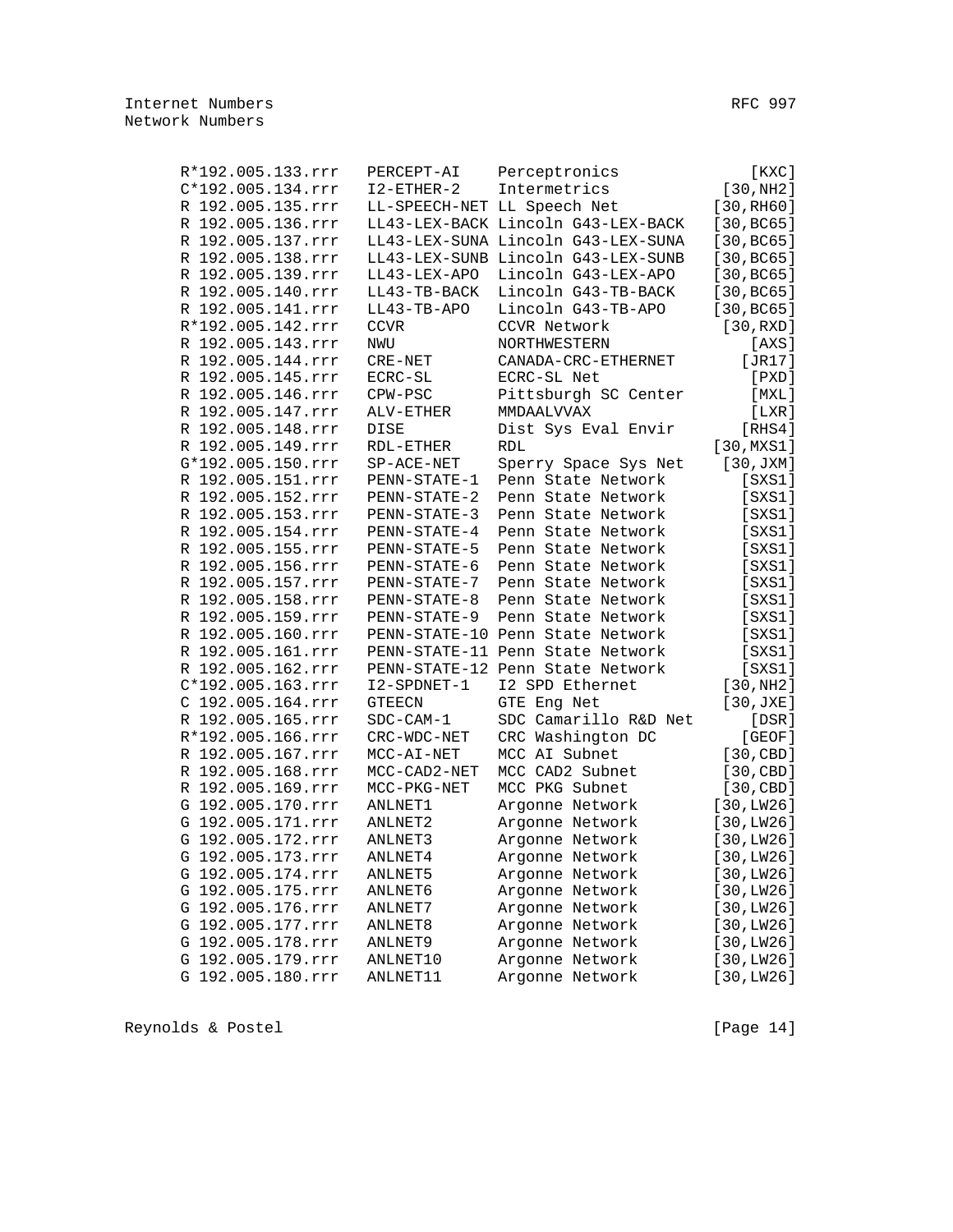| R*192.005.133.rrr | PERCEPT-AI         | Perceptronics                      | $[$ KXC $]$  |
|-------------------|--------------------|------------------------------------|--------------|
| C*192.005.134.rrr | $I2 - ETHER - 2$   | Intermetrics                       | [30,NH2]     |
| R 192.005.135.rrr |                    | LL-SPEECH-NET LL Speech Net        | [30, RH60]   |
| R 192.005.136.rrr |                    | LL43-LEX-BACK Lincoln G43-LEX-BACK | [30, BC65]   |
| R 192.005.137.rrr |                    | LL43-LEX-SUNA Lincoln G43-LEX-SUNA | [30, BC65]   |
| R 192.005.138.rrr |                    | LL43-LEX-SUNB Lincoln G43-LEX-SUNB | [30, BC65]   |
| R 192.005.139.rrr | LL43-LEX-APO       | Lincoln G43-LEX-APO                | [30, BC65]   |
| R 192.005.140.rrr | LL43-TB-BACK       | Lincoln G43-TB-BACK                | [30, BC65]   |
| R 192.005.141.rrr | $LL43-TB-APO$      | Lincoln G43-TB-APO                 | [30, BC65]   |
| R*192.005.142.rrr | <b>CCVR</b>        | CCVR Network                       | [30, RXD]    |
| R 192.005.143.rrr | NWU                | NORTHWESTERN                       | [AXS]        |
| R 192.005.144.rrr | $CRE-NET$          | CANADA-CRC-ETHERNET                | [JR17]       |
| R 192.005.145.rrr | ECRC-SL            | ECRC-SL Net                        | [PXD]        |
| R 192.005.146.rrr | CPW-PSC            | Pittsburgh SC Center               | [MXL]        |
| R 192.005.147.rrr | ALV-ETHER          | MMDAALVVAX                         | [LXR]        |
| R 192.005.148.rrr | DISE               | Dist Sys Eval Envir                | [RHS4]       |
| R 192.005.149.rrr | $\verb!RDL-ETHER!$ | <b>RDL</b>                         | [30,MXS1]    |
| G*192.005.150.rrr | $SP-ACE-NET$       | Sperry Space Sys Net               | [30, JXM]    |
| R 192.005.151.rrr | PENN-STATE-1       | Penn State Network                 | $[$ SXS1 $]$ |
| R 192.005.152.rrr | PENN-STATE-2       | Penn State Network                 | $[$ SXS1 $]$ |
| R 192.005.153.rrr | PENN-STATE-3       | Penn State Network                 | $[$ SXS1 $]$ |
| R 192.005.154.rrr | PENN-STATE-4       | Penn State Network                 | [SXS1]       |
| R 192.005.155.rrr | PENN-STATE-5       | Penn State Network                 | $[$ SXS1 $]$ |
| R 192.005.156.rrr | PENN-STATE-6       | Penn State Network                 | $[$ SXS1 $]$ |
| R 192.005.157.rrr | PENN-STATE-7       | Penn State Network                 | [SXS1]       |
| R 192.005.158.rrr | PENN-STATE-8       | Penn State Network                 | $[$ SXS1 $]$ |
| R 192.005.159.rrr | PENN-STATE-9       | Penn State Network                 | [SXS1]       |
| R 192.005.160.rrr |                    | PENN-STATE-10 Penn State Network   | [SXS1]       |
| R 192.005.161.rrr |                    | PENN-STATE-11 Penn State Network   | [SXS1]       |
| R 192.005.162.rrr |                    | PENN-STATE-12 Penn State Network   | $[$ SXS1 $]$ |
| C*192.005.163.rrr | I2-SPDNET-1        | I2 SPD Ethernet                    | [30,NH2]     |
| C 192.005.164.rrr | <b>GTEECN</b>      | GTE Eng Net                        | [30, JXE]    |
| R 192.005.165.rrr | $SDC-CAM-1$        | SDC Camarillo R&D Net              | [DSR]        |
| R*192.005.166.rrr | CRC-WDC-NET        | CRC Washington DC                  | [GEOF]       |
| R 192.005.167.rrr | $MCC-AI-NET$       | MCC AI Subnet                      | [30, CBD]    |
| R 192.005.168.rrr | MCC-CAD2-NET       | MCC CAD2 Subnet                    | [30, CBD]    |
| R 192.005.169.rrr | MCC-PKG-NET        | MCC PKG Subnet                     | [30, CBD]    |
| G 192.005.170.rrr | ANLNET1            | Argonne Network                    | [30, LW26]   |
| G 192.005.171.rrr | ANLNET2            | Argonne Network                    | [30, LW26]   |
| G 192.005.172.rrr | ANLNET3            | Argonne Network                    | [30, LW26]   |
| G 192.005.173.rrr | ANLNET4            | Argonne Network                    | [30, LW26]   |
| G 192.005.174.rrr | ANLNET5            | Argonne Network                    | [30, LW26]   |
| G 192.005.175.rrr | ANLNET6            | Argonne Network                    | [30, LW26]   |
| G 192.005.176.rrr | ANLNET7            | Argonne Network                    | [30, LW26]   |
| G 192.005.177.rrr | ANLNET8            | Argonne Network                    | [30, LW26]   |
| G 192.005.178.rrr | ANLNET9            | Argonne Network                    | [30, LW26]   |
| G 192.005.179.rrr | ANLNET10           | Argonne Network                    | [30, LW26]   |
| G 192.005.180.rrr | ANLNET11           | Argonne Network                    | [30, LW26]   |

Reynolds & Postel (Page 14)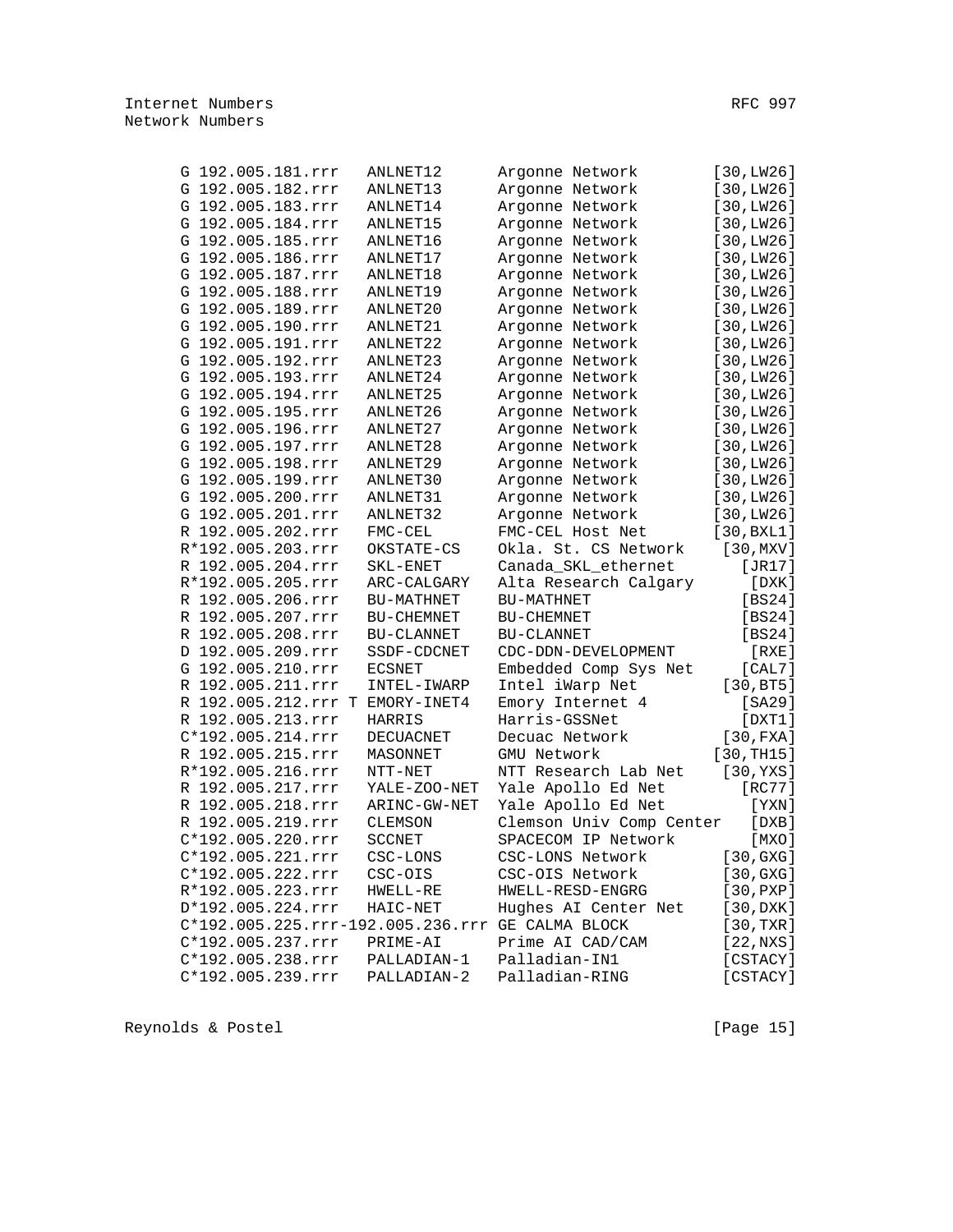| G 192.005.181.rrr                 | ANLNET12      | Argonne Network          | [30, LW26]  |
|-----------------------------------|---------------|--------------------------|-------------|
| G 192.005.182.rrr                 | ANLNET13      | Argonne Network          | [30, LW26]  |
| G 192.005.183.rrr                 | ANLNET14      | Argonne Network          | [30, LW26]  |
| G 192.005.184.rrr                 | ANLNET15      | Argonne Network          | [30, LW26]  |
| G 192.005.185.rrr                 | ANLNET16      | Argonne Network          | [30, LW26]  |
| G 192.005.186.rrr                 | ANLNET17      | Argonne Network          | [30, LW26]  |
| G 192.005.187.rrr                 | ANLNET18      | Argonne Network          | [30, LW26]  |
| G 192.005.188.rrr                 | ANLNET19      | Argonne Network          | [30, LW26]  |
| G 192.005.189.rrr                 | ANLNET20      | Argonne Network          | [30, LW26]  |
| G 192.005.190.rrr                 | ANLNET21      | Argonne Network          | [30, LW26]  |
| G 192.005.191.rrr                 | ANLNET22      | Argonne Network          | [30, LW26]  |
| G 192.005.192.rrr                 | ANLNET23      | Argonne Network          | [30, LW26]  |
| G 192.005.193.rrr                 | ANLNET24      | Argonne Network          | [30, LW26]  |
| G 192.005.194.rrr                 | ANLNET25      | Argonne Network          | [30, LW26]  |
| G 192.005.195.rrr                 | ANLNET26      | Argonne Network          | [30, LW26]  |
| G 192.005.196.rrr                 | ANLNET27      | Argonne Network          | [30, LW26]  |
| G 192.005.197.rrr                 | ANLNET28      | Argonne Network          | [30, LW26]  |
| G 192.005.198.rrr                 | ANLNET29      | Argonne Network          | [30, LW26]  |
| G 192.005.199.rrr                 | ANLNET30      | Argonne Network          | [30, LW26]  |
| G 192.005.200.rrr                 | ANLNET31      | Argonne Network          | [30, LW26]  |
| G 192.005.201.rrr                 | ANLNET32      | Argonne Network          | [30, LW26]  |
| R 192.005.202.rrr                 | $FMC-CEL$     | FMC-CEL Host Net         | [30, BXL1]  |
| R*192.005.203.rrr                 | OKSTATE-CS    | Okla. St. CS Network     | [30, MXY]   |
| R 192.005.204.rrr                 | SKL-ENET      | Canada_SKL_ethernet      | [JR17]      |
| R*192.005.205.rrr                 | ARC-CALGARY   | Alta Research Calgary    | [DXK]       |
| R 192.005.206.rrr                 | BU-MATHNET    | BU-MATHNET               | [BS24]      |
| R 192.005.207.rrr                 | BU-CHEMNET    | BU-CHEMNET               | [BS24]      |
| R 192.005.208.rrr                 | BU-CLANNET    | BU-CLANNET               | [BS24]      |
| D 192.005.209.rrr                 | SSDF-CDCNET   | CDC-DDN-DEVELOPMENT      | [RXE]       |
| G 192.005.210.rrr                 | <b>ECSNET</b> | Embedded Comp Sys Net    | [CAL7]      |
| R 192.005.211.rrr                 | INTEL-IWARP   | Intel iWarp Net          | [30, BT5]   |
| R 192.005.212.rrr T EMORY-INET4   |               | Emory Internet 4         | [SA29]      |
| R 192.005.213.rrr                 | HARRIS        | Harris-GSSNet            | [DXT1]      |
| C*192.005.214.rrr                 | DECUACNET     | Decuac Network           | [30, FXA]   |
| R 192.005.215.rrr                 | MASONNET      | GMU Network              | [30, TH15]  |
| R*192.005.216.rrr                 | $NTT-NET$     | NTT Research Lab Net     | [30, YXS]   |
| R 192.005.217.rrr                 | YALE-ZOO-NET  | Yale Apollo Ed Net       | [RC77]      |
| R 192.005.218.rrr                 | ARINC-GW-NET  | Yale Apollo Ed Net       | [YXN]       |
| R 192.005.219.rrr                 | CLEMSON       | Clemson Univ Comp Center | [DXB]       |
| C*192.005.220.rrr                 | <b>SCCNET</b> | SPACECOM IP Network      | $[$ MXO $]$ |
| C*192.005.221.rrr                 | CSC-LONS      | CSC-LONS Network         | [30, GXG]   |
| C*192.005.222.rrr                 | CSC-OIS       | CSC-OIS Network          | [30, GXG]   |
| R*192.005.223.rrr                 | HWELL-RE      | HWELL-RESD-ENGRG         | [30, PXP]   |
| D*192.005.224.rrr                 | HAIC-NET      | Hughes AI Center Net     | [30,DXK]    |
| C*192.005.225.rrr-192.005.236.rrr |               | GE CALMA BLOCK           | [30, TXR]   |
| C*192.005.237.rrr                 | PRIME-AI      | Prime AI CAD/CAM         | [22,NXS]    |
| C*192.005.238.rrr                 | PALLADIAN-1   | Palladian-IN1            | [CSTACY]    |
| C*192.005.239.rrr                 | PALLADIAN-2   | Palladian-RING           | [CSTACY]    |
|                                   |               |                          |             |

Reynolds & Postel [Page 15]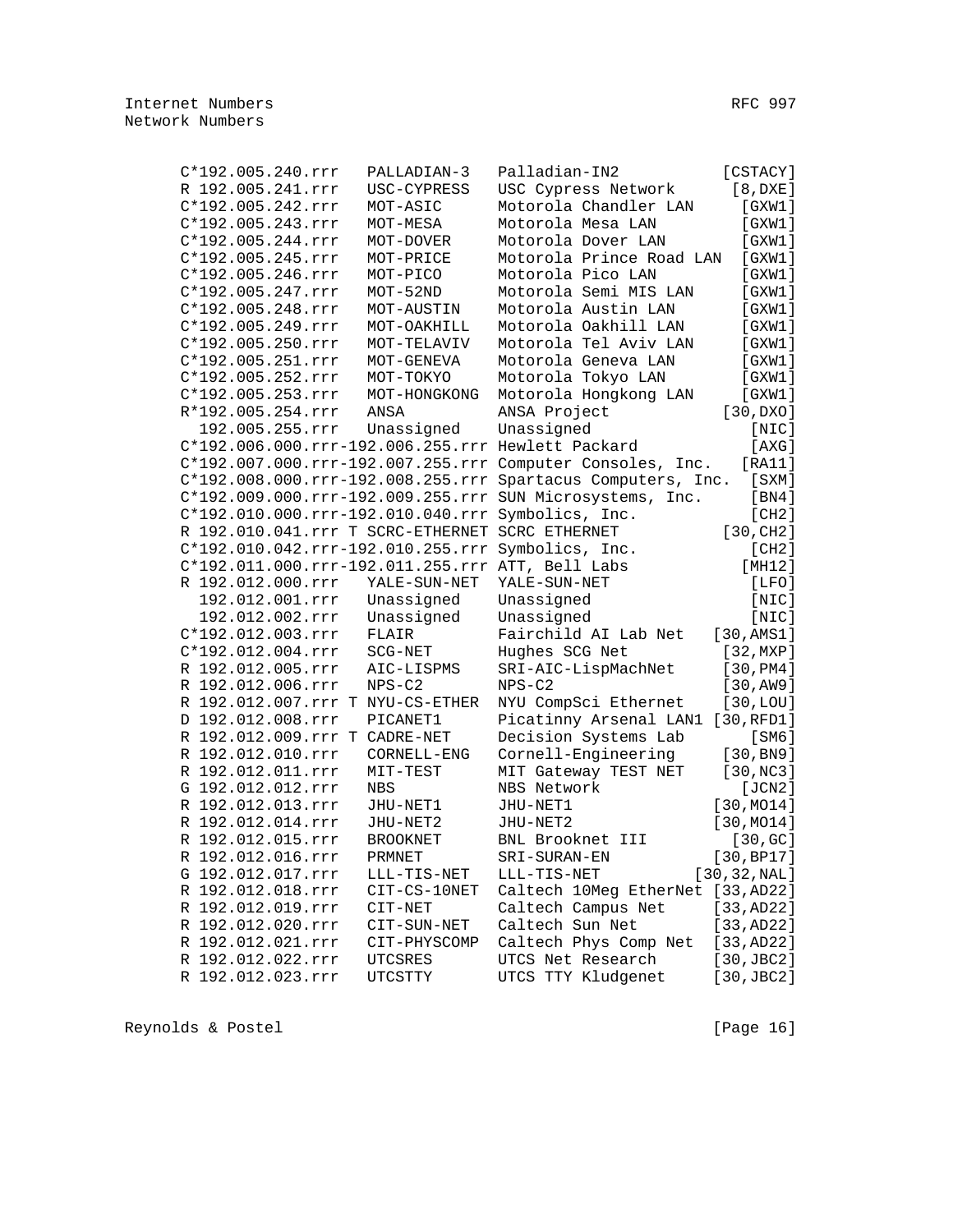| C*192.005.240.rrr   |  | PALLADIAN-3                                     | Palladian-IN2                                               | [CSTACY]               |
|---------------------|--|-------------------------------------------------|-------------------------------------------------------------|------------------------|
| R 192.005.241.rrr   |  | USC-CYPRESS                                     | USC Cypress Network                                         | [8,DXE]                |
| C*192.005.242.rrr   |  | MOT-ASIC                                        | Motorola Chandler LAN                                       | [GXW1]                 |
| C*192.005.243.rrr   |  | MOT-MESA                                        | Motorola Mesa LAN                                           | [GXW1]                 |
| C*192.005.244.rrr   |  | MOT-DOVER                                       | Motorola Dover LAN                                          | [GXW1]                 |
| C*192.005.245.rrr   |  | MOT-PRICE                                       | Motorola Prince Road LAN                                    | [GXW1]                 |
| C*192.005.246.rrr   |  | MOT-PICO                                        | Motorola Pico LAN                                           | [GXW1]                 |
| $C*192.005.247.rrr$ |  | $MOT-52ND$                                      | Motorola Semi MIS LAN                                       | [GXW1]                 |
| $C*192.005.248.rrr$ |  | MOT-AUSTIN                                      | Motorola Austin LAN                                         | [GXW1]                 |
| C*192.005.249.rrr   |  | MOT-OAKHILL                                     | Motorola Oakhill LAN                                        | [GXW1]                 |
| C*192.005.250.rrr   |  | MOT-TELAVIV                                     | Motorola Tel Aviv LAN                                       | [GXW1]                 |
| C*192.005.251.rrr   |  | MOT-GENEVA                                      | Motorola Geneva LAN                                         | [GXW1]                 |
| C*192.005.252.rrr   |  | MOT-TOKYO                                       | Motorola Tokyo LAN                                          | [GXW1]                 |
| C*192.005.253.rrr   |  | MOT-HONGKONG                                    | Motorola Hongkong LAN                                       | [GXW1]                 |
| R*192.005.254.rrr   |  | ANSA                                            | ANSA Project                                                | [30,DXO]               |
| 192.005.255.rrr     |  | Unassigned                                      | Unassigned                                                  | [NIC]                  |
|                     |  |                                                 | C*192.006.000.rrr-192.006.255.rrr Hewlett Packard           | [AXG]                  |
|                     |  |                                                 | C*192.007.000.rrr-192.007.255.rrr Computer Consoles, Inc.   | [RA11]                 |
|                     |  |                                                 | C*192.008.000.rrr-192.008.255.rrr Spartacus Computers, Inc. | $[$ SXM $]$            |
|                     |  |                                                 | C*192.009.000.rrr-192.009.255.rrr SUN Microsystems, Inc.    | [BN4]                  |
|                     |  |                                                 | C*192.010.000.rrr-192.010.040.rrr Symbolics, Inc.           | [CH2]                  |
|                     |  | R 192.010.041.rrr T SCRC-ETHERNET SCRC ETHERNET |                                                             | [30, CH2]              |
|                     |  |                                                 | C*192.010.042.rrr-192.010.255.rrr Symbolics, Inc.           | [CH2]                  |
|                     |  |                                                 | C*192.011.000.rrr-192.011.255.rrr ATT, Bell Labs            | [MH12]                 |
| R 192.012.000.rrr   |  | YALE-SUN-NET                                    | YALE-SUN-NET                                                | [LFO]                  |
| 192.012.001.rrr     |  | Unassigned                                      | Unassigned                                                  | [NIC]                  |
| 192.012.002.rrr     |  | Unassigned                                      | Unassigned                                                  | [NIC]                  |
| C*192.012.003.rrr   |  | FLAIR                                           | Fairchild AI Lab Net                                        | [30, AMS1]             |
| $C*192.012.004.rrr$ |  | SCG-NET                                         | Hughes SCG Net                                              | [32, MXP]              |
| R 192.012.005.rrr   |  | AIC-LISPMS                                      | SRI-AIC-LispMachNet                                         | [30, PM4]              |
| R 192.012.006.rrr   |  | $NPS-C2$                                        | $NPS-C2$                                                    | [30, AW9]              |
|                     |  | R 192.012.007.rrr T NYU-CS-ETHER                | NYU CompSci Ethernet                                        | [30, LOU]              |
| D 192.012.008.rrr   |  | PICANET1                                        | Picatinny Arsenal LAN1                                      | [30,RFD1]              |
|                     |  | R 192.012.009.rrr T CADRE-NET                   | Decision Systems Lab                                        | [SM6]                  |
| R 192.012.010.rrr   |  | CORNELL-ENG                                     | Cornell-Engineering                                         | [30, B <sub>N</sub> 9] |
| R 192.012.011.rrr   |  | MIT-TEST                                        | MIT Gateway TEST NET                                        | [30,NC3]               |
| G 192.012.012.rrr   |  | <b>NBS</b>                                      | NBS Network                                                 | [JCN2]                 |
| R 192.012.013.rrr   |  | JHU-NET1                                        | JHU-NET1                                                    | [30, MO14]             |
| R 192.012.014.rrr   |  | JHU-NET2                                        | JHU-NET2                                                    | [30, MO14]             |
| R 192.012.015.rrr   |  | <b>BROOKNET</b>                                 | BNL Brooknet III                                            | [30, GC]               |
| R 192.012.016.rrr   |  | PRMNET                                          | SRI-SURAN-EN                                                | [30, BPI7]             |
| G 192.012.017.rrr   |  | LLL-TIS-NET                                     | LLL-TIS-NET                                                 | [30, 32, NAL]          |
| R 192.012.018.rrr   |  | CIT-CS-10NET                                    | Caltech 10Meg EtherNet [33, AD22]                           |                        |
| R 192.012.019.rrr   |  | CIT-NET                                         | Caltech Campus Net                                          | [33, AD22]             |
| R 192.012.020.rrr   |  | CIT-SUN-NET                                     | Caltech Sun Net                                             | [33, AD22]             |
| R 192.012.021.rrr   |  | CIT-PHYSCOMP                                    | Caltech Phys Comp Net                                       | [33, AD22]             |
| R 192.012.022.rrr   |  | UTCSRES                                         | UTCS Net Research                                           | $[30, \text{JBC2}]$    |
| R 192.012.023.rrr   |  | UTCSTTY                                         | UTCS TTY Kludgenet                                          | $[30, \text{JBC2}]$    |
|                     |  |                                                 |                                                             |                        |

Reynolds & Postel (Page 16)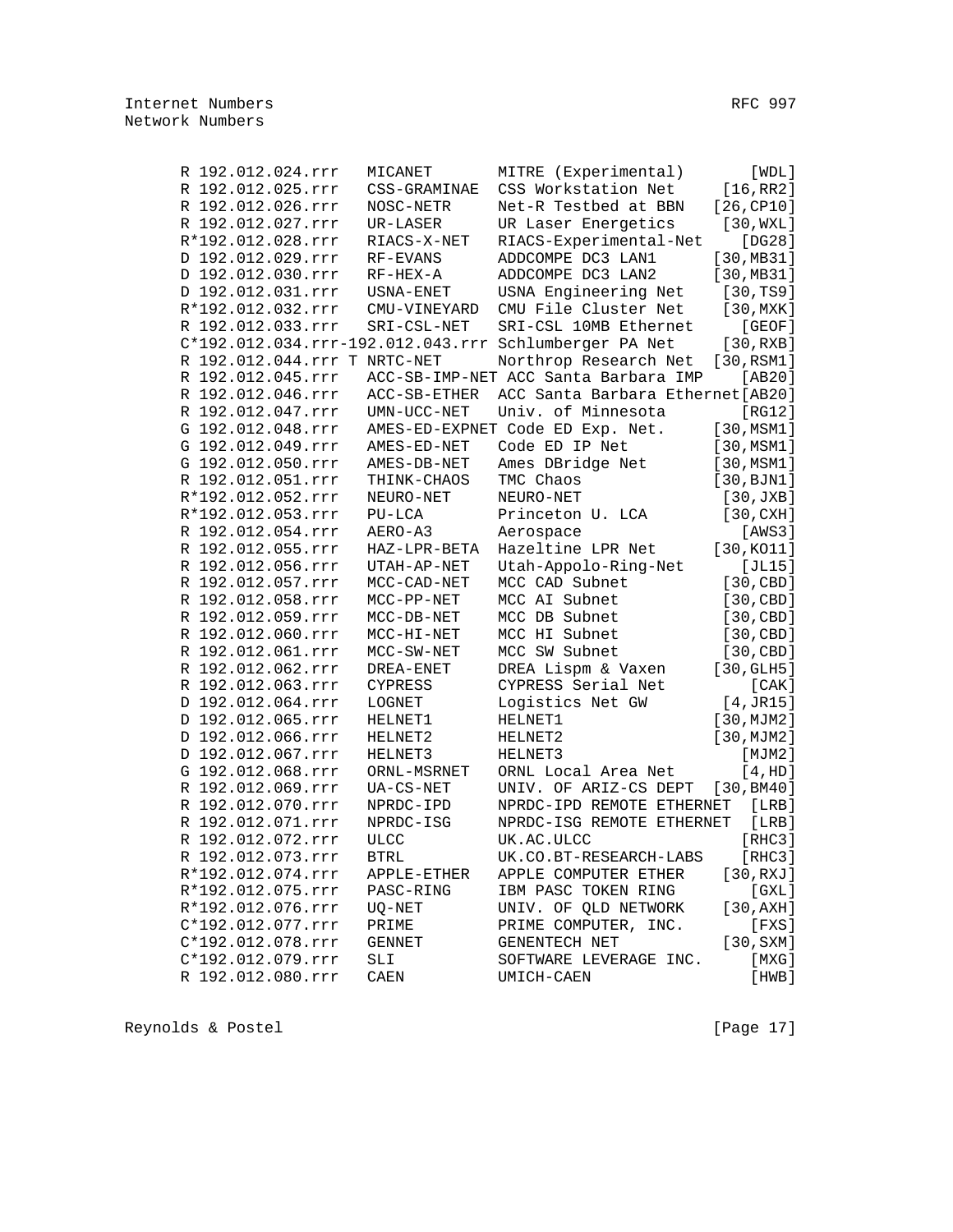| R 192.012.024.rrr            | MICANET      | MITRE (Experimental)                                  | [WDL]              |
|------------------------------|--------------|-------------------------------------------------------|--------------------|
| R 192.012.025.rrr            | CSS-GRAMINAE | CSS Workstation Net                                   | [16, RR2]          |
| R 192.012.026.rrr            | NOSC-NETR    | Net-R Testbed at BBN                                  | [26, CP10]         |
| R 192.012.027.rrr            | UR-LASER     | UR Laser Energetics                                   | [30, WXL]          |
| R*192.012.028.rrr            | RIACS-X-NET  | RIACS-Experimental-Net                                | [DG28]             |
| D 192.012.029.rrr            | $RF-EVANS$   | ADDCOMPE DC3 LAN1                                     | [30, MB31]         |
| D 192.012.030.rrr            | $RF-HEX-A$   | ADDCOMPE DC3 LAN2                                     | [30, MB31]         |
| D 192.012.031.rrr            | USNA-ENET    | USNA Engineering Net                                  | [30, TS9]          |
| R*192.012.032.rrr            | CMU-VINEYARD | CMU File Cluster Net                                  | $[30, \text{MXK}]$ |
| R 192.012.033.rrr            | SRI-CSL-NET  | SRI-CSL 10MB Ethernet                                 | [GEOF]             |
|                              |              | C*192.012.034.rrr-192.012.043.rrr Schlumberger PA Net | [30, RXB]          |
| R 192.012.044.rrr T NRTC-NET |              | Northrop Research Net                                 | [30, RSM1]         |
| R 192.012.045.rrr            |              | ACC-SB-IMP-NET ACC Santa Barbara IMP                  | [AB20]             |
| R 192.012.046.rrr            | ACC-SB-ETHER | ACC Santa Barbara Ethernet [AB20]                     |                    |
|                              |              |                                                       |                    |
| R 192.012.047.rrr            | UMN-UCC-NET  | Univ. of Minnesota                                    | [RG12]             |
| G 192.012.048.rrr            |              | AMES-ED-EXPNET Code ED Exp. Net.                      | [30, MSM1]         |
| G 192.012.049.rrr            | AMES-ED-NET  | Code ED IP Net                                        | [30, MSM1]         |
| G 192.012.050.rrr            | AMES-DB-NET  | Ames DBridge Net                                      | [30, MSM1]         |
| R 192.012.051.rrr            | THINK-CHAOS  | TMC Chaos                                             | [30, BJN1]         |
| R*192.012.052.rrr            | NEURO-NET    | NEURO-NET                                             | [30, JXB]          |
| R*192.012.053.rrr            | $PU-LCA$     | Princeton U. LCA                                      | [30, CXH]          |
| R 192.012.054.rrr            | AERO-A3      | Aerospace                                             | [AWS3]             |
| R 192.012.055.rrr            | HAZ-LPR-BETA | Hazeltine LPR Net                                     | [30, KO11]         |
| R 192.012.056.rrr            | UTAH-AP-NET  | Utah-Appolo-Ring-Net                                  | [JL15]             |
| R 192.012.057.rrr            | MCC-CAD-NET  | MCC CAD Subnet                                        | [30, CBD]          |
| R 192.012.058.rrr            | $MCC-PP-NET$ | MCC AI Subnet                                         | [30, CBD]          |
| R 192.012.059.rrr            | $MCC-DB-NET$ | MCC DB Subnet                                         | [30, CBD]          |
| R 192.012.060.rrr            | $MCC-HI-NET$ | MCC HI Subnet                                         | [30, CBD]          |
| R 192.012.061.rrr            | MCC-SW-NET   | MCC SW Subnet                                         | [30, CBD]          |
| R 192.012.062.rrr            | DREA-ENET    | DREA Lispm & Vaxen                                    | [30, GLH5]         |
| R 192.012.063.rrr            | CYPRESS      | CYPRESS Serial Net                                    | [CAK]              |
| D 192.012.064.rrr            | LOGNET       | Logistics Net GW                                      | [4, JR15]          |
| D 192.012.065.rrr            | HELNET1      | HELNET1                                               | [30, MJM2]         |
| D 192.012.066.rrr            | HELNET2      | HELNET2                                               | [30, MJM2]         |
| D 192.012.067.rrr            | HELNET3      | HELNET3                                               | [MJM2]             |
| G 192.012.068.rrr            | ORNL-MSRNET  | ORNL Local Area Net                                   | [4, HD]            |
| R 192.012.069.rrr            | UA-CS-NET    | UNIV. OF ARIZ-CS DEPT                                 | [30, BM40]         |
| R 192.012.070.rrr            | NPRDC-IPD    | NPRDC-IPD REMOTE ETHERNET                             | [LRB]              |
| R 192.012.071.rrr            | NPRDC-ISG    | NPRDC-ISG REMOTE ETHERNET                             | [LRB]              |
| R 192.012.072.rrr            | $ULCC$       | UK.AC.ULCC                                            | [RHC3]             |
| R 192.012.073.rrr            | <b>BTRL</b>  | UK.CO.BT-RESEARCH-LABS                                | [RHC3]             |
| R*192.012.074.rrr            | APPLE-ETHER  | APPLE COMPUTER ETHER                                  | [30, RXJ]          |
| R*192.012.075.rrr            | PASC-RING    | IBM PASC TOKEN RING                                   | [ GXL ]            |
| R*192.012.076.rrr            | UQ-NET       | UNIV. OF OLD NETWORK                                  | $[30, AXH]$        |
| C*192.012.077.rrr            | PRIME        | PRIME COMPUTER, INC.                                  | [FXS]              |
| C*192.012.078.rrr            | GENNET       | GENENTECH NET                                         | [30, SXM]          |
| C*192.012.079.rrr            | SLI          | SOFTWARE LEVERAGE INC.                                | [MXG]              |
| R 192.012.080.rrr            | CAEN         | UMICH-CAEN                                            | [HWB]              |
|                              |              |                                                       |                    |

Reynolds & Postel [Page 17]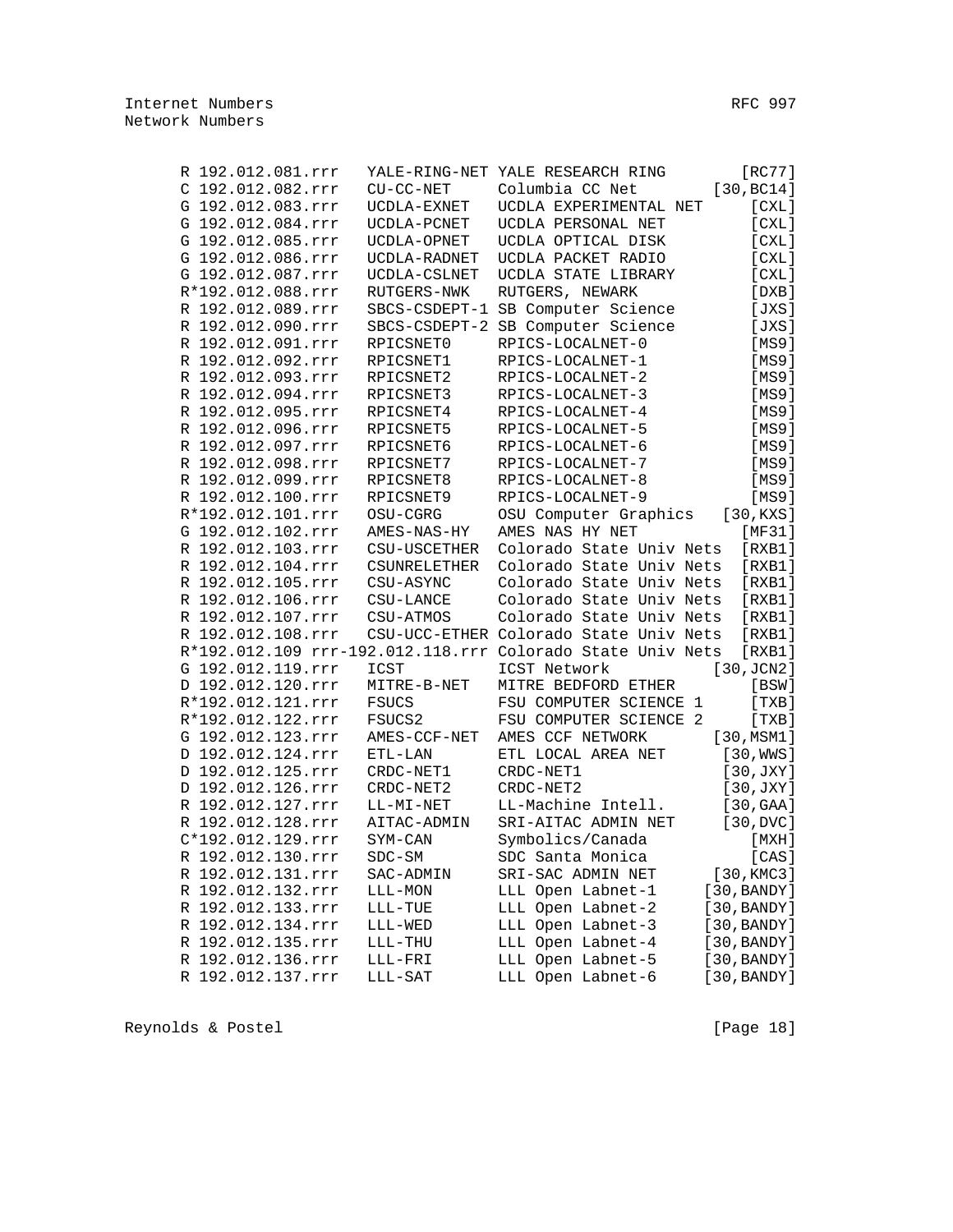| R 192.012.081.rrr |                     | YALE-RING-NET YALE RESEARCH RING                           | [RC77]      |
|-------------------|---------------------|------------------------------------------------------------|-------------|
| C 192.012.082.rrr | $CU-CC-NET$         | Columbia CC Net                                            | [30, BC14]  |
| G 192.012.083.rrr | UCDLA-EXNET         | UCDLA EXPERIMENTAL NET                                     | [CLL]       |
| G 192.012.084.rrr | UCDLA-PCNET         | UCDLA PERSONAL NET                                         | [CXL]       |
| G 192.012.085.rrr | UCDLA-OPNET         | UCDLA OPTICAL DISK                                         | [CXL]       |
| G 192.012.086.rrr | UCDLA-RADNET        | UCDLA PACKET RADIO                                         | [CXL]       |
| G 192.012.087.rrr | UCDLA-CSLNET        | UCDLA STATE LIBRARY                                        | [CXL]       |
| R*192.012.088.rrr | RUTGERS-NWK         | RUTGERS, NEWARK                                            | [DXB]       |
| R 192.012.089.rrr |                     | SBCS-CSDEPT-1 SB Computer Science                          | [JXS]       |
| R 192.012.090.rrr |                     | SBCS-CSDEPT-2 SB Computer Science                          | [JXS]       |
| R 192.012.091.rrr | RPICSNET0           | RPICS-LOCALNET-0                                           | [MS9]       |
| R 192.012.092.rrr | RPICSNET1           | RPICS-LOCALNET-1                                           | [MS9]       |
| R 192.012.093.rrr | RPICSNET2           | RPICS-LOCALNET-2                                           | [MS9]       |
| R 192.012.094.rrr | RPICSNET3           | RPICS-LOCALNET-3                                           | [MS9]       |
| R 192.012.095.rrr | RPICSNET4           | RPICS-LOCALNET-4                                           | [MS9]       |
| R 192.012.096.rrr | RPICSNET5           | RPICS-LOCALNET-5                                           | [MS9]       |
| R 192.012.097.rrr | RPICSNET6           | RPICS-LOCALNET-6                                           | [MS9]       |
| R 192.012.098.rrr | RPICSNET7           | RPICS-LOCALNET-7                                           | [MS9]       |
| R 192.012.099.rrr | RPICSNET8           | RPICS-LOCALNET-8                                           | [MS9]       |
| R 192.012.100.rrr | RPICSNET9           | RPICS-LOCALNET-9                                           | [MS9]       |
| R*192.012.101.rrr | OSU-CGRG            | OSU Computer Graphics                                      | [30,KXS]    |
| G 192.012.102.rrr | AMES-NAS-HY         | AMES NAS HY NET                                            | [MF31]      |
| R 192.012.103.rrr | CSU-USCETHER        | Colorado State Univ Nets                                   | [RXB1]      |
| R 192.012.104.rrr | <b>CSUNRELETHER</b> | Colorado State Univ Nets                                   | [RXB1]      |
| R 192.012.105.rrr | CSU-ASYNC           | Colorado State Univ Nets                                   | [RXB1]      |
| R 192.012.106.rrr | $CSU-LANCE$         | Colorado State Univ Nets                                   | [RXB1]      |
| R 192.012.107.rrr | CSU-ATMOS           | Colorado State Univ Nets                                   | [RXB1]      |
| R 192.012.108.rrr |                     | CSU-UCC-ETHER Colorado State Univ Nets                     | [RXB1]      |
|                   |                     | R*192.012.109 rrr-192.012.118.rrr Colorado State Univ Nets | [RXB1]      |
| G 192.012.119.rrr | ICST                | ICST Network                                               | [30, JCN2]  |
| D 192.012.120.rrr | MITRE-B-NET         | MITRE BEDFORD ETHER                                        | [BSW]       |
| R*192.012.121.rrr | FSUCS               | FSU COMPUTER SCIENCE 1                                     | [TXB]       |
| R*192.012.122.rrr | FSUCS2              | FSU COMPUTER SCIENCE 2                                     | [TXB]       |
| G 192.012.123.rrr | AMES-CCF-NET        | AMES CCF NETWORK                                           | [30, MSM1]  |
| D 192.012.124.rrr | $ETL-LAN$           | ETL LOCAL AREA NET                                         | [30, WWS]   |
| D 192.012.125.rrr | CRDC-NET1           | CRDC-NET1                                                  | [30, JXY]   |
| D 192.012.126.rrr | CRDC-NET2           | CRDC-NET2                                                  | [30, JXY]   |
| R 192.012.127.rrr | LL-MI-NET           | LL-Machine Intell.                                         | [30, GAA]   |
| R 192.012.128.rrr | AITAC-ADMIN         | SRI-AITAC ADMIN NET                                        | [30, DVC]   |
| C*192.012.129.rrr | SYM-CAN             | Symbolics/Canada                                           | [ MXH ]     |
| R 192.012.130.rrr | $SDC-SM$            | SDC Santa Monica                                           | [CAS]       |
| R 192.012.131.rrr | SAC-ADMIN           | SRI-SAC ADMIN NET                                          | [30, KMC3]  |
| R 192.012.132.rrr | LLL-MON             | LLL Open Labnet-1                                          | [30, BANDY] |
| R 192.012.133.rrr | LLL-TUE             | LLL Open Labnet-2                                          | [30, BANDY] |
| R 192.012.134.rrr | LLL-WED             | LLL Open Labnet-3                                          | [30, BANDY] |
| R 192.012.135.rrr | $LLL-THU$           | LLL Open Labnet-4                                          | [30, BANDY] |
| R 192.012.136.rrr | ${\tt LLL-FRI}$     | LLL Open Labnet-5                                          | [30, BANDY] |
| R 192.012.137.rrr | LLL-SAT             | LLL Open Labnet-6                                          | [30, BANDY] |
|                   |                     |                                                            |             |

Reynolds & Postel (Page 18)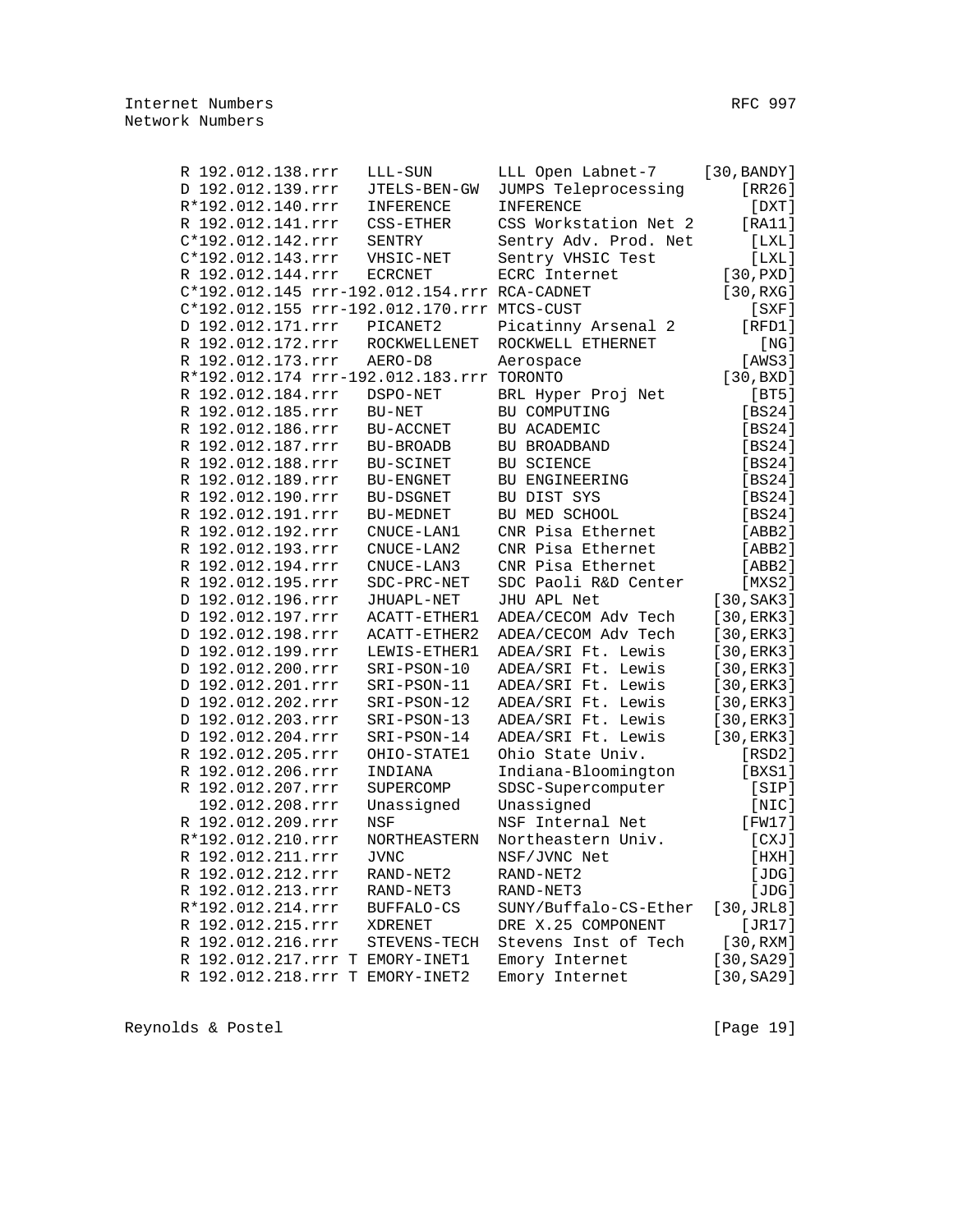| R 192.012.138.rrr                            | LLL-SUN            | LLL Open Labnet-7                         | [30, BANDY]     |
|----------------------------------------------|--------------------|-------------------------------------------|-----------------|
| D 192.012.139.rrr                            | JTELS-BEN-GW       | JUMPS Teleprocessing                      | [RR26]          |
| R*192.012.140.rrr                            | INFERENCE          | INFERENCE                                 | [DXT]           |
| R 192.012.141.rrr                            | CSS-ETHER          | CSS Workstation Net 2                     | [RA11]          |
| C*192.012.142.rrr                            | SENTRY             | Sentry Adv. Prod. Net                     | [LXL]           |
| C*192.012.143.rrr                            | VHSIC-NET          | Sentry VHSIC Test                         | [LXL]           |
| R 192.012.144.rrr                            | <b>ECRCNET</b>     | ECRC Internet                             | [30, PXD]       |
| C*192.012.145 rrr-192.012.154.rrr RCA-CADNET |                    |                                           | [30, RXG]       |
| C*192.012.155 rrr-192.012.170.rrr MTCS-CUST  |                    |                                           | $[$ SXF $]$     |
| D 192.012.171.rrr                            | PICANET2           | Picatinny Arsenal 2                       | [RFD1]          |
| R 192.012.172.rrr                            | ROCKWELLENET       | ROCKWELL ETHERNET                         | [NG]            |
| R 192.012.173.rrr                            | AERO-D8            | Aerospace                                 | [AWS3]          |
| R*192.012.174 rrr-192.012.183.rrr TORONTO    |                    |                                           | [30,BXD]        |
| R 192.012.184.rrr                            | DSPO-NET           | BRL Hyper Proj Net                        | [BT5]           |
| R 192.012.185.rrr                            | BU-NET             | BU COMPUTING                              | [BS24]          |
| R 192.012.186.rrr                            | BU-ACCNET          | BU ACADEMIC                               | [BS24]          |
| R 192.012.187.rrr                            | BU-BROADB          | BU BROADBAND                              | [BS24]          |
| R 192.012.188.rrr                            | BU-SCINET          | BU SCIENCE                                | [BS24]          |
| R 192.012.189.rrr                            | $\verb BU-ENGNET $ | BU ENGINEERING                            | [BS24]          |
| R 192.012.190.rrr                            | BU-DSGNET          | BU DIST SYS                               | [BS24]          |
| R 192.012.191.rrr                            | BU-MEDNET          | BU MED SCHOOL                             | [BS24]          |
| R 192.012.192.rrr                            | CNUCE-LAN1         | CNR Pisa Ethernet                         | [ABB2]          |
| R 192.012.193.rrr                            | CNUCE-LAN2         | CNR Pisa Ethernet                         | [ABB2]          |
| R 192.012.194.rrr                            |                    |                                           |                 |
|                                              | CNUCE-LAN3         | CNR Pisa Ethernet<br>SDC Paoli R&D Center | [ABB2]          |
| R 192.012.195.rrr                            | SDC-PRC-NET        |                                           | [MXS2]          |
| D 192.012.196.rrr                            | JHUAPL-NET         | JHU APL Net                               | [30, SAK3]      |
| D 192.012.197.rrr                            | ACATT-ETHER1       | ADEA/CECOM Adv Tech                       | [30, ERK3]      |
| D 192.012.198.rrr                            | ACATT-ETHER2       | ADEA/CECOM Adv Tech                       | [30, ERK3]      |
| D 192.012.199.rrr                            | LEWIS-ETHER1       | ADEA/SRI Ft. Lewis                        | [30, ERK3]      |
| D 192.012.200.rrr                            | SRI-PSON-10        | ADEA/SRI Ft. Lewis                        | [30, ERK3]      |
| D 192.012.201.rrr                            | SRI-PSON-11        | ADEA/SRI Ft. Lewis                        | [30, ERK3]      |
| D 192.012.202.rrr                            | SRI-PSON-12        | ADEA/SRI Ft. Lewis                        | [30, ERK3]      |
| D 192.012.203.rrr                            | SRI-PSON-13        | ADEA/SRI Ft. Lewis                        | [30, ERK3]      |
| D 192.012.204.rrr                            | SRI-PSON-14        | ADEA/SRI Ft. Lewis                        | [30, ERK3]      |
| R 192.012.205.rrr                            | OHIO-STATE1        | Ohio State Univ.                          | $[$ RSD $2]$    |
| R 192.012.206.rrr                            | INDIANA            | Indiana-Bloomington                       | [BXS1]          |
| R 192.012.207.rrr                            | SUPERCOMP          | SDSC-Supercomputer                        | [SIP]           |
| 192.012.208.rrr                              | Unassigned         | Unassigned                                | [NIC]           |
| R 192.012.209.rrr                            | <b>NSF</b>         | NSF Internal Net                          | [FW17]          |
| R*192.012.210.rrr                            | NORTHEASTERN       | Northeastern Univ.                        | [CXJ]           |
| R 192.012.211.rrr                            | <b>JVNC</b>        | NSF/JVNC Net                              | [HXH]           |
| R 192.012.212.rrr                            | RAND-NET2          | RAND-NET2                                 | [JDG]           |
| R 192.012.213.rrr                            | RAND-NET3          | RAND-NET3                                 | [JDG]           |
| R*192.012.214.rrr                            | BUFFALO-CS         | SUNY/Buffalo-CS-Ether                     | $[30,$ JRL $8]$ |
| R 192.012.215.rrr                            | XDRENET            | DRE X.25 COMPONENT                        | [JR17]          |
| R 192.012.216.rrr                            | STEVENS-TECH       | Stevens Inst of Tech                      | [30, RXM]       |
| R 192.012.217.rrr T EMORY-INET1              |                    | Emory Internet                            | [30, SA29]      |
| R 192.012.218.rrr T EMORY-INET2              |                    | Emory Internet                            | [30, SA29]      |

Reynolds & Postel [Page 19]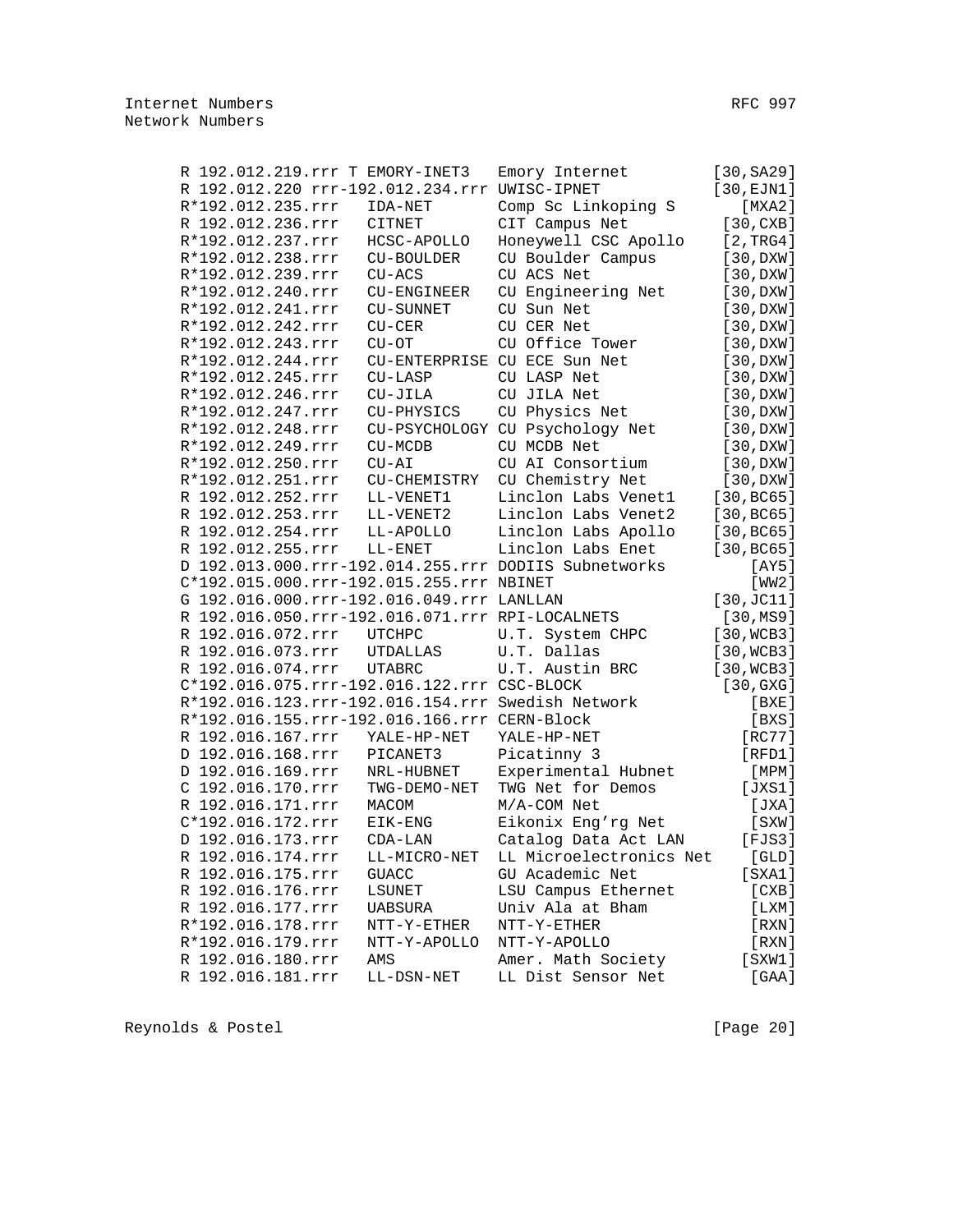|                   |  | R 192.012.219.rrr T EMORY-INET3                 | Emory Internet                                       | [30, SA29]          |
|-------------------|--|-------------------------------------------------|------------------------------------------------------|---------------------|
|                   |  | R 192.012.220 rrr-192.012.234.rrr UWISC-IPNET   |                                                      | [30, EJM1]          |
| R*192.012.235.rrr |  | IDA-NET                                         | Comp Sc Linkoping S                                  | [MXA2 ]             |
| R 192.012.236.rrr |  | CITNET                                          | CIT Campus Net                                       | [30, CXB]           |
| R*192.012.237.rrr |  | HCSC-APOLLO                                     | Honeywell CSC Apollo                                 | [2, TRG4]           |
| R*192.012.238.rrr |  | <b>CU-BOULDER</b>                               | CU Boulder Campus                                    | [30,DXW]            |
| R*192.012.239.rrr |  | $CU-ACS$                                        | CU ACS Net                                           | [30,DXW]            |
| R*192.012.240.rrr |  | CU-ENGINEER                                     | CU Engineering Net                                   | [30,DXW]            |
| R*192.012.241.rrr |  | CU-SUNNET                                       | CU Sun Net                                           | [30,DXW]            |
| R*192.012.242.rrr |  | $CU-CER$                                        | CU CER Net                                           | [30,DXW]            |
| R*192.012.243.rrr |  | $CU-OT$                                         | CU Office Tower                                      | [30,DXW]            |
| R*192.012.244.rrr |  |                                                 | CU-ENTERPRISE CU ECE Sun Net                         | [30,DXW]            |
| R*192.012.245.rrr |  | $CU-LASP$                                       | CU LASP Net                                          | [30,DXW]            |
| R*192.012.246.rrr |  | $CU-JILA$                                       | CU JILA Net                                          | [30,DXW]            |
| R*192.012.247.rrr |  | CU-PHYSICS                                      | CU Physics Net                                       | [30,DXW]            |
| R*192.012.248.rrr |  |                                                 | CU-PSYCHOLOGY CU Psychology Net                      | [30,DXW]            |
| R*192.012.249.rrr |  | CU-MCDB                                         | CU MCDB Net                                          | [30,DXW]            |
| R*192.012.250.rrr |  | $CU-AI$                                         | CU AI Consortium                                     | [30,DXW]            |
| R*192.012.251.rrr |  | CU-CHEMISTRY                                    | CU Chemistry Net                                     | [30,DXW]            |
| R 192.012.252.rrr |  | LL-VENET1                                       | Linclon Labs Venet1                                  | [30, BC65]          |
| R 192.012.253.rrr |  | LL-VENET2                                       | Linclon Labs Venet2                                  | [30, BC65]          |
| R 192.012.254.rrr |  | LL-APOLLO                                       | Linclon Labs Apollo                                  | [30, BC65]          |
| R 192.012.255.rrr |  | LL-ENET                                         | Linclon Labs Enet                                    | [30, BC65]          |
|                   |  |                                                 | D 192.013.000.rrr-192.014.255.rrr DODIIS Subnetworks |                     |
|                   |  |                                                 |                                                      | [AY5]               |
|                   |  | C*192.015.000.rrr-192.015.255.rrr NBINET        |                                                      | [WW2]               |
|                   |  | G 192.016.000.rrr-192.016.049.rrr LANLLAN       |                                                      | $[30, \text{JCl1}]$ |
|                   |  | R 192.016.050.rrr-192.016.071.rrr RPI-LOCALNETS |                                                      | [30, MS9]           |
| R 192.016.072.rrr |  | <b>UTCHPC</b>                                   | U.T. System CHPC                                     | [30, WCB3]          |
| R 192.016.073.rrr |  | UTDALLAS                                        | U.T. Dallas                                          | [30, WCB3]          |
| R 192.016.074.rrr |  | <b>UTABRC</b>                                   | U.T. Austin BRC                                      | [30, WCB3]          |
|                   |  | C*192.016.075.rrr-192.016.122.rrr CSC-BLOCK     |                                                      | [30, GXG]           |
|                   |  |                                                 | R*192.016.123.rrr-192.016.154.rrr Swedish Network    | [BXE]               |
|                   |  | R*192.016.155.rrr-192.016.166.rrr CERN-Block    |                                                      | [BXS]               |
| R 192.016.167.rrr |  | YALE-HP-NET                                     | YALE-HP-NET                                          | [RC77]              |
| D 192.016.168.rrr |  | PICANET3                                        | Picatinny 3                                          | [RFD1]              |
| D 192.016.169.rrr |  | NRL-HUBNET                                      | Experimental Hubnet                                  | $[$ MPM $]$         |
| C 192.016.170.rrr |  | TWG-DEMO-NET                                    | TWG Net for Demos                                    | [JXS1]              |
| R 192.016.171.rrr |  | MACOM                                           | M/A-COM Net                                          | [JXA]               |
| C*192.016.172.rrr |  | EIK-ENG                                         | Eikonix Eng'rg Net                                   | [SXW]               |
| D 192.016.173.rrr |  | $CDA-LAN$                                       | Catalog Data Act LAN                                 | [FJS3]              |
| R 192.016.174.rrr |  |                                                 | LL-MICRO-NET LL Microelectronics Net                 | $[$ GLD $]$         |
| R 192.016.175.rrr |  | <b>GUACC</b>                                    | GU Academic Net                                      | [SXA1]              |
| R 192.016.176.rrr |  | LSUNET                                          | LSU Campus Ethernet                                  | [CXB]               |
| R 192.016.177.rrr |  | UABSURA                                         | Univ Ala at Bham                                     | [LXM]               |
| R*192.016.178.rrr |  | NTT-Y-ETHER                                     | NTT-Y-ETHER                                          | [RXN]               |
| R*192.016.179.rrr |  | NTT-Y-APOLLO                                    | NTT-Y-APOLLO                                         | [RXN]               |
| R 192.016.180.rrr |  | AMS                                             | Amer. Math Society                                   | [SXW1]              |
| R 192.016.181.rrr |  | $_{\rm LL-DSN-NET}$                             | LL Dist Sensor Net                                   | $[GAA]$             |

Reynolds & Postel (Page 20)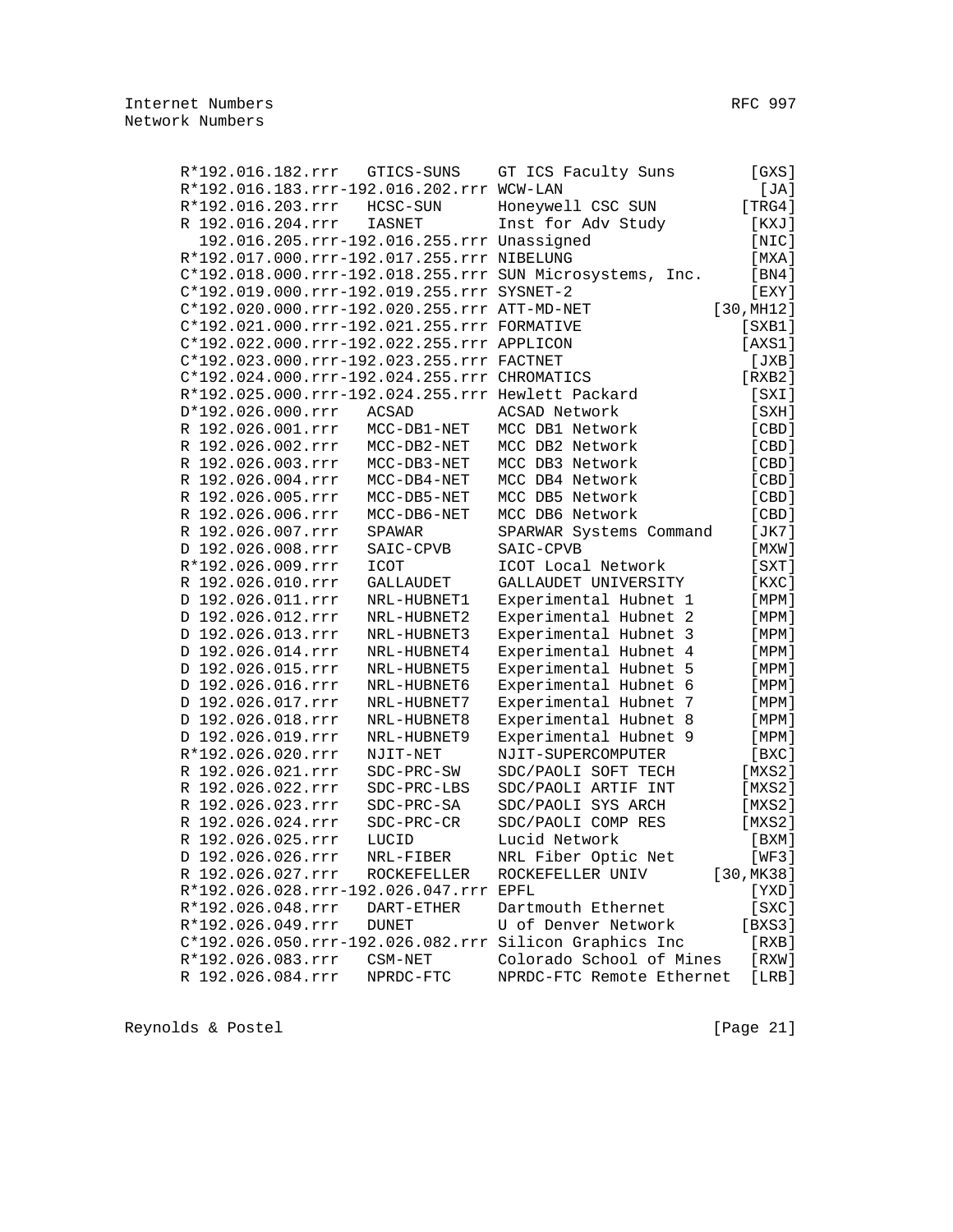|                   | R*192.016.182.rrr GTICS-SUNS                      | [GXS]<br>GT ICS Faculty Suns                                      |
|-------------------|---------------------------------------------------|-------------------------------------------------------------------|
|                   | R*192.016.183.rrr-192.016.202.rrr WCW-LAN         | [JA]                                                              |
| R*192.016.203.rrr | HCSC-SUN                                          | [TRG4]<br>Honeywell CSC SUN                                       |
| R 192.016.204.rrr | <b>IASNET</b>                                     | Inst for Adv Study<br>[ KXJ ]                                     |
|                   | 192.016.205.rrr-192.016.255.rrr Unassigned        | [NIC]                                                             |
|                   | R*192.017.000.rrr-192.017.255.rrr NIBELUNG        | [MXA]                                                             |
|                   |                                                   | C*192.018.000.rrr-192.018.255.rrr SUN Microsystems, Inc.<br>[BN4] |
|                   | C*192.019.000.rrr-192.019.255.rrr SYSNET-2        | $[$ EXY $]$                                                       |
|                   | C*192.020.000.rrr-192.020.255.rrr ATT-MD-NET      | [30, MHz]                                                         |
|                   | C*192.021.000.rrr-192.021.255.rrr FORMATIVE       | $[$ SXB $1]$                                                      |
|                   | C*192.022.000.rrr-192.022.255.rrr APPLICON        | [AXS1]                                                            |
|                   | C*192.023.000.rrr-192.023.255.rrr FACTNET         | [JXB]                                                             |
|                   | C*192.024.000.rrr-192.024.255.rrr CHROMATICS      | [RXB2]                                                            |
|                   | R*192.025.000.rrr-192.024.255.rrr Hewlett Packard | [SXI]                                                             |
| D*192.026.000.rrr | ACSAD                                             | ACSAD Network<br>[SXH]                                            |
| R 192.026.001.rrr | MCC-DB1-NET                                       | MCC DB1 Network<br>[ CBD ]                                        |
| R 192.026.002.rrr | MCC-DB2-NET                                       | MCC DB2 Network<br>[ CBD ]                                        |
| R 192.026.003.rrr | MCC-DB3-NET                                       | MCC DB3 Network<br>[CBD]                                          |
| R 192.026.004.rrr | MCC-DB4-NET                                       | MCC DB4 Network<br>[CBD]                                          |
| R 192.026.005.rrr | MCC-DB5-NET                                       | MCC DB5 Network<br>[CBD]                                          |
| R 192.026.006.rrr | MCC-DB6-NET                                       | [CBD]<br>MCC DB6 Network                                          |
| R 192.026.007.rrr | SPAWAR                                            | [JK7]<br>SPARWAR Systems Command                                  |
| D 192.026.008.rrr | SAIC-CPVB                                         | SAIC-CPVB<br>[MXW]                                                |
| R*192.026.009.rrr | ICOT                                              | $[$ SXT $]$<br>ICOT Local Network                                 |
| R 192.026.010.rrr | GALLAUDET                                         | GALLAUDET UNIVERSITY<br>[KXC]                                     |
| D 192.026.011.rrr | NRL-HUBNET1                                       | Experimental Hubnet 1<br>[MPM]                                    |
| D 192.026.012.rrr | NRL-HUBNET2                                       | Experimental Hubnet 2<br>[MPM]                                    |
| D 192.026.013.rrr | NRL-HUBNET3                                       | Experimental Hubnet 3<br>[MPM]                                    |
| D 192.026.014.rrr | NRL-HUBNET4                                       | Experimental Hubnet 4<br>[MPM]                                    |
| D 192.026.015.rrr | NRL-HUBNET5                                       | Experimental Hubnet 5<br>[MPM]                                    |
| D 192.026.016.rrr | NRL-HUBNET6                                       | Experimental Hubnet 6<br>[MPM]                                    |
| D 192.026.017.rrr | NRL-HUBNET7                                       | Experimental Hubnet 7<br>[ MPM ]                                  |
| D 192.026.018.rrr | NRL-HUBNET8                                       | Experimental Hubnet 8<br>[MPM]                                    |
| D 192.026.019.rrr | NRL-HUBNET9                                       | Experimental Hubnet 9<br>[MPM]                                    |
| R*192.026.020.rrr | NJIT-NET                                          | NJIT-SUPERCOMPUTER<br>[ BXC ]                                     |
| R 192.026.021.rrr | SDC-PRC-SW                                        | SDC/PAOLI SOFT TECH<br>[MXS2]                                     |
| R 192.026.022.rrr | SDC-PRC-LBS                                       | [MXS2]<br>SDC/PAOLI ARTIF INT                                     |
| R 192.026.023.rrr | SDC-PRC-SA                                        | SDC/PAOLI SYS ARCH<br>[MXS2]                                      |
| R 192.026.024.rrr | SDC-PRC-CR                                        | [MXS2]<br>SDC/PAOLI COMP RES                                      |
| R 192.026.025.rrr | LUCID                                             | Lucid Network<br>[ BXM ]                                          |
| D 192.026.026.rrr | NRL-FIBER                                         | NRL Fiber Optic Net<br>$[\mathrm{\,WF3\,}]$                       |
| R 192.026.027.rrr | ROCKEFELLER                                       | [30, MK38]<br>ROCKEFELLER UNIV                                    |
|                   | R*192.026.028.rrr-192.026.047.rrr EPFL            | [YXD]                                                             |
| R*192.026.048.rrr | DART-ETHER                                        | [SXC]<br>Dartmouth Ethernet                                       |
| R*192.026.049.rrr | <b>DUNET</b>                                      | U of Denver Network<br>[BXS3]                                     |
|                   |                                                   | C*192.026.050.rrr-192.026.082.rrr Silicon Graphics Inc<br>[ RXB ] |
| R*192.026.083.rrr | CSM-NET                                           | Colorado School of Mines<br>[RXW]                                 |
| R 192.026.084.rrr | NPRDC-FTC                                         | NPRDC-FTC Remote Ethernet<br>[LRB]                                |
|                   |                                                   |                                                                   |

Reynolds & Postel (Page 21)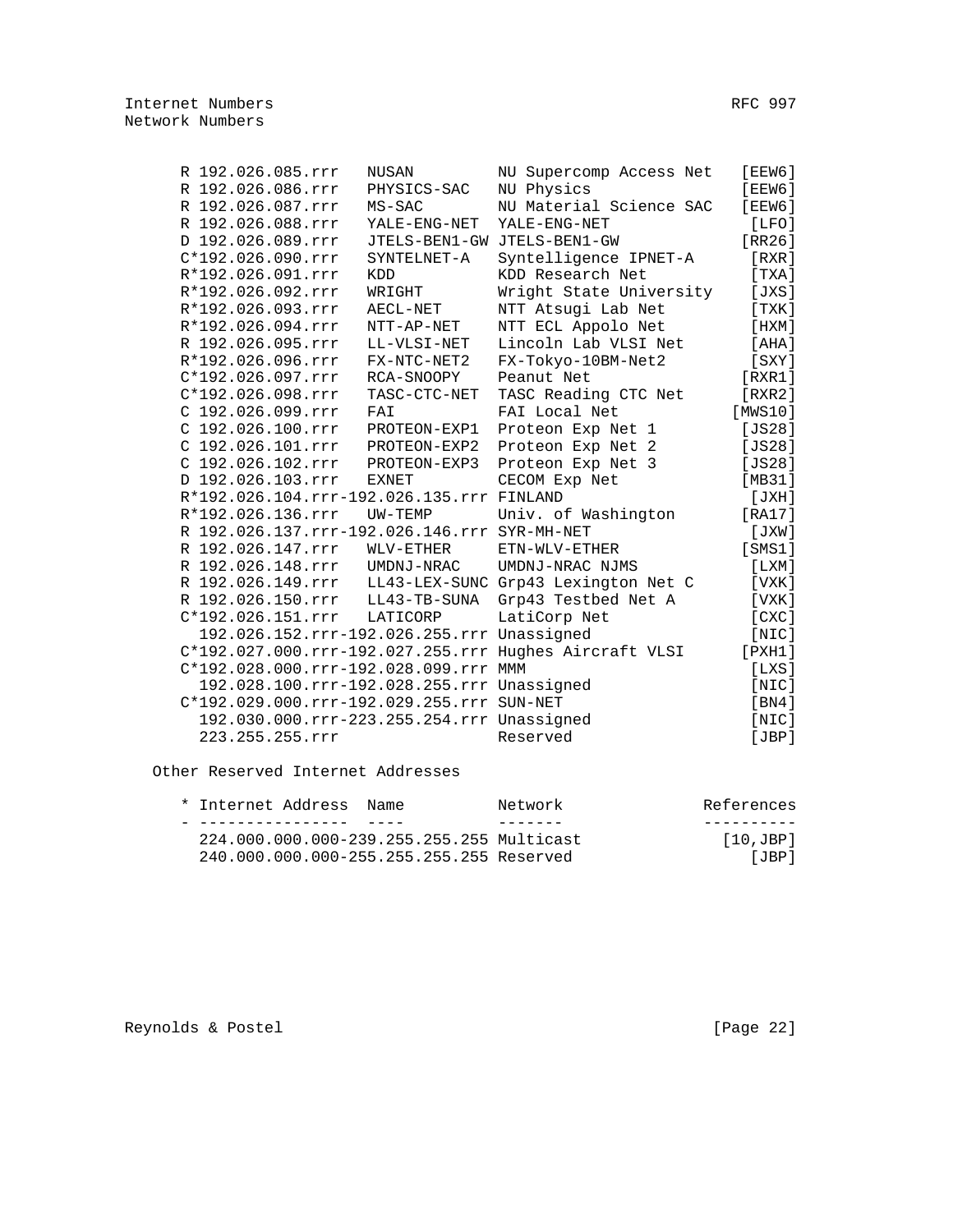| R 192.026.085.rrr                            | NUSAN        | NU Supercomp Access Net                                | [EEW6]      |
|----------------------------------------------|--------------|--------------------------------------------------------|-------------|
| R 192.026.086.rrr                            | PHYSICS-SAC  | NU Physics                                             | [EEW6]      |
| R 192.026.087.rrr                            | $MS-SAC$     | NU Material Science SAC                                | [EEW6]      |
| R 192.026.088.rrr                            | YALE-ENG-NET | YALE-ENG-NET                                           | [LFO]       |
| D 192.026.089.rrr                            |              | JTELS-BEN1-GW JTELS-BEN1-GW                            | [RR26]      |
| $C*192.026.090.rrr$                          | SYNTELNET-A  | Syntelligence IPNET-A                                  | [RXR]       |
| R*192.026.091.rrr                            | <b>KDD</b>   | KDD Research Net                                       | [ TXA ]     |
| R*192.026.092.rrr                            | WRIGHT       | Wright State University                                | [JXS]       |
| R*192.026.093.rrr                            | AECL-NET     | NTT Atsugi Lab Net                                     | [TXK]       |
| R*192.026.094.rrr                            | NTT-AP-NET   | NTT ECL Appolo Net                                     | [HXM]       |
| R 192.026.095.rrr                            | LL-VLSI-NET  | Lincoln Lab VLSI Net                                   | [AHA]       |
| R*192.026.096.rrr                            | FX-NTC-NET2  | FX-Tokyo-10BM-Net2                                     | $[$ SXY $]$ |
| $C*192.026.097.rrr$                          | RCA-SNOOPY   | Peanut Net                                             | [RXR1]      |
| C*192.026.098.rrr                            | TASC-CTC-NET | TASC Reading CTC Net                                   | [RXR2]      |
| $C$ 192.026.099.rrr                          | FAI          | FAI Local Net                                          | [MWS10]     |
| C 192.026.100.rrr                            | PROTEON-EXP1 | Proteon Exp Net 1                                      | [JS28]      |
| $C$ 192.026.101.rrr                          | PROTEON-EXP2 | Proteon Exp Net 2                                      | [JS28]      |
| $C$ 192.026.102.rrr                          | PROTEON-EXP3 | Proteon Exp Net 3                                      | [JS28]      |
| D 192.026.103.rrr                            | <b>EXNET</b> | CECOM Exp Net                                          | [MB31]      |
| R*192.026.104.rrr-192.026.135.rrr FINLAND    |              |                                                        | [JXH]       |
| R*192.026.136.rrr                            | UW-TEMP      | Univ. of Washington                                    | [RA17]      |
| R 192.026.137.rrr-192.026.146.rrr SYR-MH-NET |              |                                                        | [JXW]       |
| R 192.026.147.rrr                            | WLV-ETHER    | ETN-WLV-ETHER                                          | [SMS1]      |
| R 192.026.148.rrr                            | UMDNJ-NRAC   | UMDNJ-NRAC NJMS                                        | [LXM]       |
| R 192.026.149.rrr                            |              | LL43-LEX-SUNC Grp43 Lexington Net C                    | [ VXK ]     |
| R 192.026.150.rrr                            | LL43-TB-SUNA | Grp43 Testbed Net A                                    | [ VXK ]     |
| $C*192.026.151.rrr$                          | LATICORP     | LatiCorp Net                                           | [CXC]       |
| 192.026.152.rrr-192.026.255.rrr Unassigned   |              |                                                        | [NIC]       |
|                                              |              | C*192.027.000.rrr-192.027.255.rrr Hughes Aircraft VLSI | [PXH1]      |
| C*192.028.000.rrr-192.028.099.rrr MMM        |              |                                                        | [LXS]       |
| 192.028.100.rrr-192.028.255.rrr Unassigned   |              |                                                        | [NIC]       |
| C*192.029.000.rrr-192.029.255.rrr SUN-NET    |              |                                                        | [BN4]       |
| 192.030.000.rrr-223.255.254.rrr Unassigned   |              |                                                        | [NIC]       |
| 223.255.255.rrr                              |              | Reserved                                               | [JBP]       |

Other Reserved Internet Addresses

| * Internet Address                        | Name | Network | References     |
|-------------------------------------------|------|---------|----------------|
|                                           |      |         |                |
| 224.000.000.000-239.255.255.255 Multicast |      |         | $[10,$ JBP $]$ |
| 240.000.000.000-255.255.255.255 Reserved  |      |         | [JBP]          |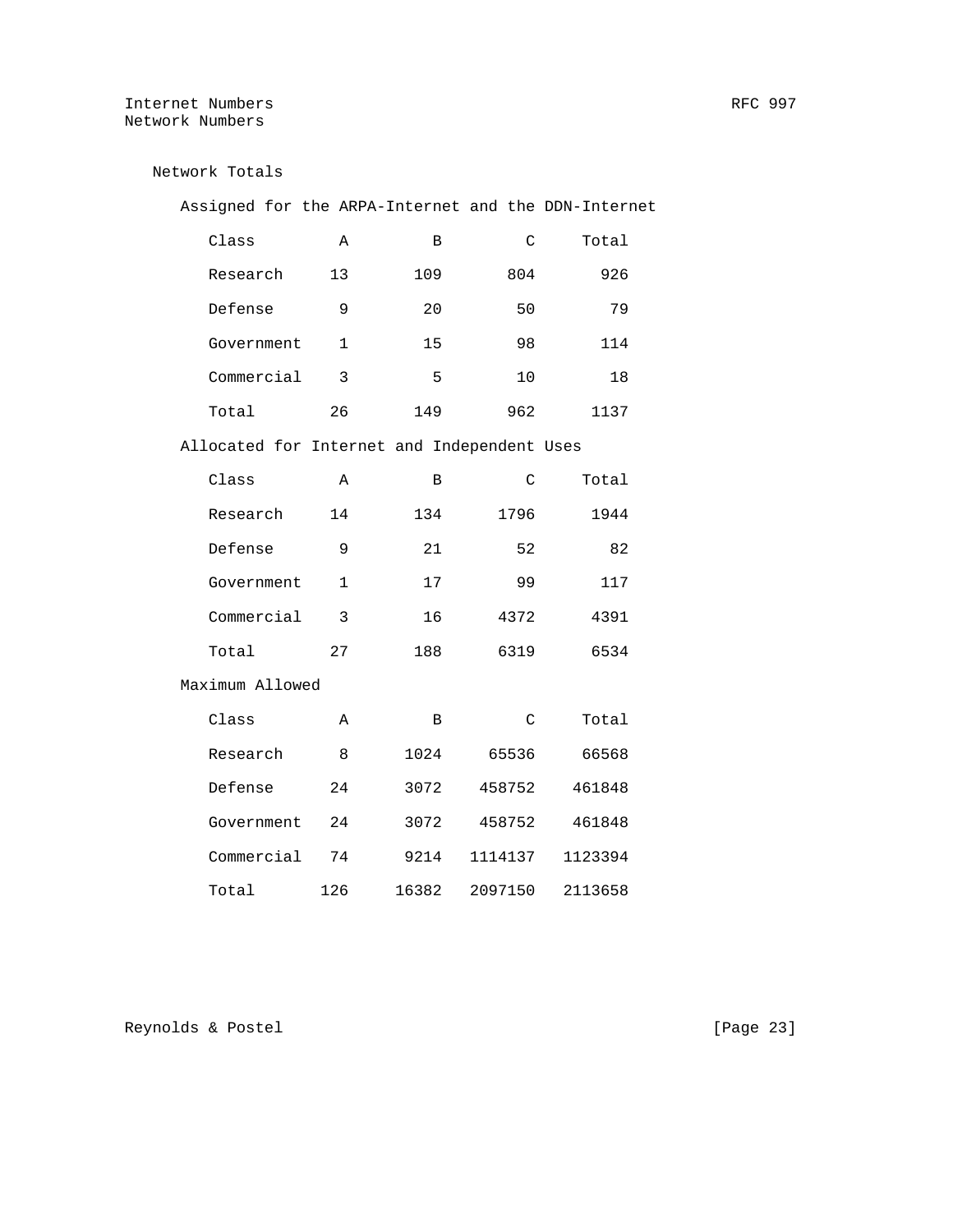# Internet Numbers **RFC** 997 Network Numbers

| Network Totals                                      |              |       |         |         |
|-----------------------------------------------------|--------------|-------|---------|---------|
| Assigned for the ARPA-Internet and the DDN-Internet |              |       |         |         |
| Class                                               | Α            | B     | C       | Total   |
| Research                                            | 13           | 109   | 804     | 926     |
| Defense                                             | 9            | 20    | 50      | 79      |
| Government                                          | $\mathbf{1}$ | 15    | 98      | 114     |
| Commercial                                          | 3            | 5     | 10      | 18      |
| Total                                               | 26           | 149   | 962     | 1137    |
| Allocated for Internet and Independent Uses         |              |       |         |         |
| Class                                               | Α            | B     | C       | Total   |
| Research                                            | 14           | 134   | 1796    | 1944    |
| Defense                                             | 9            | 21    | 52      | 82      |
| Government                                          | $\mathbf{1}$ | 17    | 99      | 117     |
| Commercial                                          | 3            | 16    | 4372    | 4391    |
| Total                                               | 27           | 188   | 6319    | 6534    |
| Maximum Allowed                                     |              |       |         |         |
| Class                                               | Α            | В     | C       | Total   |
| Research                                            | 8            | 1024  | 65536   | 66568   |
| Defense                                             | 24           | 3072  | 458752  | 461848  |
| Government                                          | 24           | 3072  | 458752  | 461848  |
| Commercial                                          | 74           | 9214  | 1114137 | 1123394 |
| Total                                               | 126          | 16382 | 2097150 | 2113658 |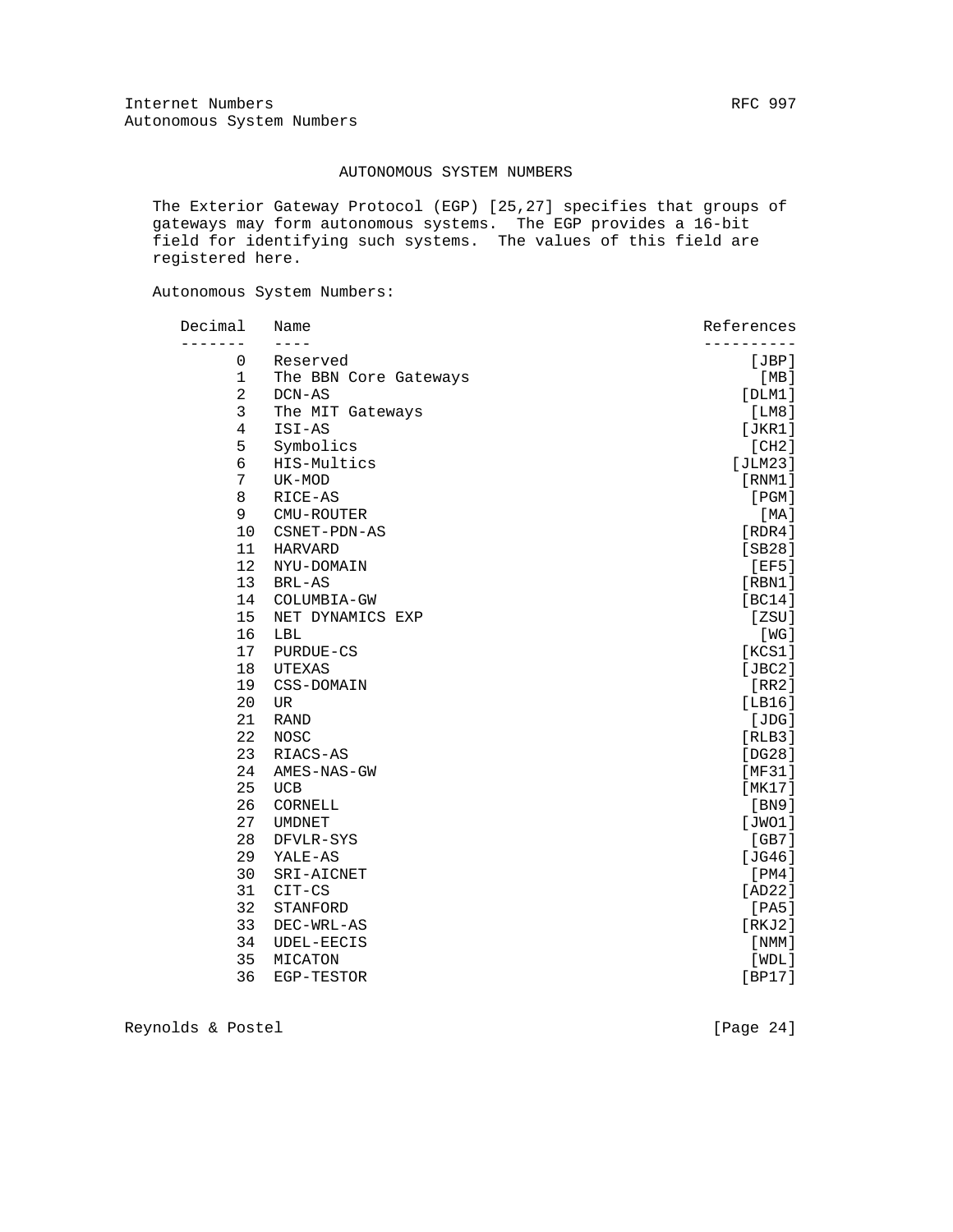## AUTONOMOUS SYSTEM NUMBERS

 The Exterior Gateway Protocol (EGP) [25,27] specifies that groups of gateways may form autonomous systems. The EGP provides a 16-bit field for identifying such systems. The values of this field are registered here.

Autonomous System Numbers:

| Decimal        | Name                  | References |
|----------------|-----------------------|------------|
|                |                       |            |
| 0              | Reserved              | [JBP]      |
| $\mathbf 1$    | The BBN Core Gateways | [MB]       |
| $\overline{2}$ | DCN-AS                | [DLM1]     |
| 3              | The MIT Gateways      | [LM8]      |
| $\overline{4}$ | ISI-AS                | [JKR1]     |
| 5              | Symbolics             | [CH2]      |
| 6              | HIS-Multics           | [JLM23]    |
| 7              | UK-MOD                | [RNM1]     |
| 8              | RICE-AS               | [PGM]      |
| 9              | CMU-ROUTER            | [ MA ]     |
| 10             | CSNET-PDN-AS          | [RDR4]     |
| 11             | <b>HARVARD</b>        | [SB28]     |
| 12             | NYU-DOMAIN            | [EF5]      |
| 13             | BRL-AS                | [RBM1]     |
| 14             | COLUMBIA-GW           | [BC14]     |
| 15             | NET DYNAMICS EXP      | [ZSU]      |
| 16             | LBL                   | [ WG ]     |
| 17             | PURDUE-CS             | [KCS1]     |
| 18             | UTEXAS                | [JBC2]     |
| 19             | CSS-DOMAIN            | [RR2]      |
| 20             | <b>UR</b>             | [LBI6]     |
| 21             | <b>RAND</b>           | [JDG]      |
| 22             | <b>NOSC</b>           | [RLB3]     |
| 23             | RIACS-AS              | [DG28]     |
| 24             | AMES-NAS-GW           | [MF31]     |
| 25             | <b>UCB</b>            | [MK17]     |
| 26             | CORNELL               | [BN9]      |
| 27             | <b>UMDNET</b>         | [JWO1]     |
| 28             | DFVLR-SYS             | [GB7]      |
| 29             | YALE-AS               | [JG46]     |
| 30             | SRI-AICNET            | [PM4]      |
| 31             | CIT-CS                | [AD22]     |
| 32             | STANFORD              | [PA5]      |
| 33             | DEC-WRL-AS            | [RKJ2]     |
| 34             | UDEL-EECIS            | [ NMM ]    |
| 35             | MICATON               | [WDL]      |
| 36             | EGP-TESTOR            | [BP17]     |
|                |                       |            |

Reynolds & Postel [Page 24]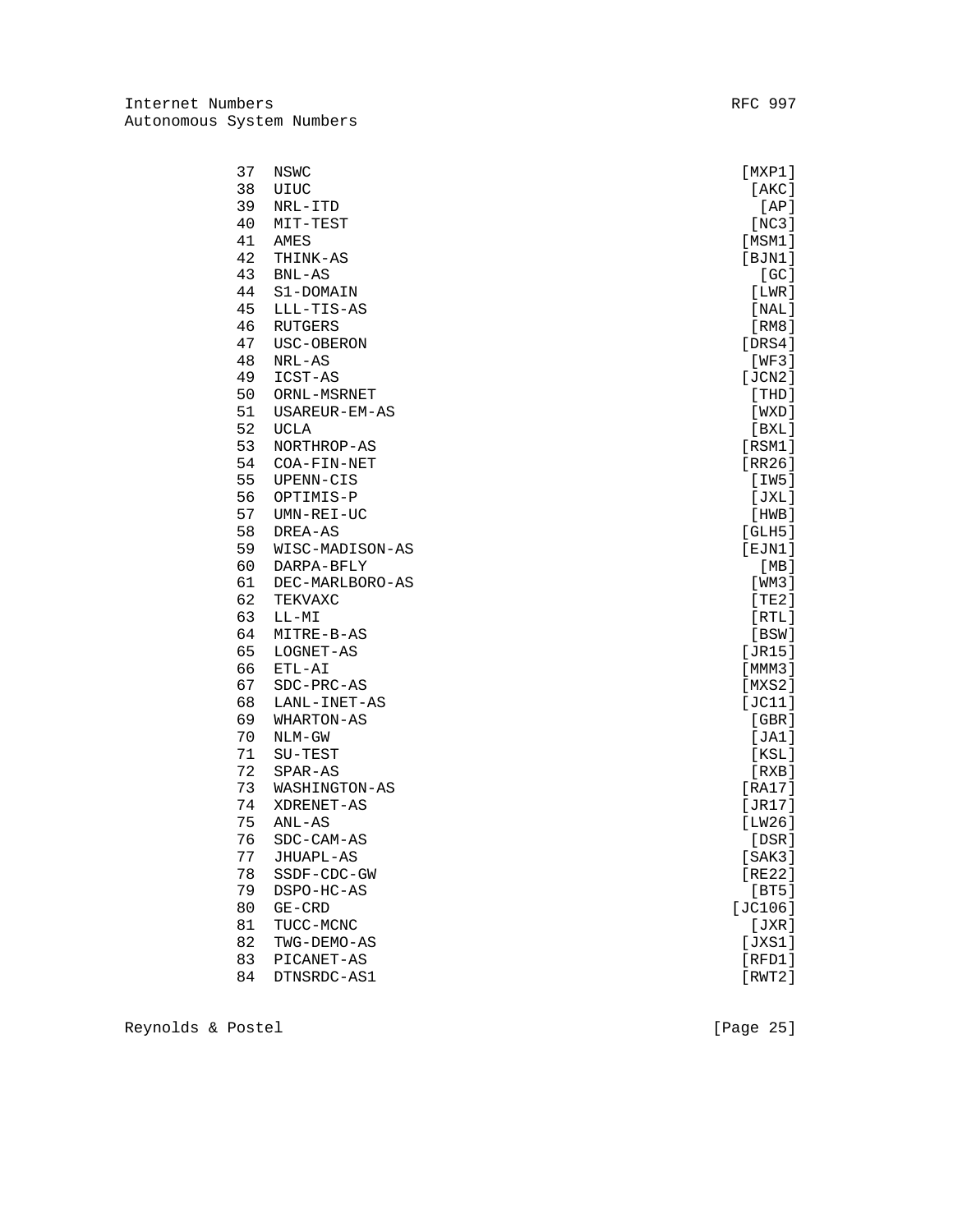| 37 | NSWC            | $[$ MXP $1$ $]$ |
|----|-----------------|-----------------|
| 38 | UIUC            | [AKC]           |
| 39 | NRL-ITD         | [AP]            |
| 40 | MIT-TEST        | [NC3]           |
| 41 | AMES            | [MSM1]          |
| 42 | THINK-AS        | [BJN1]          |
| 43 | $BNL-AS$        | [GC]            |
| 44 | S1-DOMAIN       | [LWR]           |
| 45 | LLL-TIS-AS      | [NAL]           |
| 46 | RUTGERS         | [RM8]           |
| 47 | USC-OBERON      | [DRS4]          |
| 48 | NRL-AS          | [WF3]           |
| 49 | ICST-AS         | [JCN2]          |
| 50 | ORNL-MSRNET     | [THD]           |
| 51 | USAREUR-EM-AS   | [WXD]           |
| 52 | <b>UCLA</b>     | [BXL]           |
| 53 | NORTHROP-AS     | [RSM1]          |
| 54 | COA-FIN-NET     | [RR26]          |
| 55 | UPENN-CIS       | [IW5]           |
| 56 | OPTIMIS-P       | [JXL]           |
| 57 | UMN-REI-UC      | [HWB]           |
| 58 | DREA-AS         | [GLH5]          |
| 59 | WISC-MADISON-AS | $[$ EJN1 $]$    |
| 60 | DARPA-BFLY      | [MB]            |
| 61 | DEC-MARLBORO-AS | [ WM3 ]         |
| 62 | TEKVAXC         | [TE2]           |
| 63 | LL-MI           | [RTL]           |
| 64 | MITRE-B-AS      | [BSW]           |
| 65 | LOGNET-AS       | [JR15]          |
| 66 | ETL-AI          | [MMM3]          |
| 67 | SDC-PRC-AS      | [MXS2]          |
| 68 | LANL-INET-AS    | [JC11]          |
| 69 | WHARTON-AS      | [GBR]           |
| 70 | $NLM-GW$        | [JA1]           |
| 71 | SU-TEST         | [KSL]           |
| 72 | SPAR-AS         | [RXB]           |
| 73 | WASHINGTON-AS   | [RA17]          |
| 74 | XDRENET-AS      | [JR17]          |
| 75 | $ANL-AS$        | [LW26]          |
| 76 | SDC-CAM-AS      | [DSR]           |
| 77 | JHUAPL-AS       | [SAK3]          |
| 78 | SSDF-CDC-GW     | [RE22]          |
| 79 | DSPO-HC-AS      | [BT5]           |
| 80 | $GE-CRD$        | [JC106]         |
| 81 | TUCC-MCNC       | [JXR]           |
| 82 | TWG-DEMO-AS     | [JXS1]          |
| 83 | PICANET-AS      | $[$ RFD $1]$    |
| 84 | DTNSRDC-AS1     | [RWT2]          |

Reynolds & Postel [Page 25]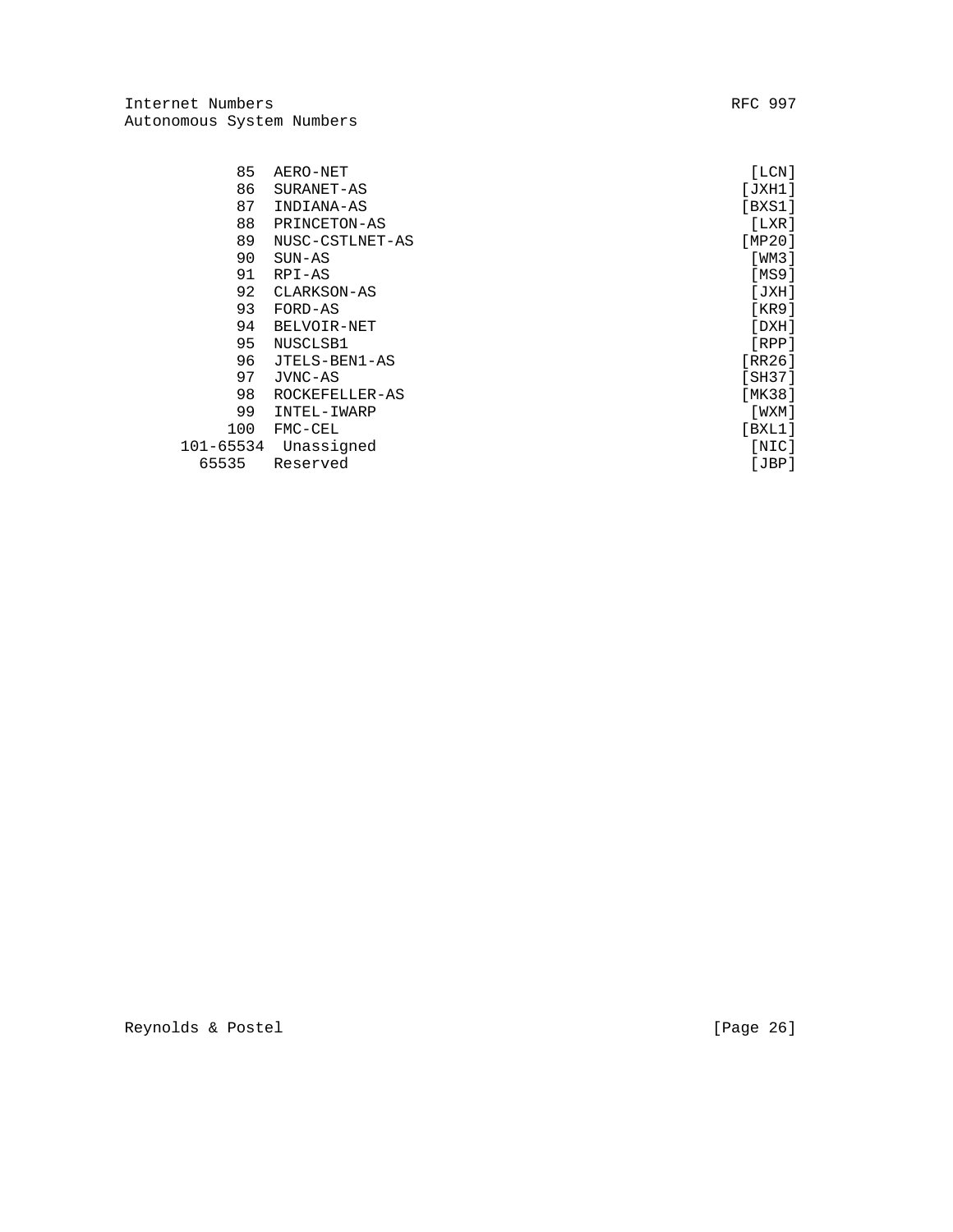Internet Numbers **RFC** 997 Autonomous System Numbers

| 85        | AERO-NET        | [LCN]   |
|-----------|-----------------|---------|
| 86        | SURANET-AS      | [JXH1]  |
| 87        | INDIANA-AS      | [BXS1]  |
| 88        | PRINCETON-AS    | [LXR]   |
| 89        | NUSC-CSTLNET-AS | [MP20]  |
| 90        | $SUN-AS$        | [WM3]   |
| 91        | RPI-AS          | [MS9]   |
| 92        | CLARKSON-AS     | [JXH]   |
| 93        | FORD-AS         | [KR9]   |
| 94        | BELVOIR-NET     | [DXH]   |
| 95        | NUSCLSB1        | [RPP]   |
| 96        | JTELS-BEN1-AS   | [RR26]  |
| 97        | JVNC-AS         | [SH37]  |
| 98        | ROCKEFELLER-AS  | [MK38]  |
| 99        | INTEL-IWARP     | [ WXM ] |
| 100       | FMC-CEL         | [BXL1]  |
| 101-65534 | Unassigned      | [NIC]   |
| 65535     | Reserved        | [JBP]   |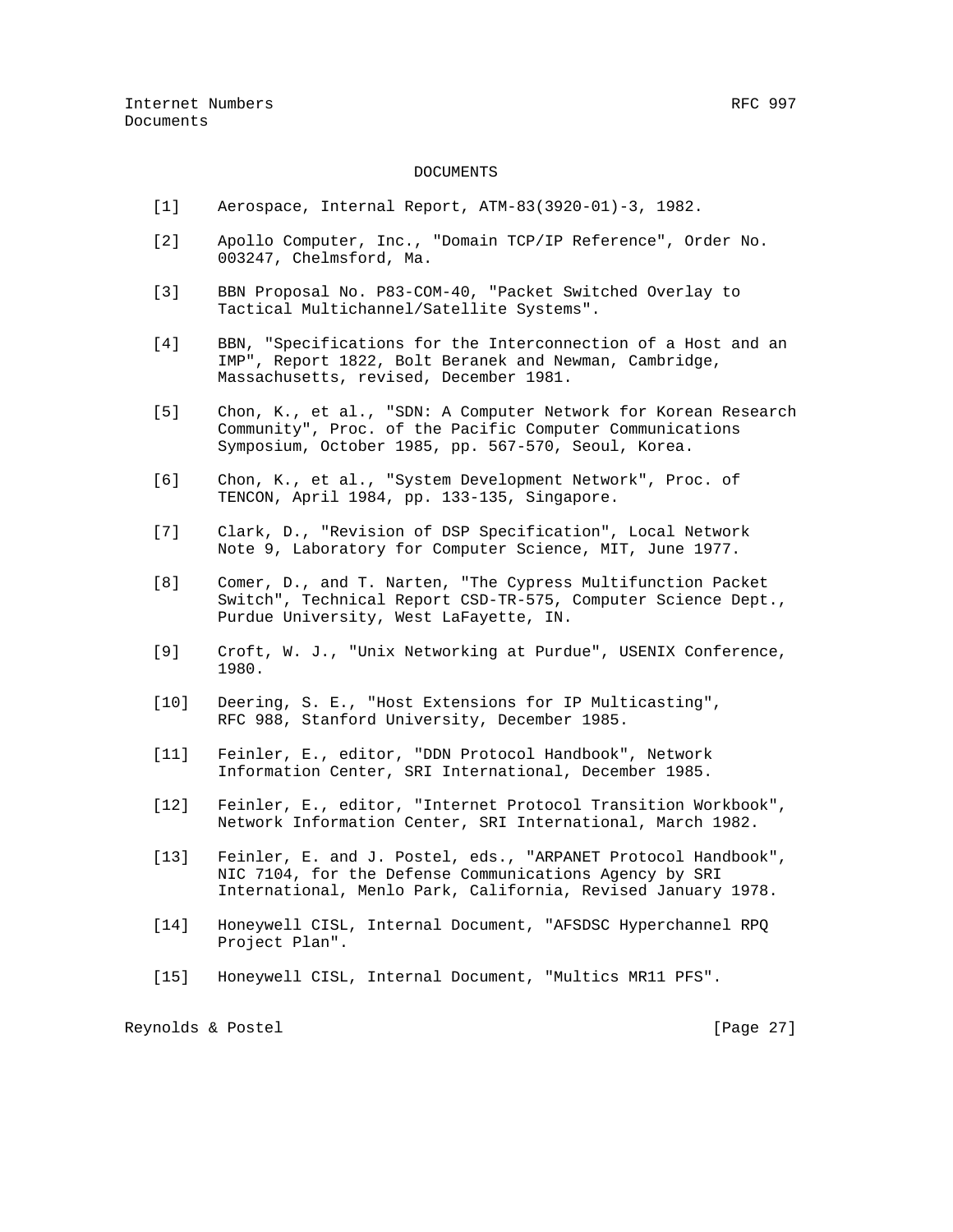### DOCUMENTS

- [1] Aerospace, Internal Report, ATM-83(3920-01)-3, 1982.
- [2] Apollo Computer, Inc., "Domain TCP/IP Reference", Order No. 003247, Chelmsford, Ma.
- [3] BBN Proposal No. P83-COM-40, "Packet Switched Overlay to Tactical Multichannel/Satellite Systems".
- [4] BBN, "Specifications for the Interconnection of a Host and an IMP", Report 1822, Bolt Beranek and Newman, Cambridge, Massachusetts, revised, December 1981.
- [5] Chon, K., et al., "SDN: A Computer Network for Korean Research Community", Proc. of the Pacific Computer Communications Symposium, October 1985, pp. 567-570, Seoul, Korea.
- [6] Chon, K., et al., "System Development Network", Proc. of TENCON, April 1984, pp. 133-135, Singapore.
- [7] Clark, D., "Revision of DSP Specification", Local Network Note 9, Laboratory for Computer Science, MIT, June 1977.
- [8] Comer, D., and T. Narten, "The Cypress Multifunction Packet Switch", Technical Report CSD-TR-575, Computer Science Dept., Purdue University, West LaFayette, IN.
- [9] Croft, W. J., "Unix Networking at Purdue", USENIX Conference, 1980.
- [10] Deering, S. E., "Host Extensions for IP Multicasting", RFC 988, Stanford University, December 1985.
- [11] Feinler, E., editor, "DDN Protocol Handbook", Network Information Center, SRI International, December 1985.
- [12] Feinler, E., editor, "Internet Protocol Transition Workbook", Network Information Center, SRI International, March 1982.
- [13] Feinler, E. and J. Postel, eds., "ARPANET Protocol Handbook", NIC 7104, for the Defense Communications Agency by SRI International, Menlo Park, California, Revised January 1978.
- [14] Honeywell CISL, Internal Document, "AFSDSC Hyperchannel RPQ Project Plan".
- [15] Honeywell CISL, Internal Document, "Multics MR11 PFS".

Reynolds & Postel [Page 27]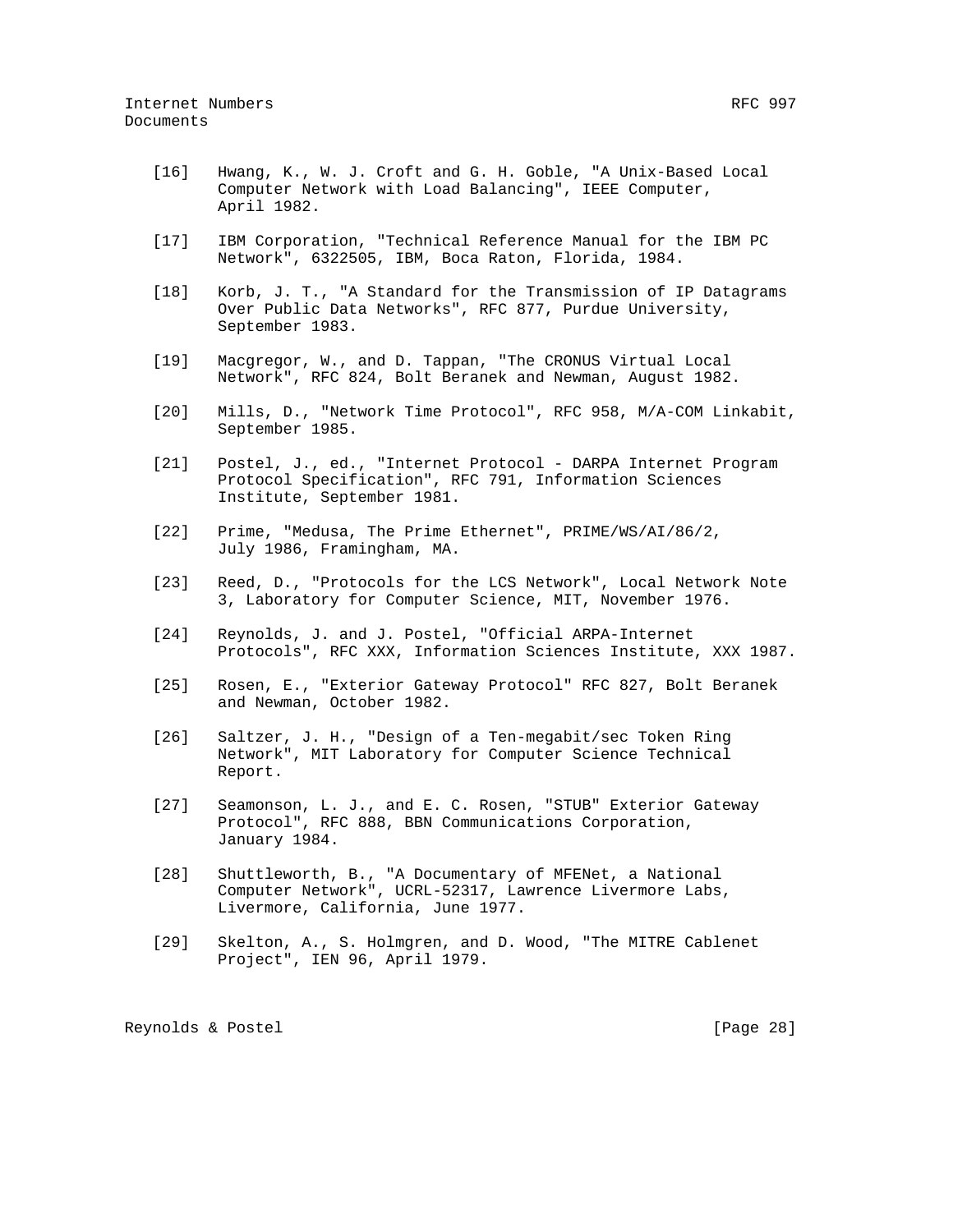- [16] Hwang, K., W. J. Croft and G. H. Goble, "A Unix-Based Local Computer Network with Load Balancing", IEEE Computer, April 1982.
- [17] IBM Corporation, "Technical Reference Manual for the IBM PC Network", 6322505, IBM, Boca Raton, Florida, 1984.
- [18] Korb, J. T., "A Standard for the Transmission of IP Datagrams Over Public Data Networks", RFC 877, Purdue University, September 1983.
- [19] Macgregor, W., and D. Tappan, "The CRONUS Virtual Local Network", RFC 824, Bolt Beranek and Newman, August 1982.
- [20] Mills, D., "Network Time Protocol", RFC 958, M/A-COM Linkabit, September 1985.
- [21] Postel, J., ed., "Internet Protocol DARPA Internet Program Protocol Specification", RFC 791, Information Sciences Institute, September 1981.
- [22] Prime, "Medusa, The Prime Ethernet", PRIME/WS/AI/86/2, July 1986, Framingham, MA.
- [23] Reed, D., "Protocols for the LCS Network", Local Network Note 3, Laboratory for Computer Science, MIT, November 1976.
- [24] Reynolds, J. and J. Postel, "Official ARPA-Internet Protocols", RFC XXX, Information Sciences Institute, XXX 1987.
- [25] Rosen, E., "Exterior Gateway Protocol" RFC 827, Bolt Beranek and Newman, October 1982.
- [26] Saltzer, J. H., "Design of a Ten-megabit/sec Token Ring Network", MIT Laboratory for Computer Science Technical Report.
- [27] Seamonson, L. J., and E. C. Rosen, "STUB" Exterior Gateway Protocol", RFC 888, BBN Communications Corporation, January 1984.
- [28] Shuttleworth, B., "A Documentary of MFENet, a National Computer Network", UCRL-52317, Lawrence Livermore Labs, Livermore, California, June 1977.
- [29] Skelton, A., S. Holmgren, and D. Wood, "The MITRE Cablenet Project", IEN 96, April 1979.

Reynolds & Postel [Page 28]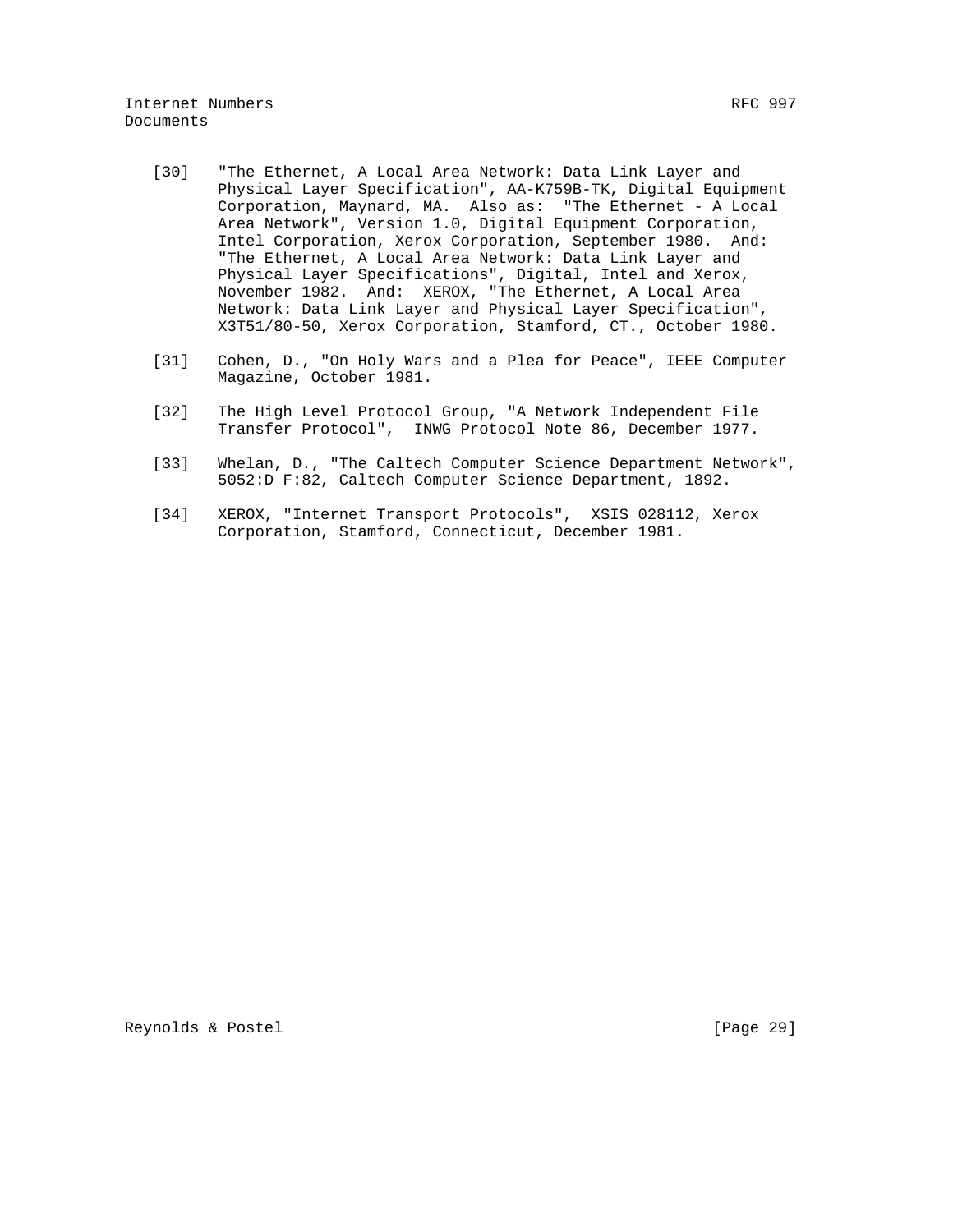- [30] "The Ethernet, A Local Area Network: Data Link Layer and Physical Layer Specification", AA-K759B-TK, Digital Equipment Corporation, Maynard, MA. Also as: "The Ethernet - A Local Area Network", Version 1.0, Digital Equipment Corporation, Intel Corporation, Xerox Corporation, September 1980. And: "The Ethernet, A Local Area Network: Data Link Layer and Physical Layer Specifications", Digital, Intel and Xerox, November 1982. And: XEROX, "The Ethernet, A Local Area Network: Data Link Layer and Physical Layer Specification", X3T51/80-50, Xerox Corporation, Stamford, CT., October 1980.
- [31] Cohen, D., "On Holy Wars and a Plea for Peace", IEEE Computer Magazine, October 1981.
- [32] The High Level Protocol Group, "A Network Independent File Transfer Protocol", INWG Protocol Note 86, December 1977.
- [33] Whelan, D., "The Caltech Computer Science Department Network", 5052:D F:82, Caltech Computer Science Department, 1892.
- [34] XEROX, "Internet Transport Protocols", XSIS 028112, Xerox Corporation, Stamford, Connecticut, December 1981.

Reynolds & Postel [Page 29]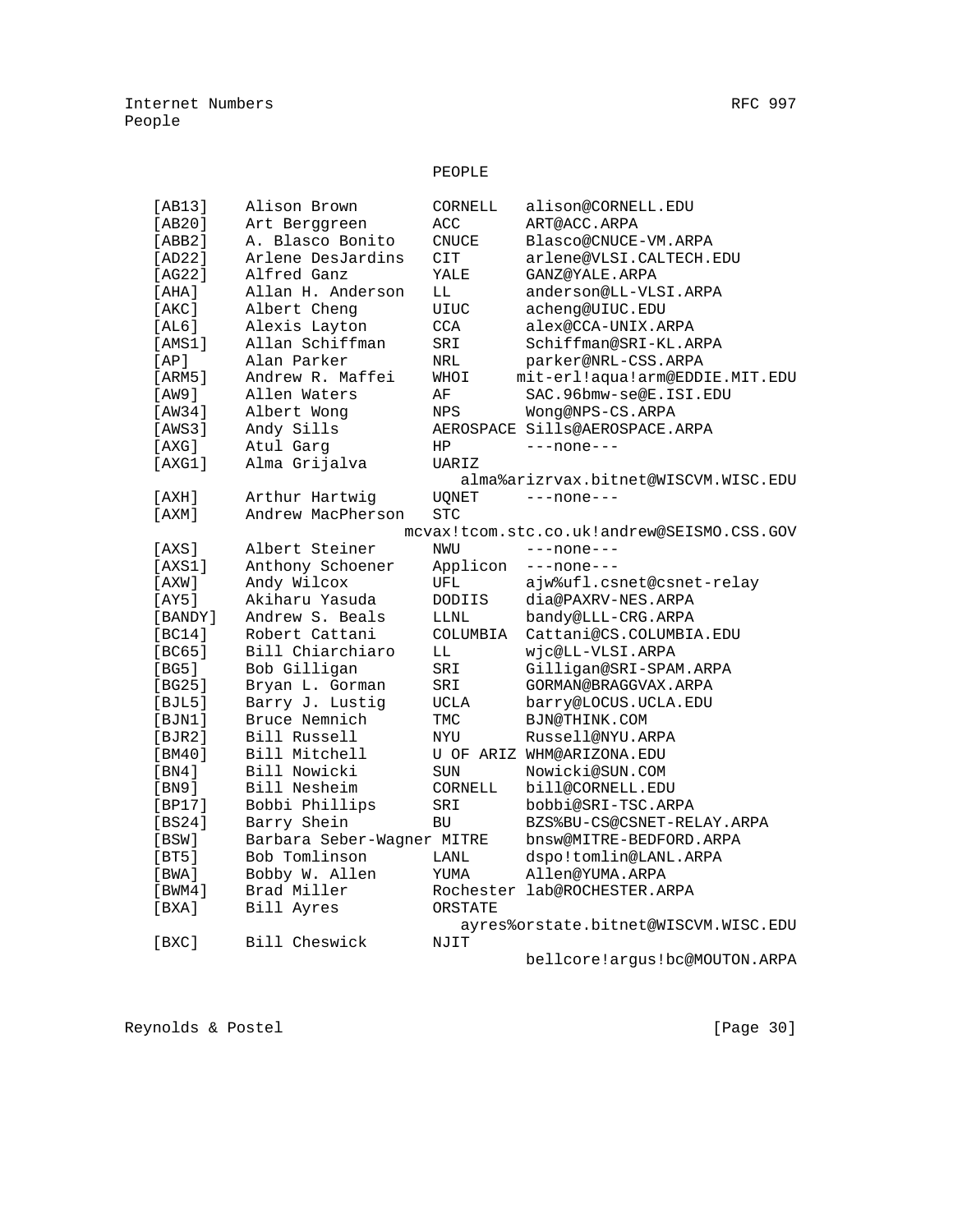# PEOPLE

| [AB13]                      | Alison Brown               | CORNELL      | alison@CORNELL.EDU                         |
|-----------------------------|----------------------------|--------------|--------------------------------------------|
| [AB20]                      | Art Berggreen              | ACC          | ART@ACC.ARPA                               |
| [ABB2]                      | A. Blasco Bonito           | <b>CNUCE</b> | Blasco@CNUCE-VM.ARPA                       |
| [AD22]                      | Arlene DesJardins          | CIT          | arlene@VLSI.CALTECH.EDU                    |
| [AG22]                      | Alfred Ganz                | YALE         | GANZ@YALE.ARPA                             |
| [AHA]                       | Allan H. Anderson          | LL           | anderson@LL-VLSI.ARPA                      |
| [AKC]                       | Albert Cheng               | <b>UIUC</b>  | acheng@UIUC.EDU                            |
| [AL6]                       | Alexis Layton              | <b>CCA</b>   | alex@CCA-UNIX.ARPA                         |
| [AMS1]                      | Allan Schiffman            | SRI          | Schiffman@SRI-KL.ARPA                      |
| [AP]                        | Alan Parker                | NRL          | parker@NRL-CSS.ARPA                        |
| [ARM5]                      | Andrew R. Maffei           | IOHW         | mit-erl!aqua!arm@EDDIE.MIT.EDU             |
| [AW9]                       | Allen Waters               | ΑF           | SAC.96bmw-se@E.ISI.EDU                     |
| [AW34]                      | Albert Wong                | NPS          | Wong@NPS-CS.ARPA                           |
| [AWS3]                      | Andy Sills                 |              | AEROSPACE Sills@AEROSPACE.ARPA             |
| [AXG]                       | Atul Garg                  | HP           | $---none---$                               |
| [AXG1]                      | Alma Grijalva              | UARIZ        |                                            |
|                             |                            |              | alma%arizrvax.bitnet@WISCVM.WISC.EDU       |
| [AXH]                       | Arthur Hartwig             | <b>UQNET</b> | $---none---$                               |
| [AXM]                       | Andrew MacPherson          | <b>STC</b>   |                                            |
|                             |                            |              | mcvax!tcom.stc.co.uk!andrew@SEISMO.CSS.GOV |
| [AXS]                       | Albert Steiner             | NWU          | $---none---$                               |
| [AXS1]                      | Anthony Schoener           | Applicon     | $---none---$                               |
| [AXW]                       | Andy Wilcox                | UFL          | ajw%ufl.csnet@csnet-relay                  |
| [AY5]                       | Akiharu Yasuda             | DODIIS       | dia@PAXRV-NES.ARPA                         |
| [BANDY]                     | Andrew S. Beals            | LLNL         | bandy@LLL-CRG.ARPA                         |
| [BC14]                      | Robert Cattani             | COLUMBIA     | Cattani@CS.COLUMBIA.EDU                    |
| [BC65]                      | Bill Chiarchiaro           | LL           | wjc@LL-VLSI.ARPA                           |
| [BG5]                       | Bob Gilligan               | SRI          | Gilligan@SRI-SPAM.ARPA                     |
| [BG25]                      | Bryan L. Gorman            | SRI          | GORMAN@BRAGGVAX.ARPA                       |
| [BJL5]                      | Barry J. Lustig            | UCLA         | barry@LOCUS.UCLA.EDU                       |
| [BJN1]                      | Bruce Nemnich              | TMC          | BJN@THINK.COM                              |
| [BJR2]                      | Bill Russell               | NYU          | Russell@NYU.ARPA                           |
| [BM40]                      | Bill Mitchell              |              | U OF ARIZ WHM@ARIZONA.EDU                  |
| [BN4]                       | Bill Nowicki               | <b>SUN</b>   | Nowicki@SUN.COM                            |
| [BN9]                       | Bill Nesheim               | CORNELL      | bill@CORNELL.EDU                           |
| [BP17]                      | Bobbi Phillips             | SRI          | bobbi@SRI-TSC.ARPA                         |
| [BS24]                      | Barry Shein                | <b>BU</b>    | BZS%BU-CS@CSNET-RELAY.ARPA                 |
| [BSW]                       | Barbara Seber-Wagner MITRE |              | bnsw@MITRE-BEDFORD.ARPA                    |
| [BT5]                       | Bob Tomlinson              | LANL         | dspo!tomlin@LANL.ARPA                      |
| [BWA]                       | Bobby W. Allen             | YUMA         | Allen@YUMA.ARPA                            |
| [BWM4]                      | Brad Miller                |              | Rochester lab@ROCHESTER.ARPA               |
| [ <b>BXA</b> ] <sub>2</sub> | Bill Ayres                 | ORSTATE      |                                            |
|                             |                            |              | ayres%orstate.bitnet@WISCVM.WISC.EDU       |
| [BXC]                       | Bill Cheswick              | NJIT         |                                            |
|                             |                            |              | 7.7<br>$\cdot$ $\cdot$                     |

bellcore!argus!bc@MOUTON.ARPA

Reynolds & Postel [Page 30]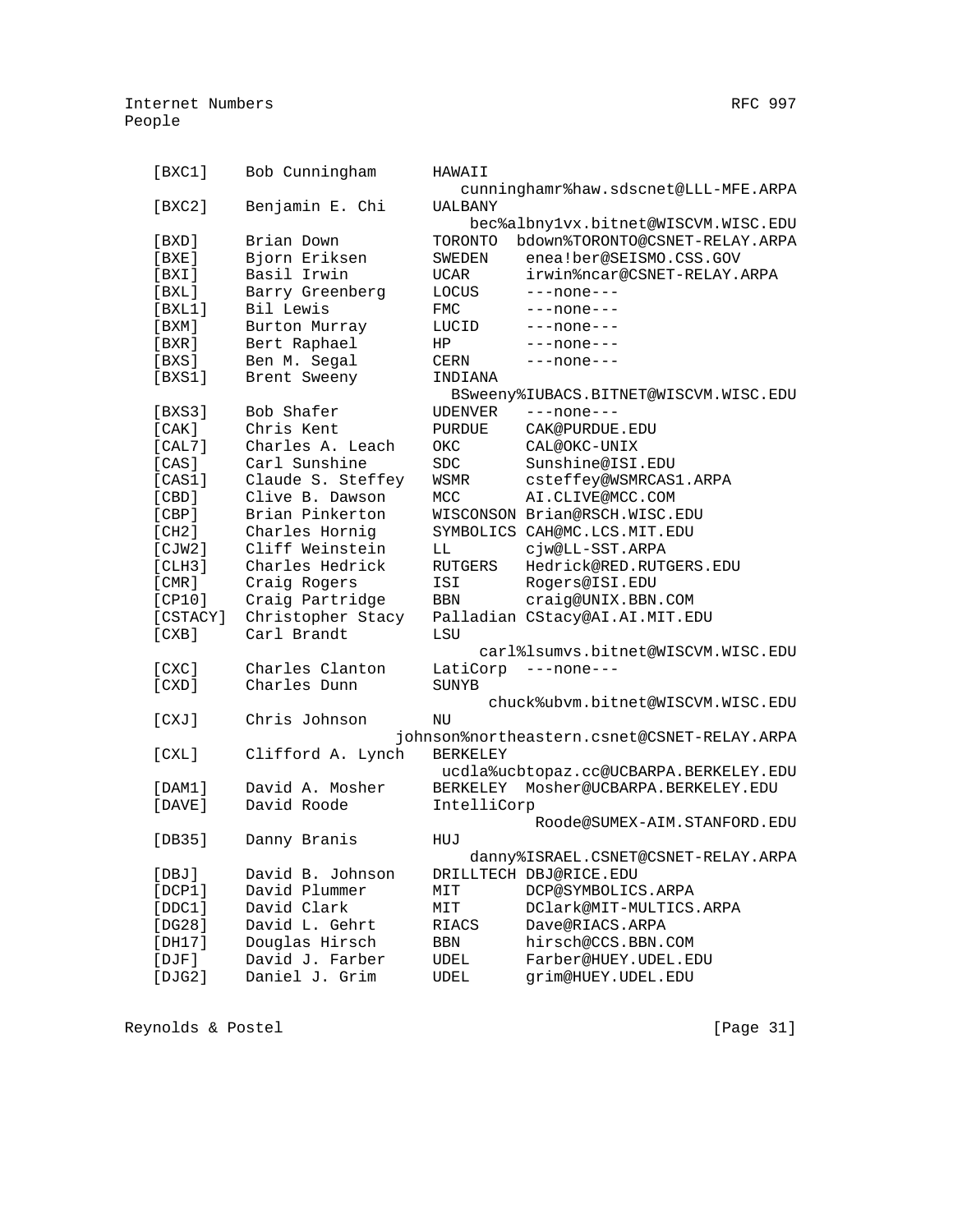| [BXC1]     | Bob Cunningham    | HAWAII          |                                             |
|------------|-------------------|-----------------|---------------------------------------------|
|            |                   |                 | cunninghamr%haw.sdscnet@LLL-MFE.ARPA        |
| [BXC2]     | Benjamin E. Chi   | <b>UALBANY</b>  |                                             |
|            |                   |                 | bec%albny1vx.bitnet@WISCVM.WISC.EDU         |
| [BXD]      | Brian Down        | TORONTO         | bdown%TORONTO@CSNET-RELAY.ARPA              |
| [BXE]      | Bjorn Eriksen     | SWEDEN          | enea!ber@SEISMO.CSS.GOV                     |
| [BXI]      | Basil Irwin       | UCAR            | irwin%ncar@CSNET-RELAY.ARPA                 |
| [ BXL ]    | Barry Greenberg   | LOCUS           | $---none---$                                |
| [BXL1]     | Bil Lewis         | <b>FMC</b>      | ---none---                                  |
| [ BXM ]    | Burton Murray     | LUCID           | ---none---                                  |
| [BXR]      | Bert Raphael      | ΗP              | ---none---                                  |
| [BXS]      | Ben M. Segal      | CERN            | ---none---                                  |
| [BXS1]     | Brent Sweeny      | INDIANA         |                                             |
|            |                   |                 | BSweeny%IUBACS.BITNET@WISCVM.WISC.EDU       |
| [BXS3]     | Bob Shafer        | <b>UDENVER</b>  | $---none---$                                |
| [CAK]      | Chris Kent        | <b>PURDUE</b>   | CAK@PURDUE.EDU                              |
| [CAL7]     | Charles A. Leach  | OKC             | CAL@OKC-UNIX                                |
| [CAS]      | Carl Sunshine     | ${\tt SDC}$     | Sunshine@ISI.EDU                            |
| [CAS1]     | Claude S. Steffey | WSMR            | csteffey@WSMRCAS1.ARPA                      |
| [CBD]      | Clive B. Dawson   | MCC             | AI.CLIVE@MCC.COM                            |
| [CBP]      | Brian Pinkerton   |                 | WISCONSON Brian@RSCH.WISC.EDU               |
|            | Charles Hornig    |                 |                                             |
| [CH2]      |                   |                 | SYMBOLICS CAH@MC.LCS.MIT.EDU                |
| [CIW2]     | Cliff Weinstein   | LL              | cjw@LL-SST.ARPA                             |
| [CLH3]     | Charles Hedrick   | <b>RUTGERS</b>  | Hedrick@RED.RUTGERS.EDU                     |
| [CMR]      | Craig Rogers      | ISI             | Rogers@ISI.EDU                              |
| [CP10]     | Craig Partridge   | <b>BBN</b>      | craig@UNIX.BBN.COM                          |
| [CSTACY]   | Christopher Stacy |                 | Palladian CStacy@AI.AI.MIT.EDU              |
| [CXB]      | Carl Brandt       | LSU             |                                             |
|            |                   |                 | carl%lsumvs.bitnet@WISCVM.WISC.EDU          |
| $[cxC]$    | Charles Clanton   |                 | LatiCorp ---none---                         |
| [CXD]      | Charles Dunn      | SUNYB           |                                             |
|            |                   |                 | chuck%ubvm.bitnet@WISCVM.WISC.EDU           |
| [CXJ]      | Chris Johnson     | ΝU              |                                             |
|            |                   |                 | johnson%northeastern.csnet@CSNET-RELAY.ARPA |
| [CXL]      | Clifford A. Lynch | <b>BERKELEY</b> |                                             |
|            |                   |                 | ucdla%ucbtopaz.cc@UCBARPA.BERKELEY.EDU      |
| [DAM1]     | David A. Mosher   |                 | BERKELEY Mosher@UCBARPA.BERKELEY.EDU        |
| [DAVE]     | David Roode       | IntelliCorp     |                                             |
|            |                   |                 | Roode@SUMEX-AIM.STANFORD.EDU                |
| [DB35]     | Danny Branis      | HUJ             |                                             |
|            |                   |                 | danny%ISRAEL.CSNET@CSNET-RELAY.ARPA         |
| [DBJ]      | David B. Johnson  |                 | DRILLTECH DBJ@RICE.EDU                      |
| [DCP1]     | David Plummer     | MIT             | DCP@SYMBOLICS.ARPA                          |
| [DDC1]     | David Clark       | MIT             | DClark@MIT-MULTICS.ARPA                     |
| [DG28]     | David L. Gehrt    | RIACS           | Dave@RIACS.ARPA                             |
| [DH17]     | Douglas Hirsch    | BBN             | hirsch@CCS.BBN.COM                          |
| $[$ $DJF]$ | David J. Farber   | UDEL            | Farber@HUEY.UDEL.EDU                        |
| [DJG2]     | Daniel J. Grim    | UDEL            | grim@HUEY.UDEL.EDU                          |
|            |                   |                 |                                             |

Reynolds & Postel (Page 31)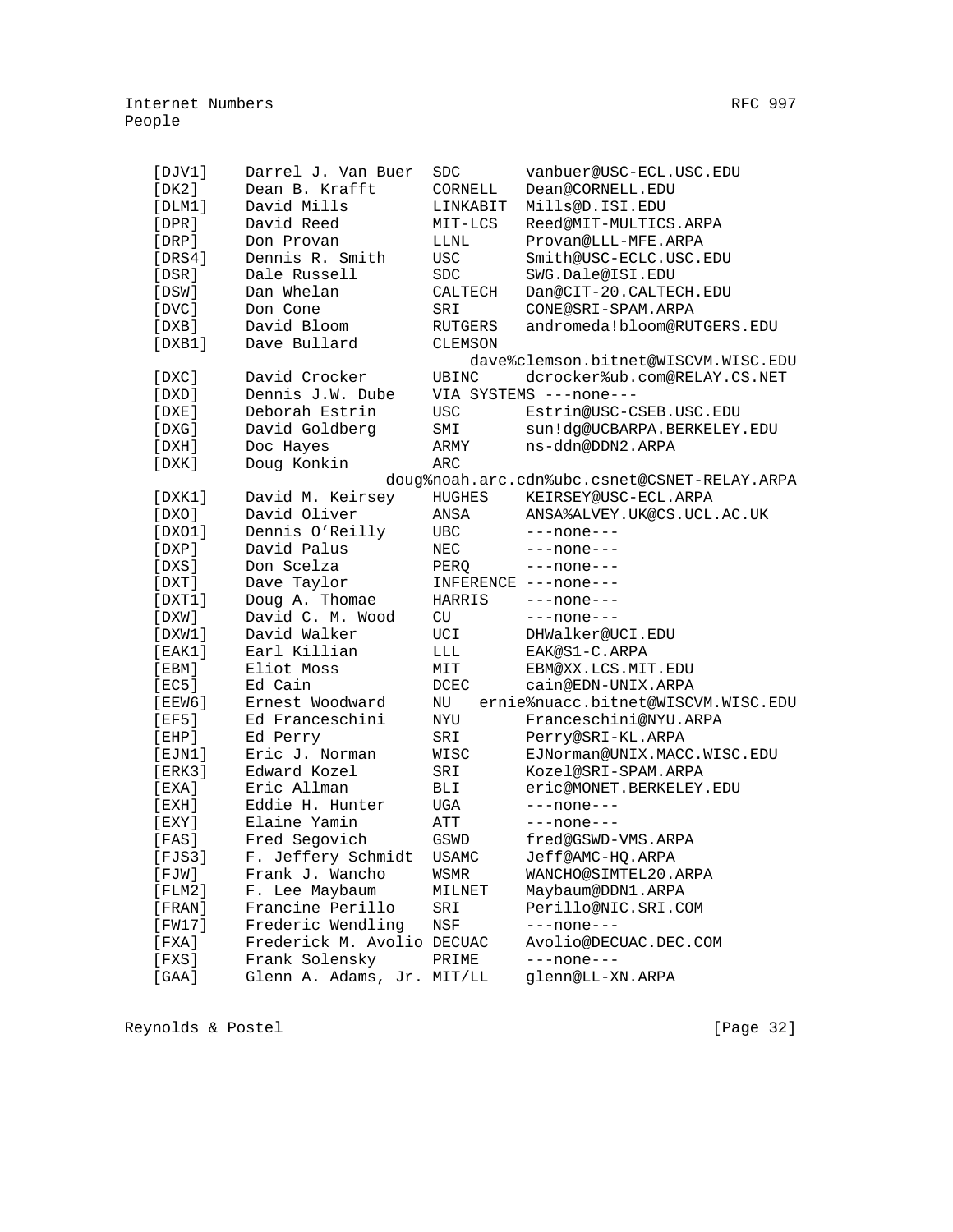| [DJVI]      | Darrel J. Van Buer  | <b>SDC</b>   | vanbuer@USC-ECL.USC.EDU                      |
|-------------|---------------------|--------------|----------------------------------------------|
| [DK2]       | Dean B. Krafft      | CORNELL      | Dean@CORNELL.EDU                             |
| [DIM1]      | David Mills         | LINKABIT     | Mills@D.ISI.EDU                              |
| $[$ DPR $]$ | David Reed          | MIT-LCS      | Reed@MIT-MULTICS.ARPA                        |
| $[$ DRP $]$ | Don Provan          | LLNL         | Provan@LLL-MFE.ARPA                          |
| [DRS4]      | Dennis R. Smith     | <b>USC</b>   | Smith@USC-ECLC.USC.EDU                       |
| [DSR]       | Dale Russell        | SDC          | SWG.Dale@ISI.EDU                             |
| [DSW]       | Dan Whelan          | CALTECH      | Dan@CIT-20.CALTECH.EDU                       |
| [DVC]       | Don Cone            | SRI          | CONE@SRI-SPAM.ARPA                           |
| [DXB]       | David Bloom         | RUTGERS      | andromeda!bloom@RUTGERS.EDU                  |
| [DXB1]      | Dave Bullard        | CLEMSON      |                                              |
|             |                     |              | dave%clemson.bitnet@WISCVM.WISC.EDU          |
| [DXC]       | David Crocker       | UBINC        | dcrocker%ub.com@RELAY.CS.NET                 |
| [DXD]       | Dennis J.W. Dube    |              | VIA SYSTEMS ---none---                       |
| [DXE]       | Deborah Estrin      | <b>USC</b>   | Estrin@USC-CSEB.USC.EDU                      |
| [DXG]       | David Goldberg      | SMI          | sun!dg@UCBARPA.BERKELEY.EDU                  |
| [DXH]       | Doc Hayes           | ARMY         | ns-ddn@DDN2.ARPA                             |
| [DXK]       | Doug Konkin         | ARC          |                                              |
|             |                     |              | doug%noah.arc.cdn%ubc.csnet@CSNET-RELAY.ARPA |
| [DXK1]      | David M. Keirsey    | HUGHES       | KEIRSEY@USC-ECL.ARPA                         |
| [DXO]       | David Oliver        | ANSA         | ANSA%ALVEY.UK@CS.UCL.AC.UK                   |
| [DX01]      | Dennis O'Reilly     | UBC          | $---none---$                                 |
| [DXP]       | David Palus         | NEC          | $---none---$                                 |
| [DXS]       | Don Scelza          | PERO         | $---none---$                                 |
| [DXT]       | Dave Taylor         |              | INFERENCE ---none---                         |
| [DXT1]      | Doug A. Thomae      | HARRIS       | $---none---$                                 |
| [DXW]       | David C. M. Wood    | CU           | $---none---$                                 |
| [DXW1]      | David Walker        | UCI          | DHWalker@UCI.EDU                             |
| [EAK1]      | Earl Killian        | LLL          | EAK@S1-C.ARPA                                |
| [EBM]       | Eliot Moss          | MIT          | EBM@XX.LCS.MIT.EDU                           |
| [EC5]       | Ed Cain             | <b>DCEC</b>  | cain@EDN-UNIX.ARPA                           |
| [EEW6]      | Ernest Woodward     | NU           | ernie%nuacc.bitnet@WISCVM.WISC.EDU           |
| [EF5]       | Ed Franceschini     | NYU          | Franceschini@NYU.ARPA                        |
| [EHP]       | Ed Perry            | SRI          | Perry@SRI-KL.ARPA                            |
| [EJM1]      | Eric J. Norman      | WISC         | EJNorman@UNIX.MACC.WISC.EDU                  |
| [ERK3]      | Edward Kozel        | SRI          | Kozel@SRI-SPAM.ARPA                          |
| [EXA]       | Eric Allman         | <b>BLI</b>   | eric@MONET.BERKELEY.EDU                      |
| [EXH]       | Eddie H. Hunter     | UGA          | $---none---$                                 |
| $[$ EXY $]$ | Elaine Yamin        | ATT          | $---none---$                                 |
| [FAS]       | Fred Segovich       | GSWD         | fred@GSWD-VMS.ARPA                           |
| [FJS3]      | F. Jeffery Schmidt  | <b>USAMC</b> | Jeff@AMC-HQ.ARPA                             |
| $[$ $FJW]$  | Frank J. Wancho     | WSMR         | WANCHO@SIMTEL20.ARPA                         |
| [FLM2]      | F. Lee Maybaum      | MILNET       | Maybaum@DDN1.ARPA                            |
| [FRAN]      | Francine Perillo    | SRI          | Perillo@NIC.SRI.COM                          |
| [FW17]      | Frederic Wendling   | NSF          | $---none---$                                 |
| [FXA]       | Frederick M. Avolio | DECUAC       | Avolio@DECUAC.DEC.COM                        |
| [FXS]       | Frank Solensky      | PRIME        | $---none---$                                 |
| $[GAA]$     | Glenn A. Adams, Jr. | MIT/LL       | glenn@LL-XN.ARPA                             |

Reynolds & Postel (Page 32)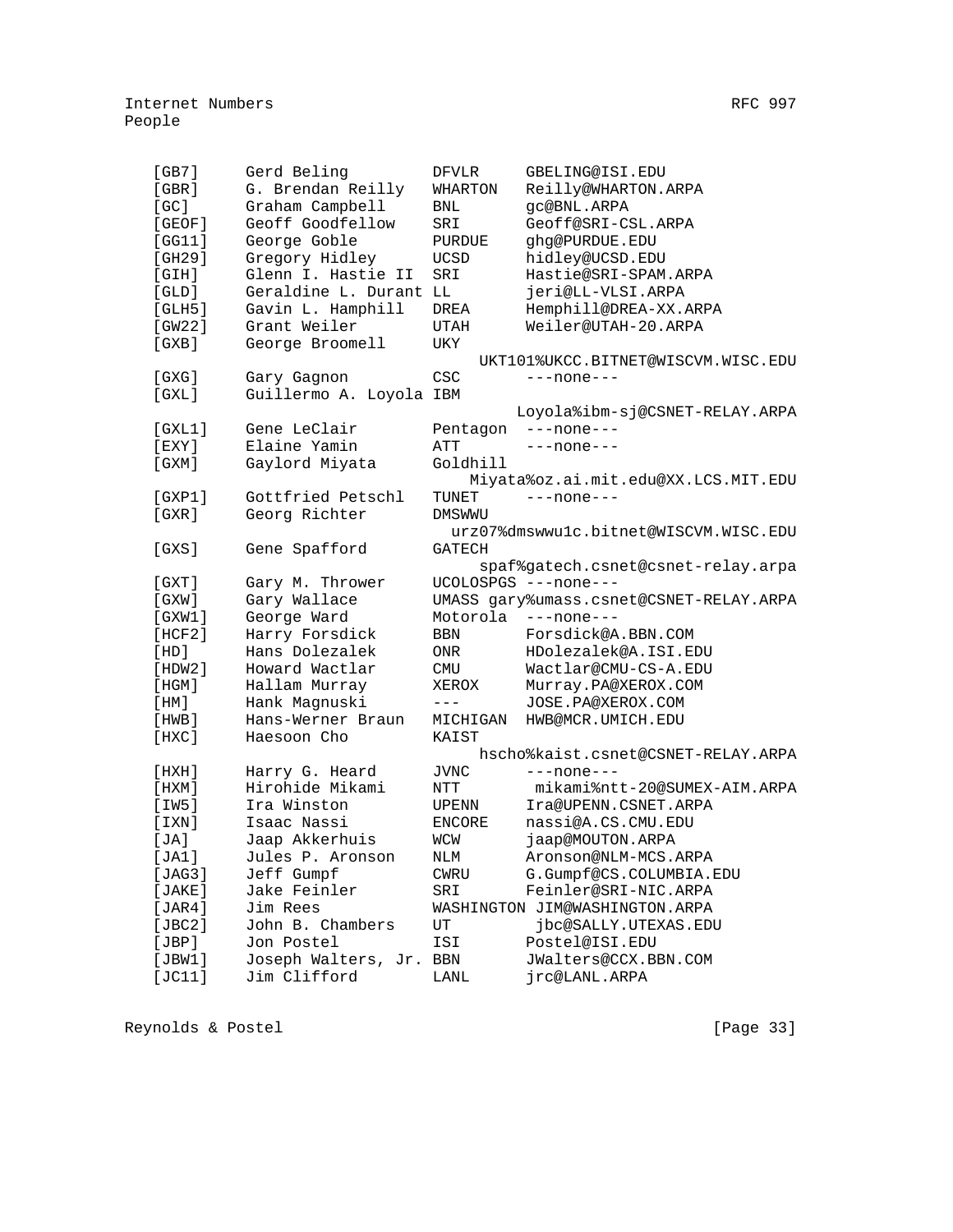| Gerd Beling<br>[GB7]<br>GBELING@ISI.EDU<br>DFVLR<br>[GBR]<br>G. Brendan Reilly<br>WHARTON<br>Reilly@WHARTON.ARPA<br>[GC]<br>Graham Campbell<br>gc@BNL.ARPA<br>BNL<br>[GEOF]<br>Geoff Goodfellow<br>Geoff@SRI-CSL.ARPA<br>SRI<br>George Goble<br>[GGI1]<br>PURDUE<br>ghg@PURDUE.EDU<br>[GH29]<br>Gregory Hidley<br>hidley@UCSD.EDU<br><b>UCSD</b><br>[GH]<br>Glenn I. Hastie II<br>Hastie@SRI-SPAM.ARPA<br>SRI<br>[GLD]<br>Geraldine L. Durant LL<br>jeri@LL-VLSI.ARPA<br>[GLH5]<br>Gavin L. Hamphill<br>Hemphill@DREA-XX.ARPA<br>DREA<br>[GW22]<br>Grant Weiler<br>Weiler@UTAH-20.ARPA<br>UTAH<br>GXB<br>George Broomell<br>UKY<br>UKT101%UKCC.BITNET@WISCVM.WISC.EDU<br>CSC<br>$[$ GXG $]$<br>Gary Gagnon<br>$---none---$<br>[ GXL]<br>Guillermo A. Loyola IBM<br>Loyola%ibm-sj@CSNET-RELAY.ARPA<br>[GXL1]<br>Gene LeClair<br>Pentagon<br>$---none---$<br>$EXY$ ]<br>Elaine Yamin<br>ATT<br>---none---<br>[GXM]<br>Gaylord Miyata<br>Goldhill<br>Miyata%oz.ai.mit.edu@XX.LCS.MIT.EDU<br>Gottfried Petschl<br>[GXP1]<br>$---none---$<br>TUNET<br>GXR<br>Georg Richter<br><b>DMSWWU</b><br>urz07%dmswwulc.bitnet@WISCVM.WISC.EDU<br>GXS <sub>1</sub><br>Gene Spafford<br><b>GATECH</b><br>spaf%gatech.csnet@csnet-relay.arpa<br>UCOLOSPGS ---none---<br>$[$ GXT $]$<br>Gary M. Thrower<br>[ G X W ]<br>Gary Wallace<br>UMASS gary%umass.csnet@CSNET-RELAY.ARPA<br>Motorola<br>[GXW1]<br>George Ward<br>$---none---$<br>Harry Forsdick<br>Forsdick@A.BBN.COM<br>[HCF2]<br><b>BBN</b><br>Hans Dolezalek<br>[HD]<br>HDolezalek@A.ISI.EDU<br>0NR<br>[HDW2]<br>Howard Wactlar<br><b>CMU</b><br>Wactlar@CMU-CS-A.EDU<br>$[$ HGM $]$<br>Hallam Murray<br>XEROX<br>Murray.PA@XEROX.COM<br>Hank Magnuski<br>$---$<br>[HM]<br>JOSE.PA@XEROX.COM<br>[HWB]<br>Hans-Werner Braun<br>HWB@MCR.UMICH.EDU<br>MICHIGAN<br>$[$ HXC $]$<br>Haesoon Cho<br>KAIST<br>hscho%kaist.csnet@CSNET-RELAY.ARPA<br>[HXH]<br>Harry G. Heard<br><b>JVNC</b><br>$---none---$<br>Hirohide Mikami<br>mikami%ntt-20@SUMEX-AIM.ARPA<br>$[$ HXM $]$<br>NTT<br>[IW5]<br>Ira Winston<br>Ira@UPENN.CSNET.ARPA<br>UPENN<br>nassi@A.CS.CMU.EDU<br>[IXN]<br>Isaac Nassi<br><b>ENCORE</b><br>Jaap Akkerhuis<br>jaap@MOUTON.ARPA<br>[JA]<br>WCW<br>[JA1]<br>Jules P. Aronson<br>Aronson@NLM-MCS.ARPA<br>NLM<br>Jeff Gumpf<br>[JAG3]<br>G.Gumpf@CS.COLUMBIA.EDU<br>CWRU<br>Jake Feinler<br>[JAKE]<br>Feinler@SRI-NIC.ARPA<br>SRI<br>Jim Rees<br>[JAR4]<br>WASHINGTON JIM@WASHINGTON.ARPA<br>UT |        |                  |                      |
|------------------------------------------------------------------------------------------------------------------------------------------------------------------------------------------------------------------------------------------------------------------------------------------------------------------------------------------------------------------------------------------------------------------------------------------------------------------------------------------------------------------------------------------------------------------------------------------------------------------------------------------------------------------------------------------------------------------------------------------------------------------------------------------------------------------------------------------------------------------------------------------------------------------------------------------------------------------------------------------------------------------------------------------------------------------------------------------------------------------------------------------------------------------------------------------------------------------------------------------------------------------------------------------------------------------------------------------------------------------------------------------------------------------------------------------------------------------------------------------------------------------------------------------------------------------------------------------------------------------------------------------------------------------------------------------------------------------------------------------------------------------------------------------------------------------------------------------------------------------------------------------------------------------------------------------------------------------------------------------------------------------------------------------------------------------------------------------------------------------------------------------------------------------------------------------------------------------------------------------------------------------------------------------------------------------------------------------------------------------------------------------------------------------------------------------------|--------|------------------|----------------------|
|                                                                                                                                                                                                                                                                                                                                                                                                                                                                                                                                                                                                                                                                                                                                                                                                                                                                                                                                                                                                                                                                                                                                                                                                                                                                                                                                                                                                                                                                                                                                                                                                                                                                                                                                                                                                                                                                                                                                                                                                                                                                                                                                                                                                                                                                                                                                                                                                                                                |        |                  |                      |
|                                                                                                                                                                                                                                                                                                                                                                                                                                                                                                                                                                                                                                                                                                                                                                                                                                                                                                                                                                                                                                                                                                                                                                                                                                                                                                                                                                                                                                                                                                                                                                                                                                                                                                                                                                                                                                                                                                                                                                                                                                                                                                                                                                                                                                                                                                                                                                                                                                                |        |                  |                      |
|                                                                                                                                                                                                                                                                                                                                                                                                                                                                                                                                                                                                                                                                                                                                                                                                                                                                                                                                                                                                                                                                                                                                                                                                                                                                                                                                                                                                                                                                                                                                                                                                                                                                                                                                                                                                                                                                                                                                                                                                                                                                                                                                                                                                                                                                                                                                                                                                                                                |        |                  |                      |
|                                                                                                                                                                                                                                                                                                                                                                                                                                                                                                                                                                                                                                                                                                                                                                                                                                                                                                                                                                                                                                                                                                                                                                                                                                                                                                                                                                                                                                                                                                                                                                                                                                                                                                                                                                                                                                                                                                                                                                                                                                                                                                                                                                                                                                                                                                                                                                                                                                                |        |                  |                      |
|                                                                                                                                                                                                                                                                                                                                                                                                                                                                                                                                                                                                                                                                                                                                                                                                                                                                                                                                                                                                                                                                                                                                                                                                                                                                                                                                                                                                                                                                                                                                                                                                                                                                                                                                                                                                                                                                                                                                                                                                                                                                                                                                                                                                                                                                                                                                                                                                                                                |        |                  |                      |
|                                                                                                                                                                                                                                                                                                                                                                                                                                                                                                                                                                                                                                                                                                                                                                                                                                                                                                                                                                                                                                                                                                                                                                                                                                                                                                                                                                                                                                                                                                                                                                                                                                                                                                                                                                                                                                                                                                                                                                                                                                                                                                                                                                                                                                                                                                                                                                                                                                                |        |                  |                      |
|                                                                                                                                                                                                                                                                                                                                                                                                                                                                                                                                                                                                                                                                                                                                                                                                                                                                                                                                                                                                                                                                                                                                                                                                                                                                                                                                                                                                                                                                                                                                                                                                                                                                                                                                                                                                                                                                                                                                                                                                                                                                                                                                                                                                                                                                                                                                                                                                                                                |        |                  |                      |
|                                                                                                                                                                                                                                                                                                                                                                                                                                                                                                                                                                                                                                                                                                                                                                                                                                                                                                                                                                                                                                                                                                                                                                                                                                                                                                                                                                                                                                                                                                                                                                                                                                                                                                                                                                                                                                                                                                                                                                                                                                                                                                                                                                                                                                                                                                                                                                                                                                                |        |                  |                      |
|                                                                                                                                                                                                                                                                                                                                                                                                                                                                                                                                                                                                                                                                                                                                                                                                                                                                                                                                                                                                                                                                                                                                                                                                                                                                                                                                                                                                                                                                                                                                                                                                                                                                                                                                                                                                                                                                                                                                                                                                                                                                                                                                                                                                                                                                                                                                                                                                                                                |        |                  |                      |
|                                                                                                                                                                                                                                                                                                                                                                                                                                                                                                                                                                                                                                                                                                                                                                                                                                                                                                                                                                                                                                                                                                                                                                                                                                                                                                                                                                                                                                                                                                                                                                                                                                                                                                                                                                                                                                                                                                                                                                                                                                                                                                                                                                                                                                                                                                                                                                                                                                                |        |                  |                      |
|                                                                                                                                                                                                                                                                                                                                                                                                                                                                                                                                                                                                                                                                                                                                                                                                                                                                                                                                                                                                                                                                                                                                                                                                                                                                                                                                                                                                                                                                                                                                                                                                                                                                                                                                                                                                                                                                                                                                                                                                                                                                                                                                                                                                                                                                                                                                                                                                                                                |        |                  |                      |
|                                                                                                                                                                                                                                                                                                                                                                                                                                                                                                                                                                                                                                                                                                                                                                                                                                                                                                                                                                                                                                                                                                                                                                                                                                                                                                                                                                                                                                                                                                                                                                                                                                                                                                                                                                                                                                                                                                                                                                                                                                                                                                                                                                                                                                                                                                                                                                                                                                                |        |                  |                      |
|                                                                                                                                                                                                                                                                                                                                                                                                                                                                                                                                                                                                                                                                                                                                                                                                                                                                                                                                                                                                                                                                                                                                                                                                                                                                                                                                                                                                                                                                                                                                                                                                                                                                                                                                                                                                                                                                                                                                                                                                                                                                                                                                                                                                                                                                                                                                                                                                                                                |        |                  |                      |
|                                                                                                                                                                                                                                                                                                                                                                                                                                                                                                                                                                                                                                                                                                                                                                                                                                                                                                                                                                                                                                                                                                                                                                                                                                                                                                                                                                                                                                                                                                                                                                                                                                                                                                                                                                                                                                                                                                                                                                                                                                                                                                                                                                                                                                                                                                                                                                                                                                                |        |                  |                      |
|                                                                                                                                                                                                                                                                                                                                                                                                                                                                                                                                                                                                                                                                                                                                                                                                                                                                                                                                                                                                                                                                                                                                                                                                                                                                                                                                                                                                                                                                                                                                                                                                                                                                                                                                                                                                                                                                                                                                                                                                                                                                                                                                                                                                                                                                                                                                                                                                                                                |        |                  |                      |
|                                                                                                                                                                                                                                                                                                                                                                                                                                                                                                                                                                                                                                                                                                                                                                                                                                                                                                                                                                                                                                                                                                                                                                                                                                                                                                                                                                                                                                                                                                                                                                                                                                                                                                                                                                                                                                                                                                                                                                                                                                                                                                                                                                                                                                                                                                                                                                                                                                                |        |                  |                      |
|                                                                                                                                                                                                                                                                                                                                                                                                                                                                                                                                                                                                                                                                                                                                                                                                                                                                                                                                                                                                                                                                                                                                                                                                                                                                                                                                                                                                                                                                                                                                                                                                                                                                                                                                                                                                                                                                                                                                                                                                                                                                                                                                                                                                                                                                                                                                                                                                                                                |        |                  |                      |
|                                                                                                                                                                                                                                                                                                                                                                                                                                                                                                                                                                                                                                                                                                                                                                                                                                                                                                                                                                                                                                                                                                                                                                                                                                                                                                                                                                                                                                                                                                                                                                                                                                                                                                                                                                                                                                                                                                                                                                                                                                                                                                                                                                                                                                                                                                                                                                                                                                                |        |                  |                      |
|                                                                                                                                                                                                                                                                                                                                                                                                                                                                                                                                                                                                                                                                                                                                                                                                                                                                                                                                                                                                                                                                                                                                                                                                                                                                                                                                                                                                                                                                                                                                                                                                                                                                                                                                                                                                                                                                                                                                                                                                                                                                                                                                                                                                                                                                                                                                                                                                                                                |        |                  |                      |
|                                                                                                                                                                                                                                                                                                                                                                                                                                                                                                                                                                                                                                                                                                                                                                                                                                                                                                                                                                                                                                                                                                                                                                                                                                                                                                                                                                                                                                                                                                                                                                                                                                                                                                                                                                                                                                                                                                                                                                                                                                                                                                                                                                                                                                                                                                                                                                                                                                                |        |                  |                      |
|                                                                                                                                                                                                                                                                                                                                                                                                                                                                                                                                                                                                                                                                                                                                                                                                                                                                                                                                                                                                                                                                                                                                                                                                                                                                                                                                                                                                                                                                                                                                                                                                                                                                                                                                                                                                                                                                                                                                                                                                                                                                                                                                                                                                                                                                                                                                                                                                                                                |        |                  |                      |
|                                                                                                                                                                                                                                                                                                                                                                                                                                                                                                                                                                                                                                                                                                                                                                                                                                                                                                                                                                                                                                                                                                                                                                                                                                                                                                                                                                                                                                                                                                                                                                                                                                                                                                                                                                                                                                                                                                                                                                                                                                                                                                                                                                                                                                                                                                                                                                                                                                                |        |                  |                      |
|                                                                                                                                                                                                                                                                                                                                                                                                                                                                                                                                                                                                                                                                                                                                                                                                                                                                                                                                                                                                                                                                                                                                                                                                                                                                                                                                                                                                                                                                                                                                                                                                                                                                                                                                                                                                                                                                                                                                                                                                                                                                                                                                                                                                                                                                                                                                                                                                                                                |        |                  |                      |
|                                                                                                                                                                                                                                                                                                                                                                                                                                                                                                                                                                                                                                                                                                                                                                                                                                                                                                                                                                                                                                                                                                                                                                                                                                                                                                                                                                                                                                                                                                                                                                                                                                                                                                                                                                                                                                                                                                                                                                                                                                                                                                                                                                                                                                                                                                                                                                                                                                                |        |                  |                      |
|                                                                                                                                                                                                                                                                                                                                                                                                                                                                                                                                                                                                                                                                                                                                                                                                                                                                                                                                                                                                                                                                                                                                                                                                                                                                                                                                                                                                                                                                                                                                                                                                                                                                                                                                                                                                                                                                                                                                                                                                                                                                                                                                                                                                                                                                                                                                                                                                                                                |        |                  |                      |
|                                                                                                                                                                                                                                                                                                                                                                                                                                                                                                                                                                                                                                                                                                                                                                                                                                                                                                                                                                                                                                                                                                                                                                                                                                                                                                                                                                                                                                                                                                                                                                                                                                                                                                                                                                                                                                                                                                                                                                                                                                                                                                                                                                                                                                                                                                                                                                                                                                                |        |                  |                      |
|                                                                                                                                                                                                                                                                                                                                                                                                                                                                                                                                                                                                                                                                                                                                                                                                                                                                                                                                                                                                                                                                                                                                                                                                                                                                                                                                                                                                                                                                                                                                                                                                                                                                                                                                                                                                                                                                                                                                                                                                                                                                                                                                                                                                                                                                                                                                                                                                                                                |        |                  |                      |
|                                                                                                                                                                                                                                                                                                                                                                                                                                                                                                                                                                                                                                                                                                                                                                                                                                                                                                                                                                                                                                                                                                                                                                                                                                                                                                                                                                                                                                                                                                                                                                                                                                                                                                                                                                                                                                                                                                                                                                                                                                                                                                                                                                                                                                                                                                                                                                                                                                                |        |                  |                      |
|                                                                                                                                                                                                                                                                                                                                                                                                                                                                                                                                                                                                                                                                                                                                                                                                                                                                                                                                                                                                                                                                                                                                                                                                                                                                                                                                                                                                                                                                                                                                                                                                                                                                                                                                                                                                                                                                                                                                                                                                                                                                                                                                                                                                                                                                                                                                                                                                                                                |        |                  |                      |
|                                                                                                                                                                                                                                                                                                                                                                                                                                                                                                                                                                                                                                                                                                                                                                                                                                                                                                                                                                                                                                                                                                                                                                                                                                                                                                                                                                                                                                                                                                                                                                                                                                                                                                                                                                                                                                                                                                                                                                                                                                                                                                                                                                                                                                                                                                                                                                                                                                                |        |                  |                      |
|                                                                                                                                                                                                                                                                                                                                                                                                                                                                                                                                                                                                                                                                                                                                                                                                                                                                                                                                                                                                                                                                                                                                                                                                                                                                                                                                                                                                                                                                                                                                                                                                                                                                                                                                                                                                                                                                                                                                                                                                                                                                                                                                                                                                                                                                                                                                                                                                                                                |        |                  |                      |
|                                                                                                                                                                                                                                                                                                                                                                                                                                                                                                                                                                                                                                                                                                                                                                                                                                                                                                                                                                                                                                                                                                                                                                                                                                                                                                                                                                                                                                                                                                                                                                                                                                                                                                                                                                                                                                                                                                                                                                                                                                                                                                                                                                                                                                                                                                                                                                                                                                                |        |                  |                      |
|                                                                                                                                                                                                                                                                                                                                                                                                                                                                                                                                                                                                                                                                                                                                                                                                                                                                                                                                                                                                                                                                                                                                                                                                                                                                                                                                                                                                                                                                                                                                                                                                                                                                                                                                                                                                                                                                                                                                                                                                                                                                                                                                                                                                                                                                                                                                                                                                                                                |        |                  |                      |
|                                                                                                                                                                                                                                                                                                                                                                                                                                                                                                                                                                                                                                                                                                                                                                                                                                                                                                                                                                                                                                                                                                                                                                                                                                                                                                                                                                                                                                                                                                                                                                                                                                                                                                                                                                                                                                                                                                                                                                                                                                                                                                                                                                                                                                                                                                                                                                                                                                                |        |                  |                      |
|                                                                                                                                                                                                                                                                                                                                                                                                                                                                                                                                                                                                                                                                                                                                                                                                                                                                                                                                                                                                                                                                                                                                                                                                                                                                                                                                                                                                                                                                                                                                                                                                                                                                                                                                                                                                                                                                                                                                                                                                                                                                                                                                                                                                                                                                                                                                                                                                                                                |        |                  |                      |
|                                                                                                                                                                                                                                                                                                                                                                                                                                                                                                                                                                                                                                                                                                                                                                                                                                                                                                                                                                                                                                                                                                                                                                                                                                                                                                                                                                                                                                                                                                                                                                                                                                                                                                                                                                                                                                                                                                                                                                                                                                                                                                                                                                                                                                                                                                                                                                                                                                                |        |                  |                      |
|                                                                                                                                                                                                                                                                                                                                                                                                                                                                                                                                                                                                                                                                                                                                                                                                                                                                                                                                                                                                                                                                                                                                                                                                                                                                                                                                                                                                                                                                                                                                                                                                                                                                                                                                                                                                                                                                                                                                                                                                                                                                                                                                                                                                                                                                                                                                                                                                                                                |        |                  |                      |
|                                                                                                                                                                                                                                                                                                                                                                                                                                                                                                                                                                                                                                                                                                                                                                                                                                                                                                                                                                                                                                                                                                                                                                                                                                                                                                                                                                                                                                                                                                                                                                                                                                                                                                                                                                                                                                                                                                                                                                                                                                                                                                                                                                                                                                                                                                                                                                                                                                                |        |                  |                      |
|                                                                                                                                                                                                                                                                                                                                                                                                                                                                                                                                                                                                                                                                                                                                                                                                                                                                                                                                                                                                                                                                                                                                                                                                                                                                                                                                                                                                                                                                                                                                                                                                                                                                                                                                                                                                                                                                                                                                                                                                                                                                                                                                                                                                                                                                                                                                                                                                                                                |        |                  |                      |
|                                                                                                                                                                                                                                                                                                                                                                                                                                                                                                                                                                                                                                                                                                                                                                                                                                                                                                                                                                                                                                                                                                                                                                                                                                                                                                                                                                                                                                                                                                                                                                                                                                                                                                                                                                                                                                                                                                                                                                                                                                                                                                                                                                                                                                                                                                                                                                                                                                                |        |                  |                      |
|                                                                                                                                                                                                                                                                                                                                                                                                                                                                                                                                                                                                                                                                                                                                                                                                                                                                                                                                                                                                                                                                                                                                                                                                                                                                                                                                                                                                                                                                                                                                                                                                                                                                                                                                                                                                                                                                                                                                                                                                                                                                                                                                                                                                                                                                                                                                                                                                                                                |        |                  |                      |
|                                                                                                                                                                                                                                                                                                                                                                                                                                                                                                                                                                                                                                                                                                                                                                                                                                                                                                                                                                                                                                                                                                                                                                                                                                                                                                                                                                                                                                                                                                                                                                                                                                                                                                                                                                                                                                                                                                                                                                                                                                                                                                                                                                                                                                                                                                                                                                                                                                                |        |                  |                      |
|                                                                                                                                                                                                                                                                                                                                                                                                                                                                                                                                                                                                                                                                                                                                                                                                                                                                                                                                                                                                                                                                                                                                                                                                                                                                                                                                                                                                                                                                                                                                                                                                                                                                                                                                                                                                                                                                                                                                                                                                                                                                                                                                                                                                                                                                                                                                                                                                                                                |        |                  |                      |
|                                                                                                                                                                                                                                                                                                                                                                                                                                                                                                                                                                                                                                                                                                                                                                                                                                                                                                                                                                                                                                                                                                                                                                                                                                                                                                                                                                                                                                                                                                                                                                                                                                                                                                                                                                                                                                                                                                                                                                                                                                                                                                                                                                                                                                                                                                                                                                                                                                                |        |                  |                      |
|                                                                                                                                                                                                                                                                                                                                                                                                                                                                                                                                                                                                                                                                                                                                                                                                                                                                                                                                                                                                                                                                                                                                                                                                                                                                                                                                                                                                                                                                                                                                                                                                                                                                                                                                                                                                                                                                                                                                                                                                                                                                                                                                                                                                                                                                                                                                                                                                                                                |        |                  |                      |
|                                                                                                                                                                                                                                                                                                                                                                                                                                                                                                                                                                                                                                                                                                                                                                                                                                                                                                                                                                                                                                                                                                                                                                                                                                                                                                                                                                                                                                                                                                                                                                                                                                                                                                                                                                                                                                                                                                                                                                                                                                                                                                                                                                                                                                                                                                                                                                                                                                                |        |                  |                      |
|                                                                                                                                                                                                                                                                                                                                                                                                                                                                                                                                                                                                                                                                                                                                                                                                                                                                                                                                                                                                                                                                                                                                                                                                                                                                                                                                                                                                                                                                                                                                                                                                                                                                                                                                                                                                                                                                                                                                                                                                                                                                                                                                                                                                                                                                                                                                                                                                                                                | [JBC2] | John B. Chambers | jbc@SALLY.UTEXAS.EDU |

[JBC2] John B. Chambers UT jbc@SALLY.UTEXAS.EDU<br>[JBP] Jon Postel ISI Postel@ISI.EDU

[JBW1] Joseph Walters, Jr. BBN JWalters@CCX.BBN.COM

[JC11] Jim Clifford LANL jrc@LANL.ARPA

[JBP] Jon Postel ISI Postel@ISI.EDU

Reynolds & Postel [Page 33]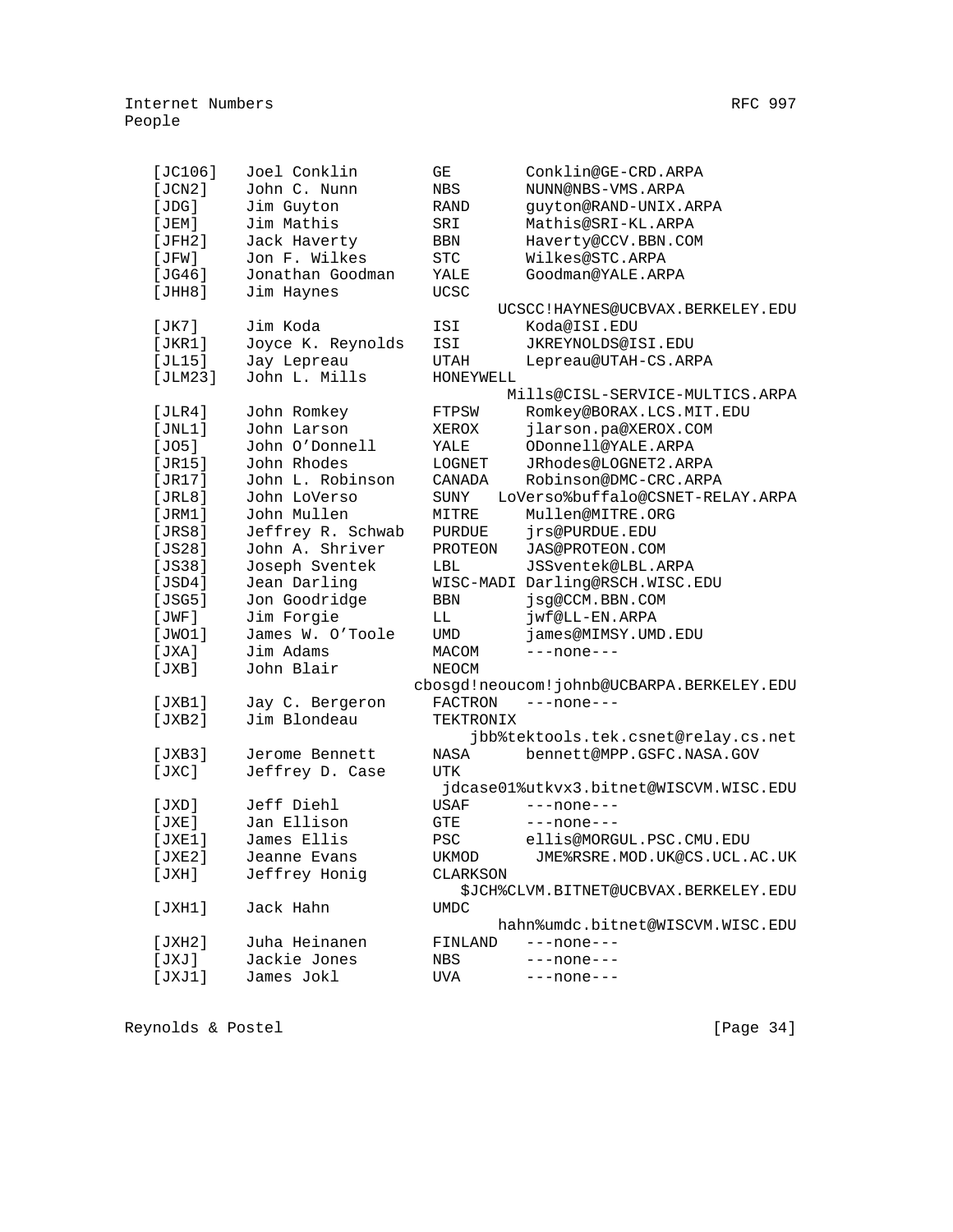| $[JC106]$ | Joel Conklin                    | GΕ            | Conklin@GE-CRD.ARPA                       |
|-----------|---------------------------------|---------------|-------------------------------------------|
| [JCN2]    | John C. Nunn                    | NBS           | NUNN@NBS-VMS.ARPA                         |
| [JDG]     | Jim Guyton                      | RAND          | guyton@RAND-UNIX.ARPA                     |
| [JEM]     | Jim Mathis                      | SRI           | Mathis@SRI-KL.ARPA                        |
| [JFH2]    | Jack Haverty                    | BBN           | Haverty@CCV.BBN.COM                       |
| [JFW]     | Jon F. Wilkes                   | <b>STC</b>    | Wilkes@STC.ARPA                           |
| [JG46]    | Jonathan Goodman                | YALE          | Goodman@YALE.ARPA                         |
| [JHH8]    | Jim Haynes                      | <b>UCSC</b>   |                                           |
|           |                                 |               | UCSCC!HAYNES@UCBVAX.BERKELEY.EDU          |
| [JK7]     | Jim Koda                        | ISI           | Koda@ISI.EDU                              |
| [JKR1]    | Joyce K. Reynolds               | ISI           | JKREYNOLDS@ISI.EDU                        |
| [JL15]    | Jay Lepreau                     | UTAH          | Lepreau@UTAH-CS.ARPA                      |
| [JLM23]   | John L. Mills                   | HONEYWELL     |                                           |
|           |                                 |               | Mills@CISL-SERVICE-MULTICS.ARPA           |
| [JLR4]    | John Romkey                     | FTPSW         | Romkey@BORAX.LCS.MIT.EDU                  |
| [JNL1]    | John Larson                     | XEROX         | jlarson.pa@XEROX.COM                      |
| [JO5]     | John O'Donnell                  | YALE          | ODonnell@YALE.ARPA                        |
| [JR15]    | John Rhodes                     | LOGNET        | JRhodes@LOGNET2.ARPA                      |
| [JR17]    | John L. Robinson                | CANADA        | Robinson@DMC-CRC.ARPA                     |
| [JRL8]    | John LoVerso                    | SUNY          | LoVerso%buffalo@CSNET-RELAY.ARPA          |
| [JRM1]    | John Mullen                     | MITRE         | Mullen@MITRE.ORG                          |
| [JRS8]    | Jeffrey R. Schwab               | <b>PURDUE</b> | jrs@PURDUE.EDU                            |
| [JS28]    | John A. Shriver                 | PROTEON       | JAS@PROTEON.COM                           |
| $[JS38]$  | Joseph Sventek                  | LBL           | JSSventek@LBL.ARPA                        |
| [JSD4]    | Jean Darling                    |               | WISC-MADI Darling@RSCH.WISC.EDU           |
| [JSG5]    | Jon Goodridge                   | BBN           | jsg@CCM.BBN.COM                           |
|           | Jim Forgie                      |               |                                           |
| [JWF]     | James W. O'Toole                | LL            | jwf@LL-EN.ARPA                            |
| [JWO1]    | Jim Adams                       | UMD           | james@MIMSY.UMD.EDU                       |
| [JXA]     |                                 | MACOM         | $---none---$                              |
| [JXB]     | John Blair                      | NEOCM         |                                           |
|           |                                 |               | cbosgd!neoucom!johnb@UCBARPA.BERKELEY.EDU |
| [JXB1]    | Jay C. Bergeron<br>Jim Blondeau | FACTRON       | $---none---$                              |
| [JXB2]    |                                 | TEKTRONIX     |                                           |
|           |                                 |               | jbb%tektools.tek.csnet@relay.cs.net       |
| [JXB3]    | Jerome Bennett                  | NASA          | bennett@MPP.GSFC.NASA.GOV                 |
| [JXC]     | Jeffrey D. Case                 | UTK           |                                           |
|           |                                 |               | jdcase01%utkvx3.bitnet@WISCVM.WISC.EDU    |
| [JXD]     | Jeff Diehl                      | USAF          | $---none---$                              |
| [JXE]     | Jan Ellison                     | GTE           | $---none---$                              |
| [JXE1]    | James Ellis                     | <b>PSC</b>    | ellis@MORGUL.PSC.CMU.EDU                  |
| [JXE2]    | Jeanne Evans                    | UKMOD         | JME%RSRE.MOD.UK@CS.UCL.AC.UK              |
| [JXH]     | Jeffrey Honig                   | CLARKSON      |                                           |
|           |                                 |               | SJCH%CLVM.BITNET@UCBVAX.BERKELEY.EDU      |
| [JXH1]    | Jack Hahn                       | <b>UMDC</b>   |                                           |
|           |                                 |               | hahn%umdc.bitnet@WISCVM.WISC.EDU          |
| [JXH2]    | Juha Heinanen                   | FINLAND       | $---none---$                              |
| [JXJ]     | Jackie Jones                    | NBS           | $---none---$                              |
| [JXJ1]    | James Jokl                      | UVA           | $---none---$                              |
|           |                                 |               |                                           |

Reynolds & Postel [Page 34]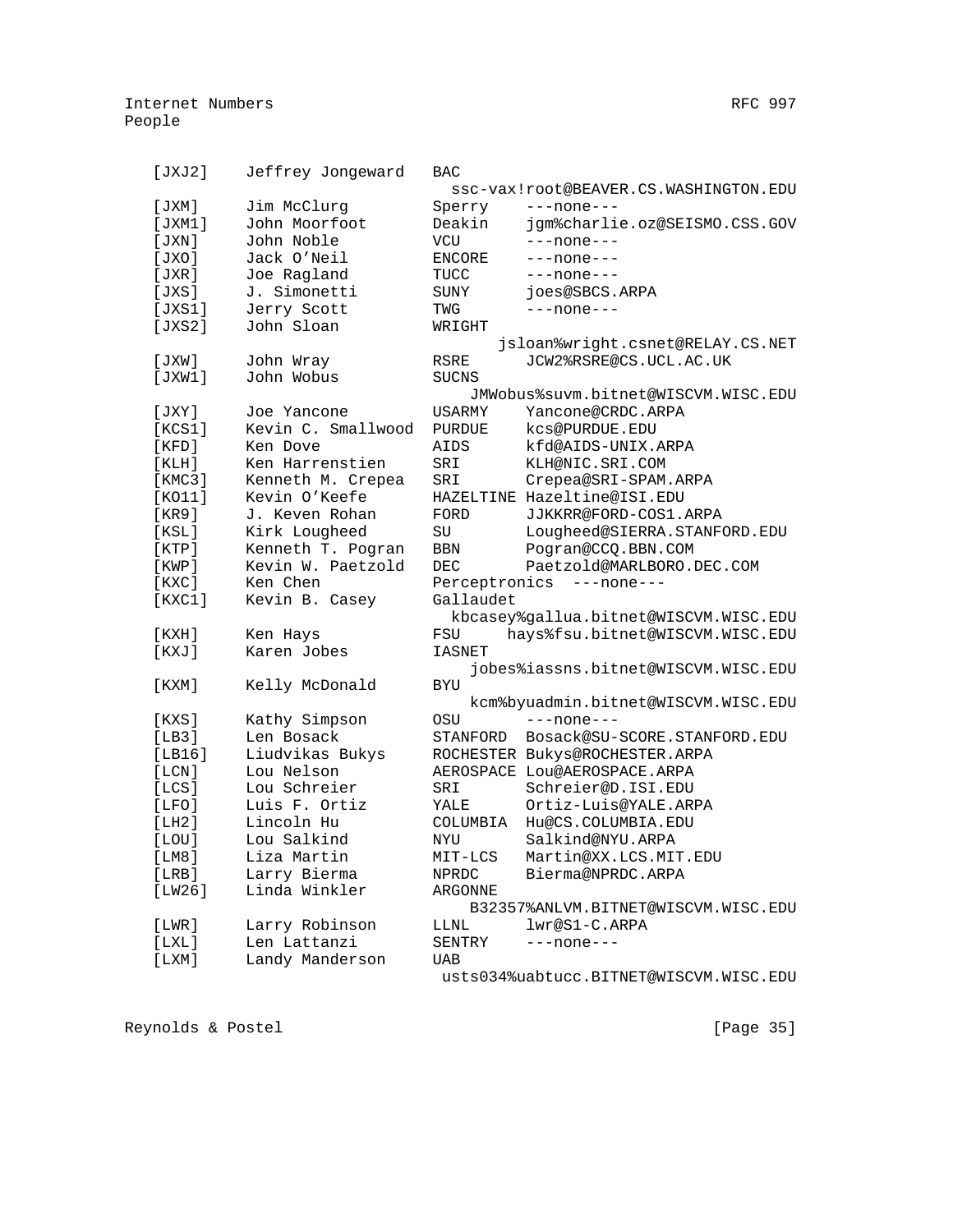| [JXJ2]      | Jeffrey Jongeward  | <b>BAC</b>    |                                        |
|-------------|--------------------|---------------|----------------------------------------|
|             |                    |               | ssc-vax!root@BEAVER.CS.WASHINGTON.EDU  |
| [JXM]       | Jim McClurq        | Sperry        | $---none---$                           |
| [JXM1]      | John Moorfoot      | Deakin        | jgm%charlie.oz@SEISMO.CSS.GOV          |
| JXN         | John Noble         | <b>VCU</b>    | ---none---                             |
| [JXO]       | Jack O'Neil        | <b>ENCORE</b> | ---none---                             |
| [JXR]       | Joe Ragland        | TUCC          | ---none---                             |
| [JXS]       | J. Simonetti       | SUNY          | joes@SBCS.ARPA                         |
| [JXS1]      | Jerry Scott        | TWG           | $---none---$                           |
| [JXS2]      | John Sloan         | WRIGHT        |                                        |
|             |                    |               | jsloan%wright.csnet@RELAY.CS.NET       |
| [JXW]       | John Wray          | <b>RSRE</b>   | JCW2%RSRE@CS.UCL.AC.UK                 |
| [JXW1]      | John Wobus         | <b>SUCNS</b>  |                                        |
|             |                    |               | JMWobus%suvm.bitnet@WISCVM.WISC.EDU    |
| [JXY]       | Joe Yancone        | USARMY        | Yancone@CRDC.ARPA                      |
| [KCS1]      | Kevin C. Smallwood | PURDUE        | kcs@PURDUE.EDU                         |
| [KFD]       | Ken Dove           | AIDS          | kfd@AIDS-UNIX.ARPA                     |
| [KLH]       | Ken Harrenstien    | SRI           | KLH@NIC.SRI.COM                        |
| [KMC3]      | Kenneth M. Crepea  | SRI           | Crepea@SRI-SPAM.ARPA                   |
| [KO11]      | Kevin O'Keefe      |               | HAZELTINE Hazeltine@ISI.EDU            |
| [KR9]       | J. Keven Rohan     | FORD          | JJKKRR@FORD-COS1.ARPA                  |
| [KSL]       | Kirk Lougheed      | SU            | Lougheed@SIERRA.STANFORD.EDU           |
| [KTP]       | Kenneth T. Pogran  | BBN           | Pogran@CCQ.BBN.COM                     |
| $[$ KWP $]$ | Kevin W. Paetzold  | <b>DEC</b>    | Paetzold@MARLBORO.DEC.COM              |
| $[$ KXC $]$ | Ken Chen           |               | Perceptronics ---none---               |
| [KXC1]      | Kevin B. Casey     | Gallaudet     |                                        |
|             |                    |               | kbcasey%gallua.bitnet@WISCVM.WISC.EDU  |
| [KXH]       | Ken Hays           | FSU           | hays%fsu.bitnet@WISCVM.WISC.EDU        |
| [KXJ]       | Karen Jobes        | <b>IASNET</b> |                                        |
|             |                    |               | jobes%iassns.bitnet@WISCVM.WISC.EDU    |
| [KXM]       | Kelly McDonald     | <b>BYU</b>    |                                        |
|             |                    |               | kcm%byuadmin.bitnet@WISCVM.WISC.EDU    |
| [KXS]       | Kathy Simpson      | OSU           | $---none---$                           |
| [LB3]       | Len Bosack         | STANFORD      | Bosack@SU-SCORE.STANFORD.EDU           |
| [LBI6]      | Liudvikas Bukys    |               | ROCHESTER Bukys@ROCHESTER.ARPA         |
| [LCN]       | Lou Nelson         |               | AEROSPACE LOU@AEROSPACE.ARPA           |
| [LCS]       | Lou Schreier       | SRI           | Schreier@D.ISI.EDU                     |
| [LFO]       | Luis F. Ortiz      | YALE          | Ortiz-Luis@YALE.ARPA                   |
| [LH2]       | Lincoln Hu         | COLUMBIA      | Hu@CS.COLUMBIA.EDU                     |
| [LOU]       | Lou Salkind        | NYU           | Salkind@NYU.ARPA                       |
| [LM8]       | Liza Martin        |               | MIT-LCS Martin@XX.LCS.MIT.EDU          |
| [LRB]       | Larry Bierma       | NPRDC         | Bierma@NPRDC.ARPA                      |
| [LW26]      | Linda Winkler      | ARGONNE       |                                        |
|             |                    |               | B32357%ANLVM.BITNET@WISCVM.WISC.EDU    |
| [LWR]       | Larry Robinson     | LLNL          | lwr@S1-C.ARPA                          |
| [LXL]       | Len Lattanzi       | SENTRY        | $---none---$                           |
| [ LXM ]     | Landy Manderson    | UAB           |                                        |
|             |                    |               | usts034%uabtucc.BITNET@WISCVM.WISC.EDU |

Reynolds & Postel (Page 35)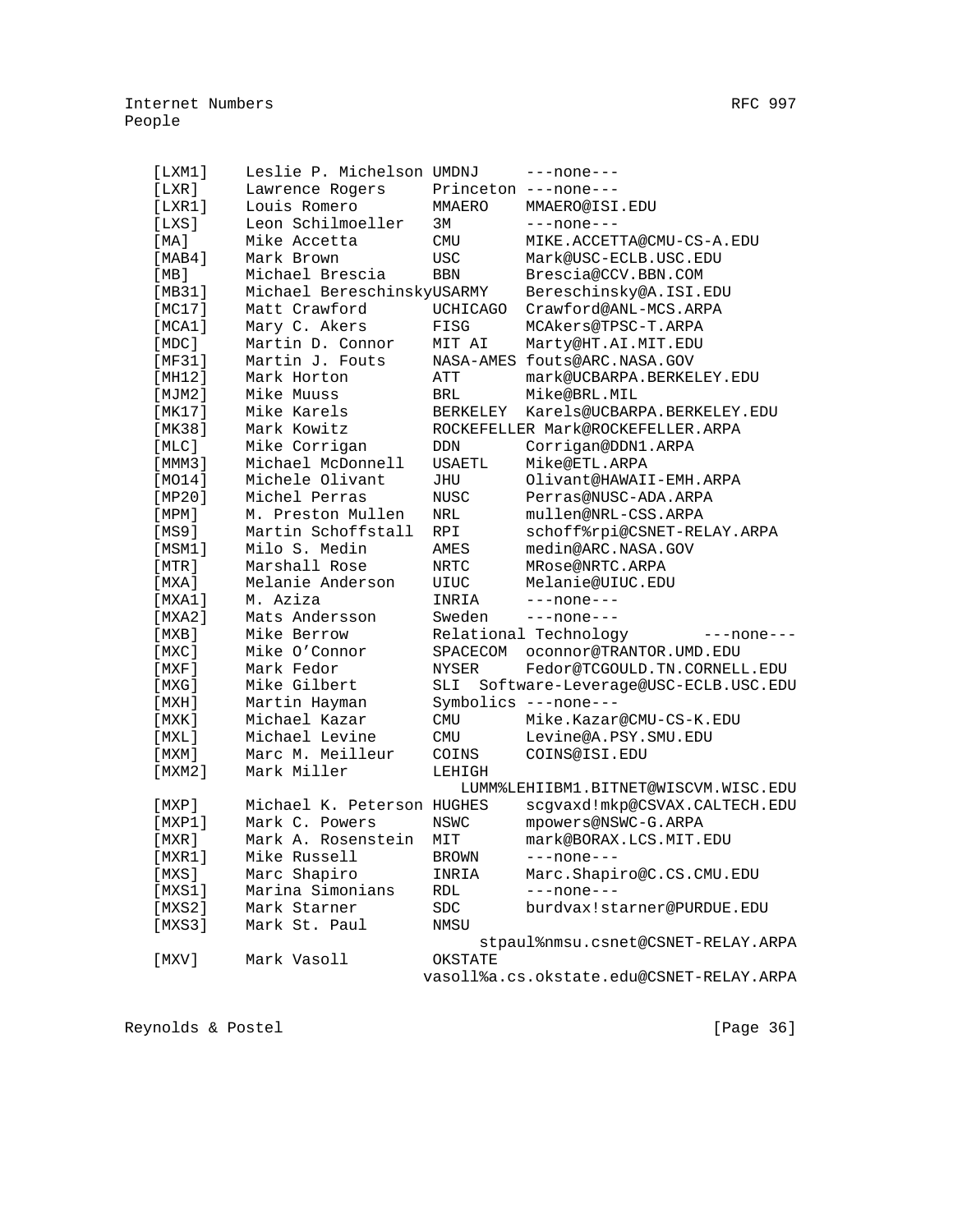| [LMM1]      |                                                                                                                                                                                                                                                                                                                                       |                                                                                                                                                                                                                                                                                                                                                                                                                                                                                                                                      | ---none---                                                                                                                                                                                                                                                                                                                                                                            |
|-------------|---------------------------------------------------------------------------------------------------------------------------------------------------------------------------------------------------------------------------------------------------------------------------------------------------------------------------------------|--------------------------------------------------------------------------------------------------------------------------------------------------------------------------------------------------------------------------------------------------------------------------------------------------------------------------------------------------------------------------------------------------------------------------------------------------------------------------------------------------------------------------------------|---------------------------------------------------------------------------------------------------------------------------------------------------------------------------------------------------------------------------------------------------------------------------------------------------------------------------------------------------------------------------------------|
| [LXR]       | Lawrence Rogers                                                                                                                                                                                                                                                                                                                       |                                                                                                                                                                                                                                                                                                                                                                                                                                                                                                                                      | Princeton ---none---                                                                                                                                                                                                                                                                                                                                                                  |
| [LXR1]      | Louis Romero                                                                                                                                                                                                                                                                                                                          | MMAERO                                                                                                                                                                                                                                                                                                                                                                                                                                                                                                                               | MMAERO@ISI.EDU                                                                                                                                                                                                                                                                                                                                                                        |
| [LXS]       | Leon Schilmoeller                                                                                                                                                                                                                                                                                                                     | 3M                                                                                                                                                                                                                                                                                                                                                                                                                                                                                                                                   | $---none---$                                                                                                                                                                                                                                                                                                                                                                          |
| [MA]        | Mike Accetta                                                                                                                                                                                                                                                                                                                          | CMU                                                                                                                                                                                                                                                                                                                                                                                                                                                                                                                                  | MIKE.ACCETTA@CMU-CS-A.EDU                                                                                                                                                                                                                                                                                                                                                             |
| [MAB4]      | Mark Brown                                                                                                                                                                                                                                                                                                                            | <b>USC</b>                                                                                                                                                                                                                                                                                                                                                                                                                                                                                                                           | Mark@USC-ECLB.USC.EDU                                                                                                                                                                                                                                                                                                                                                                 |
|             | Michael Brescia                                                                                                                                                                                                                                                                                                                       | <b>BBN</b>                                                                                                                                                                                                                                                                                                                                                                                                                                                                                                                           | Brescia@CCV.BBN.COM                                                                                                                                                                                                                                                                                                                                                                   |
|             |                                                                                                                                                                                                                                                                                                                                       |                                                                                                                                                                                                                                                                                                                                                                                                                                                                                                                                      | Bereschinsky@A.ISI.EDU                                                                                                                                                                                                                                                                                                                                                                |
|             |                                                                                                                                                                                                                                                                                                                                       |                                                                                                                                                                                                                                                                                                                                                                                                                                                                                                                                      | Crawford@ANL-MCS.ARPA                                                                                                                                                                                                                                                                                                                                                                 |
|             |                                                                                                                                                                                                                                                                                                                                       |                                                                                                                                                                                                                                                                                                                                                                                                                                                                                                                                      | MCAkers@TPSC-T.ARPA                                                                                                                                                                                                                                                                                                                                                                   |
|             |                                                                                                                                                                                                                                                                                                                                       |                                                                                                                                                                                                                                                                                                                                                                                                                                                                                                                                      | Marty@HT.AI.MIT.EDU                                                                                                                                                                                                                                                                                                                                                                   |
|             |                                                                                                                                                                                                                                                                                                                                       |                                                                                                                                                                                                                                                                                                                                                                                                                                                                                                                                      | NASA-AMES fouts@ARC.NASA.GOV                                                                                                                                                                                                                                                                                                                                                          |
|             |                                                                                                                                                                                                                                                                                                                                       |                                                                                                                                                                                                                                                                                                                                                                                                                                                                                                                                      | mark@UCBARPA.BERKELEY.EDU                                                                                                                                                                                                                                                                                                                                                             |
|             |                                                                                                                                                                                                                                                                                                                                       |                                                                                                                                                                                                                                                                                                                                                                                                                                                                                                                                      | Mike@BRL.MIL                                                                                                                                                                                                                                                                                                                                                                          |
|             |                                                                                                                                                                                                                                                                                                                                       |                                                                                                                                                                                                                                                                                                                                                                                                                                                                                                                                      | Karels@UCBARPA.BERKELEY.EDU                                                                                                                                                                                                                                                                                                                                                           |
|             |                                                                                                                                                                                                                                                                                                                                       |                                                                                                                                                                                                                                                                                                                                                                                                                                                                                                                                      | ROCKEFELLER Mark@ROCKEFELLER.ARPA                                                                                                                                                                                                                                                                                                                                                     |
|             |                                                                                                                                                                                                                                                                                                                                       |                                                                                                                                                                                                                                                                                                                                                                                                                                                                                                                                      | Corrigan@DDN1.ARPA                                                                                                                                                                                                                                                                                                                                                                    |
|             |                                                                                                                                                                                                                                                                                                                                       |                                                                                                                                                                                                                                                                                                                                                                                                                                                                                                                                      | Mike@ETL.ARPA                                                                                                                                                                                                                                                                                                                                                                         |
|             |                                                                                                                                                                                                                                                                                                                                       |                                                                                                                                                                                                                                                                                                                                                                                                                                                                                                                                      | Olivant@HAWAII-EMH.ARPA                                                                                                                                                                                                                                                                                                                                                               |
|             |                                                                                                                                                                                                                                                                                                                                       |                                                                                                                                                                                                                                                                                                                                                                                                                                                                                                                                      | Perras@NUSC-ADA.ARPA                                                                                                                                                                                                                                                                                                                                                                  |
|             |                                                                                                                                                                                                                                                                                                                                       |                                                                                                                                                                                                                                                                                                                                                                                                                                                                                                                                      | mullen@NRL-CSS.ARPA                                                                                                                                                                                                                                                                                                                                                                   |
|             |                                                                                                                                                                                                                                                                                                                                       |                                                                                                                                                                                                                                                                                                                                                                                                                                                                                                                                      |                                                                                                                                                                                                                                                                                                                                                                                       |
|             |                                                                                                                                                                                                                                                                                                                                       |                                                                                                                                                                                                                                                                                                                                                                                                                                                                                                                                      | schoff%rpi@CSNET-RELAY.ARPA<br>medin@ARC.NASA.GOV                                                                                                                                                                                                                                                                                                                                     |
|             |                                                                                                                                                                                                                                                                                                                                       |                                                                                                                                                                                                                                                                                                                                                                                                                                                                                                                                      |                                                                                                                                                                                                                                                                                                                                                                                       |
|             |                                                                                                                                                                                                                                                                                                                                       |                                                                                                                                                                                                                                                                                                                                                                                                                                                                                                                                      | MRose@NRTC.ARPA                                                                                                                                                                                                                                                                                                                                                                       |
|             |                                                                                                                                                                                                                                                                                                                                       |                                                                                                                                                                                                                                                                                                                                                                                                                                                                                                                                      | Melanie@UIUC.EDU                                                                                                                                                                                                                                                                                                                                                                      |
|             |                                                                                                                                                                                                                                                                                                                                       |                                                                                                                                                                                                                                                                                                                                                                                                                                                                                                                                      | $---none---$                                                                                                                                                                                                                                                                                                                                                                          |
|             |                                                                                                                                                                                                                                                                                                                                       |                                                                                                                                                                                                                                                                                                                                                                                                                                                                                                                                      | $---none---$                                                                                                                                                                                                                                                                                                                                                                          |
|             |                                                                                                                                                                                                                                                                                                                                       |                                                                                                                                                                                                                                                                                                                                                                                                                                                                                                                                      | $---none---$                                                                                                                                                                                                                                                                                                                                                                          |
|             |                                                                                                                                                                                                                                                                                                                                       |                                                                                                                                                                                                                                                                                                                                                                                                                                                                                                                                      | oconnor@TRANTOR.UMD.EDU                                                                                                                                                                                                                                                                                                                                                               |
|             |                                                                                                                                                                                                                                                                                                                                       |                                                                                                                                                                                                                                                                                                                                                                                                                                                                                                                                      | Fedor@TCGOULD.TN.CORNELL.EDU                                                                                                                                                                                                                                                                                                                                                          |
|             |                                                                                                                                                                                                                                                                                                                                       |                                                                                                                                                                                                                                                                                                                                                                                                                                                                                                                                      | Software-Leverage@USC-ECLB.USC.EDU                                                                                                                                                                                                                                                                                                                                                    |
|             |                                                                                                                                                                                                                                                                                                                                       |                                                                                                                                                                                                                                                                                                                                                                                                                                                                                                                                      |                                                                                                                                                                                                                                                                                                                                                                                       |
|             |                                                                                                                                                                                                                                                                                                                                       |                                                                                                                                                                                                                                                                                                                                                                                                                                                                                                                                      | Mike.Kazar@CMU-CS-K.EDU                                                                                                                                                                                                                                                                                                                                                               |
|             |                                                                                                                                                                                                                                                                                                                                       |                                                                                                                                                                                                                                                                                                                                                                                                                                                                                                                                      | Levine@A.PSY.SMU.EDU                                                                                                                                                                                                                                                                                                                                                                  |
|             |                                                                                                                                                                                                                                                                                                                                       |                                                                                                                                                                                                                                                                                                                                                                                                                                                                                                                                      | COINS@ISI.EDU                                                                                                                                                                                                                                                                                                                                                                         |
|             |                                                                                                                                                                                                                                                                                                                                       | LEHIGH                                                                                                                                                                                                                                                                                                                                                                                                                                                                                                                               |                                                                                                                                                                                                                                                                                                                                                                                       |
|             |                                                                                                                                                                                                                                                                                                                                       |                                                                                                                                                                                                                                                                                                                                                                                                                                                                                                                                      | LUMM%LEHIIBM1.BITNET@WISCVM.WISC.EDU                                                                                                                                                                                                                                                                                                                                                  |
|             |                                                                                                                                                                                                                                                                                                                                       |                                                                                                                                                                                                                                                                                                                                                                                                                                                                                                                                      | scgvaxd!mkp@CSVAX.CALTECH.EDU                                                                                                                                                                                                                                                                                                                                                         |
|             | Mark C. Powers                                                                                                                                                                                                                                                                                                                        |                                                                                                                                                                                                                                                                                                                                                                                                                                                                                                                                      | mpowers@NSWC-G.ARPA                                                                                                                                                                                                                                                                                                                                                                   |
|             |                                                                                                                                                                                                                                                                                                                                       |                                                                                                                                                                                                                                                                                                                                                                                                                                                                                                                                      | mark@BORAX.LCS.MIT.EDU                                                                                                                                                                                                                                                                                                                                                                |
| [MXR1]      | Mike Russell                                                                                                                                                                                                                                                                                                                          | <b>BROWN</b>                                                                                                                                                                                                                                                                                                                                                                                                                                                                                                                         | ---none---                                                                                                                                                                                                                                                                                                                                                                            |
| [MXS]       |                                                                                                                                                                                                                                                                                                                                       | INRIA                                                                                                                                                                                                                                                                                                                                                                                                                                                                                                                                | Marc.Shapiro@C.CS.CMU.EDU                                                                                                                                                                                                                                                                                                                                                             |
| [MXS1]      | Marina Simonians                                                                                                                                                                                                                                                                                                                      | RDL                                                                                                                                                                                                                                                                                                                                                                                                                                                                                                                                  | $---none---$                                                                                                                                                                                                                                                                                                                                                                          |
| [MXS2]      | Mark Starner                                                                                                                                                                                                                                                                                                                          | <b>SDC</b>                                                                                                                                                                                                                                                                                                                                                                                                                                                                                                                           | burdvax!starner@PURDUE.EDU                                                                                                                                                                                                                                                                                                                                                            |
| [MXS3]      | Mark St. Paul                                                                                                                                                                                                                                                                                                                         | NMSU                                                                                                                                                                                                                                                                                                                                                                                                                                                                                                                                 |                                                                                                                                                                                                                                                                                                                                                                                       |
|             |                                                                                                                                                                                                                                                                                                                                       |                                                                                                                                                                                                                                                                                                                                                                                                                                                                                                                                      | stpaul%nmsu.csnet@CSNET-RELAY.ARPA                                                                                                                                                                                                                                                                                                                                                    |
| $[$ MXV $]$ | Mark Vasoll                                                                                                                                                                                                                                                                                                                           | OKSTATE                                                                                                                                                                                                                                                                                                                                                                                                                                                                                                                              |                                                                                                                                                                                                                                                                                                                                                                                       |
|             |                                                                                                                                                                                                                                                                                                                                       |                                                                                                                                                                                                                                                                                                                                                                                                                                                                                                                                      | vasoll%a.cs.okstate.edu@CSNET-RELAY.ARPA                                                                                                                                                                                                                                                                                                                                              |
|             | [MB]<br>[MB31]<br>[MC17]<br>[MCA1]<br>[MDC]<br>[MF31]<br>[MHz]<br>[MJM2]<br>[MK17]<br>[MK38]<br>[MLC]<br>[MMM3]<br>[MO14]<br>[MP20]<br>[MPM]<br>[MS9]<br>[MSM1]<br>[MTR]<br>[MXA]<br>[MXA1]<br>[MXA2]<br>[MXB]<br>$[$ MXC $]$<br>[MXF]<br>[MXG]<br>[ MXH ]<br>[ MXK ]<br>[MXL]<br>[ MXM ]<br>[MXM2]<br>[MXP]<br>$[$ MXP $1]$<br>[MXR] | Matt Crawford<br>Mary C. Akers<br>Martin D. Connor<br>Martin J. Fouts<br>Mark Horton<br>Mike Muuss<br>Mike Karels<br>Mark Kowitz<br>Mike Corrigan<br>Michael McDonnell<br>Michele Olivant<br>Michel Perras<br>M. Preston Mullen<br>Martin Schoffstall<br>Milo S. Medin<br>Marshall Rose<br>Melanie Anderson<br>M. Aziza<br>Mats Andersson<br>Mike Berrow<br>Mike O'Connor<br>Mark Fedor<br>Mike Gilbert<br>Martin Hayman<br>Michael Kazar<br>Michael Levine<br>Marc M. Meilleur<br>Mark Miller<br>Mark A. Rosenstein<br>Marc Shapiro | Leslie P. Michelson UMDNJ<br>Michael BereschinskyUSARMY<br>UCHICAGO<br>FISG<br>MIT AI<br>ATT<br>BRL<br>BERKELEY<br>DDN<br>USAETL<br>JHU<br>NUSC<br>NRL<br><b>RPI</b><br>AMES<br>NRTC<br>UIUC<br>INRIA<br>Sweden<br>Relational Technology<br>SPACECOM<br>NYSER<br>SLI<br>Symbolics ---none---<br><b>CMU</b><br><b>CMU</b><br>COINS<br>Michael K. Peterson HUGHES<br><b>NSWC</b><br>MIT |

Reynolds & Postel [Page 36]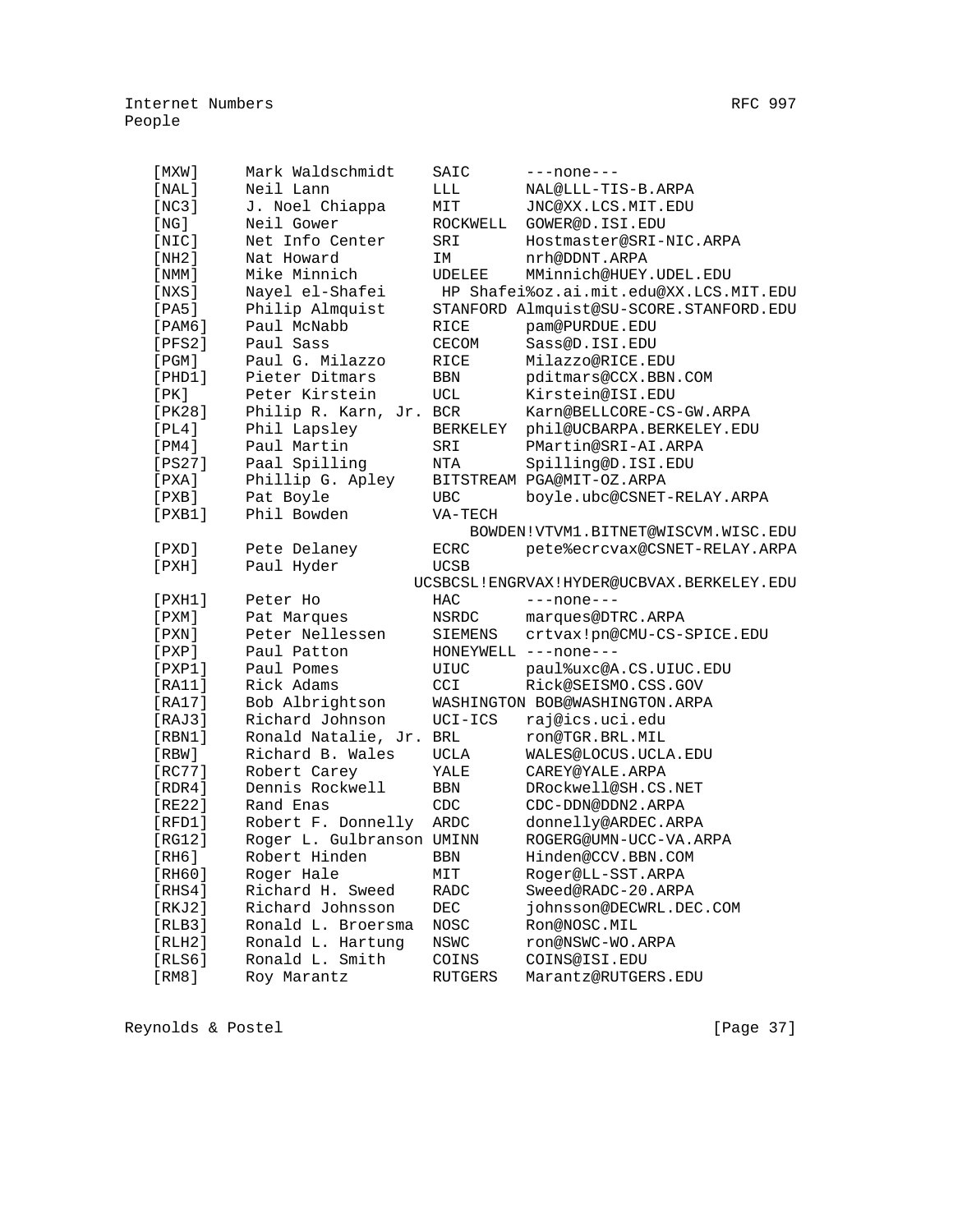| $[$ MXW $]$   | Mark Waldschmidt          | SAIC           | $---none---$                              |
|---------------|---------------------------|----------------|-------------------------------------------|
| [NAL]         | Neil Lann                 | LLL            | NAL@LLL-TIS-B.ARPA                        |
| [NC3]         | J. Noel Chiappa           | MIT            | JNC@XX.LCS.MIT.EDU                        |
| [NG]          | Neil Gower                | ROCKWELL       | GOWER@D. ISI.EDU                          |
| [NIC]         | Net Info Center           | SRI            | Hostmaster@SRI-NIC.ARPA                   |
|               |                           |                |                                           |
| [NH2]         | Nat Howard                | IM             | nrh@DDNT.ARPA                             |
| [ NMM ]       | Mike Minnich              | UDELEE         | MMinnich@HUEY.UDEL.EDU                    |
| [NXS]         | Nayel el-Shafei           |                | HP Shafei%oz.ai.mit.edu@XX.LCS.MIT.EDU    |
| [PA5]         | Philip Almquist           |                | STANFORD Almquist@SU-SCORE.STANFORD.EDU   |
| $[$ PAM $6$ ] | Paul McNabb               | RICE           | pam@PURDUE.EDU                            |
| [PFS2]        | Paul Sass                 | <b>CECOM</b>   | Sass@D.ISI.EDU                            |
| [PGM]         | Paul G. Milazzo           | RICE           | Milazzo@RICE.EDU                          |
| [PHD1]        | Pieter Ditmars            | BBN            | pditmars@CCX.BBN.COM                      |
| [PK]          | Peter Kirstein            | UCL            | Kirstein@ISI.EDU                          |
| [PK28]        | Philip R. Karn, Jr. BCR   |                | Karn@BELLCORE-CS-GW.ARPA                  |
| [PL4]         | Phil Lapsley              | BERKELEY       | phil@UCBARPA.BERKELEY.EDU                 |
| [PM4]         | Paul Martin               | SRI            | PMartin@SRI-AI.ARPA                       |
| [PS27]        | Paal Spilling             | NTA            | Spilling@D.ISI.EDU                        |
| [PXA]         | Phillip G. Apley          |                | BITSTREAM PGA@MIT-OZ.ARPA                 |
| [PXB]         | Pat Boyle                 | <b>UBC</b>     | boyle.ubc@CSNET-RELAY.ARPA                |
| [PXB1]        | Phil Bowden               | VA-TECH        |                                           |
|               |                           |                | BOWDEN!VTVM1.BITNET@WISCVM.WISC.EDU       |
| $[$ PXD $]$   | Pete Delaney              | <b>ECRC</b>    | pete%ecrcvax@CSNET-RELAY.ARPA             |
| $[$ PXH $]$   | Paul Hyder                | UCSB           |                                           |
|               |                           |                | UCSBCSL!ENGRVAX!HYDER@UCBVAX.BERKELEY.EDU |
| $[$ PXH $1$ ] | Peter Ho                  | HAC            | $---none---$                              |
| $[$ PXM $]$   | Pat Marques               | NSRDC          | marques@DTRC.ARPA                         |
| [PXN]         | Peter Nellessen           | SIEMENS        | crtvax!pn@CMU-CS-SPICE.EDU                |
| $[$ PXP $]$   | Paul Patton               |                | HONEYWELL ---none---                      |
| $[$ PXP $1$ ] | Paul Pomes                | UIUC           | paul%uxc@A.CS.UIUC.EDU                    |
| [RA11]        | Rick Adams                | CCI.           | Rick@SEISMO.CSS.GOV                       |
| [RA17]        | Bob Albrightson           |                | WASHINGTON BOB@WASHINGTON.ARPA            |
| [RAJ3]        | Richard Johnson           | UCI-ICS        | raj@ics.uci.edu                           |
| [RBN1]        | Ronald Natalie, Jr.       | BRL            | ron@TGR.BRL.MIL                           |
| [RBW]         | Richard B. Wales          | <b>UCLA</b>    | WALES@LOCUS.UCLA.EDU                      |
| [RC77]        | Robert Carey              | YALE           | CAREY@YALE.ARPA                           |
| [RDR4]        | Dennis Rockwell           | BBN            | DRockwell@SH.CS.NET                       |
| [RE22]        | Rand Enas                 | CDC            | CDC-DDN@DDN2.ARPA                         |
| [RFD1]        | Robert F. Donnelly        | ARDC           | donnelly@ARDEC.ARPA                       |
| [RG12]        | Roger L. Gulbranson UMINN |                | ROGERG@UMN-UCC-VA.ARPA                    |
| [RH6]         | Robert Hinden BBN         |                | Hinden@CCV.BBN.COM                        |
| [RH60]        | Roger Hale                | MIT            | Roger@LL-SST.ARPA                         |
| [RHS4]        | Richard H. Sweed          | RADC           | Sweed@RADC-20.ARPA                        |
| [RKJ2]        | Richard Johnsson          | DEC            | johnsson@DECWRL.DEC.COM                   |
| [RLB3]        | Ronald L. Broersma        | NOSC           | Ron@NOSC.MIL                              |
| [RLH2]        | Ronald L. Hartung         | NSWC           | ron@NSWC-WO.ARPA                          |
| [RLS6]        | Ronald L. Smith           | COINS          | COINS@ISI.EDU                             |
| [RM8]         | Roy Marantz               | <b>RUTGERS</b> | Marantz@RUTGERS.EDU                       |
|               |                           |                |                                           |

Reynolds & Postel [Page 37]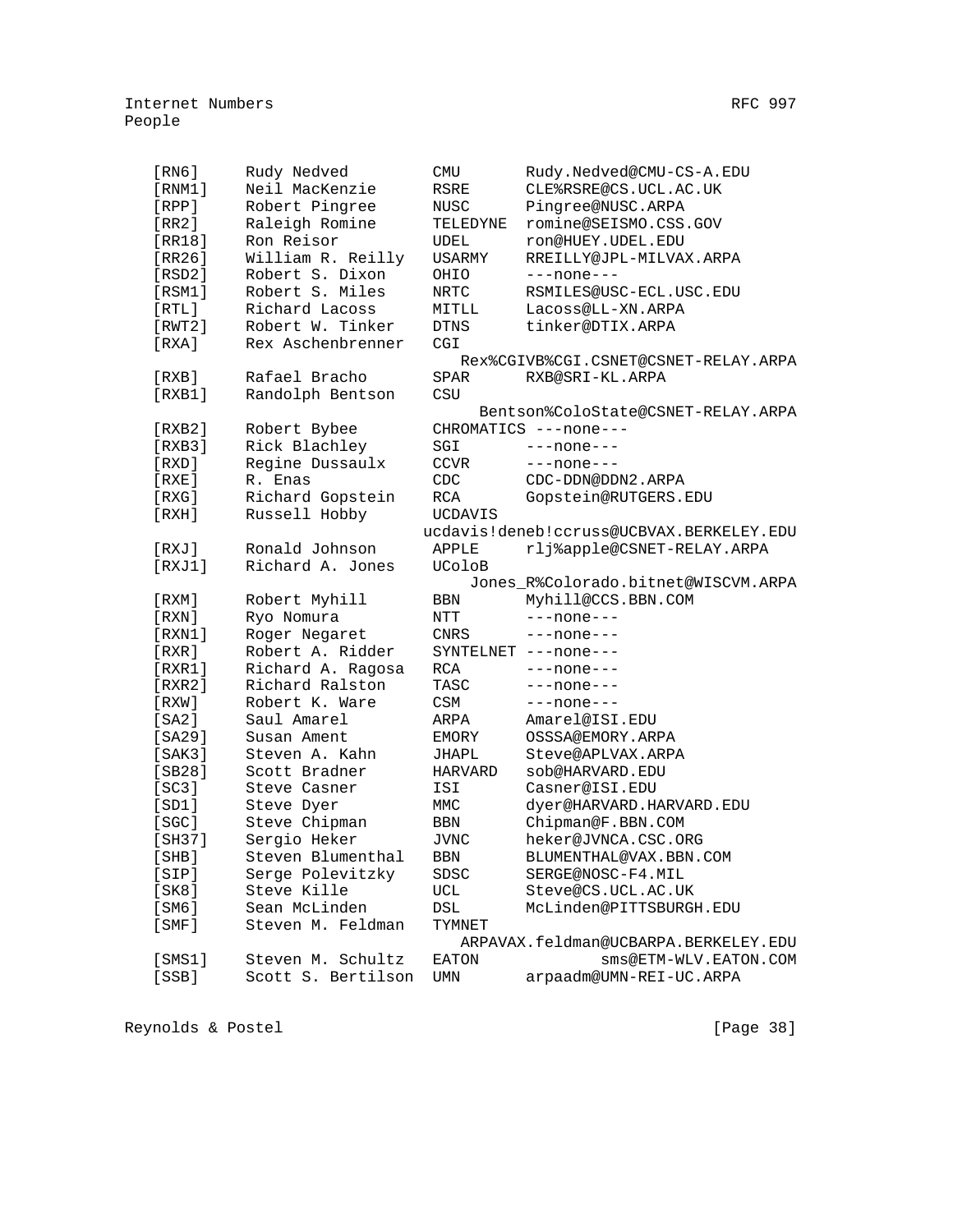| [RN6]       | Rudy Nedved        | CMU            | Rudy.Nedved@CMU-CS-A.EDU                 |
|-------------|--------------------|----------------|------------------------------------------|
| [RNM1]      | Neil MacKenzie     | RSRE           | CLE%RSRE@CS.UCL.AC.UK                    |
| [RPP]       | Robert Pingree     | NUSC           | Pingree@NUSC.ARPA                        |
| [RR2]       | Raleigh Romine     | TELEDYNE       | romine@SEISMO.CSS.GOV                    |
| [RR18]      | Ron Reisor         | UDEL           | ron@HUEY.UDEL.EDU                        |
| [RR26]      | William R. Reilly  | <b>USARMY</b>  | RREILLY@JPL-MILVAX.ARPA                  |
| [RSD2]      | Robert S. Dixon    | OHIO           | ---none---                               |
| [RSM1]      | Robert S. Miles    | NRTC           | RSMILES@USC-ECL.USC.EDU                  |
| [RTL]       | Richard Lacoss     | MITLL          | Lacoss@LL-XN.ARPA                        |
| [RWT2]      | Robert W. Tinker   | <b>DTNS</b>    | tinker@DTIX.ARPA                         |
| [RXA]       | Rex Aschenbrenner  | CGI            |                                          |
|             |                    |                | Rex%CGIVB%CGI.CSNET@CSNET-RELAY.ARPA     |
| [RXB]       | Rafael Bracho      | SPAR           | RXB@SRI-KL.ARPA                          |
| [RXB1]      | Randolph Bentson   | CSU            |                                          |
|             |                    |                | Bentson%ColoState@CSNET-RELAY.ARPA       |
| [RXB2]      | Robert Bybee       |                | CHROMATICS ---none---                    |
| [RXB3]      | Rick Blachley      | SGI            | $---none---$                             |
| [ RXD ]     | Regine Dussaulx    | <b>CCVR</b>    | $---none---$                             |
| [RXE]       | R. Enas            | CDC            | CDC-DDN@DDN2.ARPA                        |
| [RXG]       | Richard Gopstein   | RCA            | Gopstein@RUTGERS.EDU                     |
| [RXH]       | Russell Hobby      | <b>UCDAVIS</b> |                                          |
|             |                    |                | ucdavis!deneb!ccruss@UCBVAX.BERKELEY.EDU |
| [RXJ]       | Ronald Johnson     | APPLE          | rlj%apple@CSNET-RELAY.ARPA               |
| [RXJ1]      | Richard A. Jones   | UColoB         |                                          |
|             |                    |                | Jones_R%Colorado.bitnet@WISCVM.ARPA      |
| [RXM]       | Robert Myhill      | BBN            | Myhill@CCS.BBN.COM                       |
| [ RXN ]     | Ryo Nomura         | NTT            | $---none---$                             |
| [RXN1]      | Roger Negaret      | CNRS           | ---none---                               |
| [RXR]       | Robert A. Ridder   |                | SYNTELNET ---none---                     |
| [RXR1]      | Richard A. Ragosa  | RCA            | $---none---$                             |
| [RXR2]      | Richard Ralston    | TASC           | ---none---                               |
| [ RXW ]     | Robert K. Ware     | <b>CSM</b>     | $---none---$                             |
| [SA2]       | Saul Amarel        | ARPA           | Amarel@ISI.EDU                           |
| [SA29]      | Susan Ament        | EMORY          | OSSSA@EMORY.ARPA                         |
| [SAK3]      | Steven A. Kahn     | JHAPL          | Steve@APLVAX.ARPA                        |
| [SB28]      | Scott Bradner      | <b>HARVARD</b> | sob@HARVARD.EDU                          |
| [SC3]       | Steve Casner       | ISI            | Casner@ISI.EDU                           |
| [SD1]       | Steve Dyer         | MMC            | dyer@HARVARD.HARVARD.EDU                 |
| [SGC]       | Steve Chipman      | BBN            | Chipman@F.BBN.COM                        |
| [SH37]      | Sergio Heker       | JVNC           | heker@JVNCA.CSC.ORG                      |
| [SHB]       | Steven Blumenthal  | <b>BBN</b>     | BLUMENTHAL@VAX.BBN.COM                   |
| [SIP]       | Serge Polevitzky   | SDSC           | SERGE@NOSC-F4.MIL                        |
| [SK8]       | Steve Kille        | UCL            | Steve@CS.UCL.AC.UK                       |
| [SM6]       | Sean McLinden      | DSL            | McLinden@PITTSBURGH.EDU                  |
| $[$ SMF $]$ | Steven M. Feldman  | TYMNET         |                                          |
|             |                    |                | ARPAVAX.feldman@UCBARPA.BERKELEY.EDU     |
| [SMS1]      | Steven M. Schultz  | EATON          | sms@ETM-WLV.EATON.COM                    |
| [SSB]       | Scott S. Bertilson | UMN            | arpaadm@UMN-REI-UC.ARPA                  |
|             |                    |                |                                          |

Reynolds & Postel [Page 38]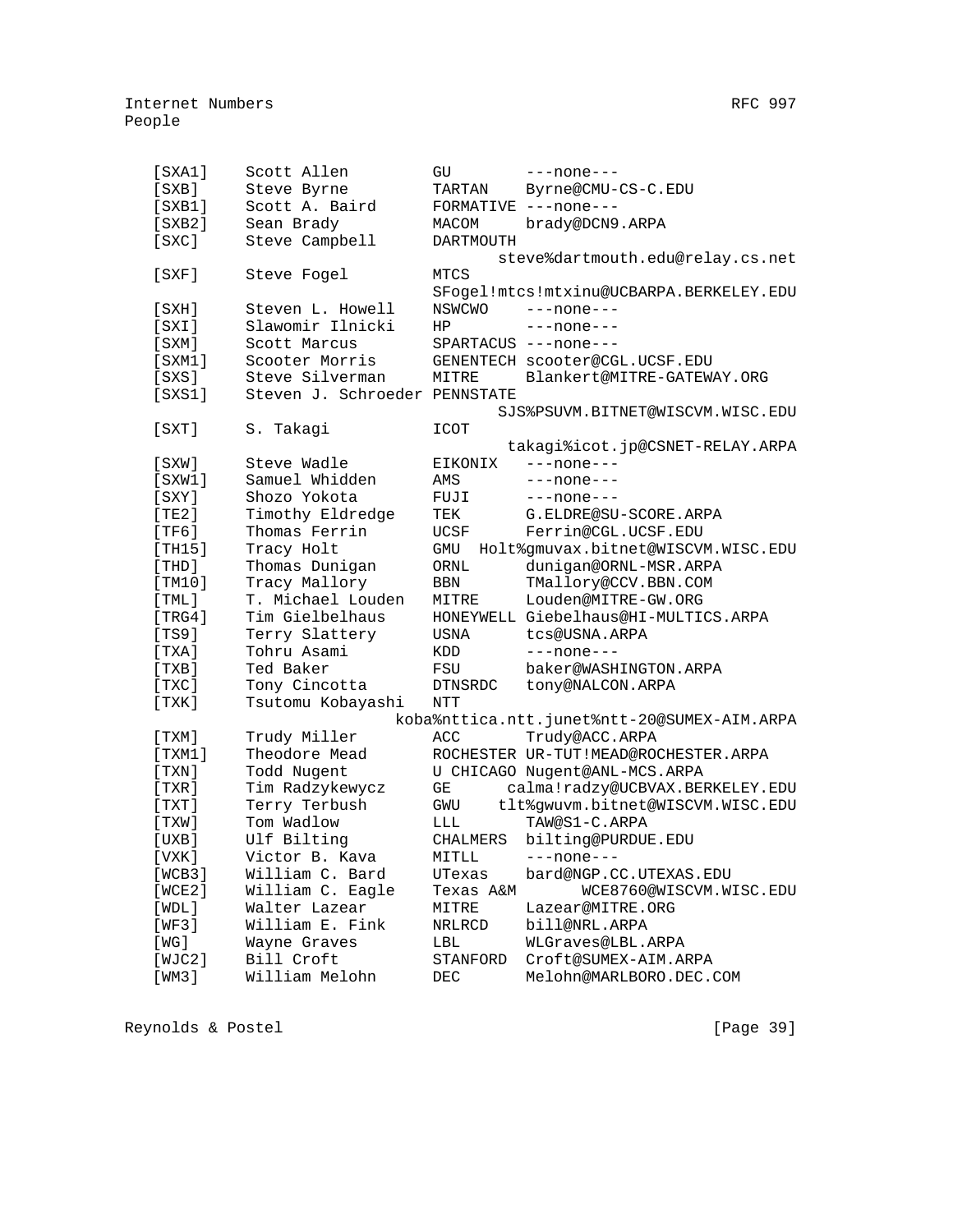| [ <b>SXA1</b> ] | Scott Allen                   | GU              | $---none---$                                |
|-----------------|-------------------------------|-----------------|---------------------------------------------|
| [SXB]           | Steve Byrne                   | TARTAN          | Byrne@CMU-CS-C.EDU                          |
| $[$ SXB $1]$    | Scott A. Baird                |                 | FORMATIVE ---none---                        |
| [ <b>SKB2</b> ] | Sean Brady                    | MACOM           | brady@DCN9.ARPA                             |
| [SKC]           | Steve Campbell                | DARTMOUTH       |                                             |
|                 |                               |                 | steve%dartmouth.edu@relay.cs.net            |
| $[$ SXF $]$     | Steve Fogel                   | MTCS            |                                             |
|                 |                               |                 | SFogel!mtcs!mtxinu@UCBARPA.BERKELEY.EDU     |
| [SXH]           | Steven L. Howell              | NSWCWO          | ---none---                                  |
| [SXI]           | Slawomir Ilnicki              | HP              | $---none---$                                |
| $[$ SXM $]$     | Scott Marcus                  |                 | SPARTACUS ---none---                        |
| [SXM1]          | Scooter Morris                |                 | GENENTECH scooter@CGL.UCSF.EDU              |
| $[$ SXS $]$     | Steve Silverman               | MITRE           | Blankert@MITRE-GATEWAY.ORG                  |
| $[$ SXS $1]$    | Steven J. Schroeder PENNSTATE |                 |                                             |
|                 |                               |                 | SJS%PSUVM.BITNET@WISCVM.WISC.EDU            |
| $[$ SXT $]$     | S. Takagi                     | ICOT            |                                             |
|                 |                               |                 | takagi%icot.jp@CSNET-RELAY.ARPA             |
| [SXW]           | Steve Wadle                   | EIKONIX         | $---none---$                                |
| [SXW1]          | Samuel Whidden                | AMS             | $---none---$                                |
| $[$ SXY $]$     | Shozo Yokota                  | FUJI            | $---none---$                                |
| [TE2]           | Timothy Eldredge              | TEK             | G.ELDRE@SU-SCORE.ARPA                       |
| [TF6]           | Thomas Ferrin                 | <b>UCSF</b>     | Ferrin@CGL.UCSF.EDU                         |
| [TH15]          | Tracy Holt                    | GMU             | Holt%gmuvax.bitnet@WISCVM.WISC.EDU          |
| [THD]           | Thomas Dunigan                | ORNL            | dunigan@ORNL-MSR.ARPA                       |
| [TM10]          | Tracy Mallory                 | <b>BBN</b>      | TMallory@CCV.BBN.COM                        |
| [THL]           | T. Michael Louden             | MITRE           | Louden@MITRE-GW.ORG                         |
| [TRG4]          | Tim Gielbelhaus               |                 | HONEYWELL Giebelhaus@HI-MULTICS.ARPA        |
| [TS9]           | Terry Slattery                | <b>USNA</b>     | tcs@USNA.ARPA                               |
| [TXA]           | Tohru Asami                   | <b>KDD</b>      | $---none---$                                |
| [TXB]           | Ted Baker                     | FSU             | baker@WASHINGTON.ARPA                       |
| [TXC]           | Tony Cincotta                 | <b>DTNSRDC</b>  | tony@NALCON.ARPA                            |
| [TXK]           | Tsutomu Kobayashi             | <b>NTT</b>      |                                             |
|                 |                               |                 | koba%nttica.ntt.junet%ntt-20@SUMEX-AIM.ARPA |
| [ TXM ]         | Trudy Miller                  | ACC             | Trudy@ACC.ARPA                              |
| [TXM1]          | Theodore Mead                 |                 | ROCHESTER UR-TUT!MEAD@ROCHESTER.ARPA        |
| [TXN]           | Todd Nugent                   |                 | U CHICAGO Nugent@ANL-MCS.ARPA               |
| [TXR]           | Tim Radzykewycz               | GE              | calma!radzy@UCBVAX.BERKELEY.EDU             |
| [ TXT ]         | Terry Terbush                 | GWU             | tlt%gwuvm.bitnet@WISCVM.WISC.EDU            |
| [TXW]           | Tom Wadlow                    | LLL             | TAW@S1-C.ARPA                               |
| [UXB]           | Ulf Bilting                   | <b>CHALMERS</b> | bilting@PURDUE.EDU                          |
| [VXK]           | Victor B. Kava                | MITLL           | $---none---$                                |
| [WCB3]          | William C. Bard               | UTexas          | bard@NGP.CC.UTEXAS.EDU                      |
| [WCE2]          | William C. Eagle              | Texas A&M       | WCE8760@WISCVM.WISC.EDU                     |
| [WDL]           | Walter Lazear                 | MITRE           | Lazear@MITRE.ORG                            |
| [WF3]           | William E. Fink               | <b>NRLRCD</b>   | bill@NRL.ARPA                               |
| [ WG ]          | Wayne Graves                  | LBL             | WLGraves@LBL.ARPA                           |
|                 |                               |                 |                                             |

 [WJC2] Bill Croft STANFORD Croft@SUMEX-AIM.ARPA [WM3] William Melohn DEC Melohn@MARLBORO.DEC.COM

Reynolds & Postel [Page 39]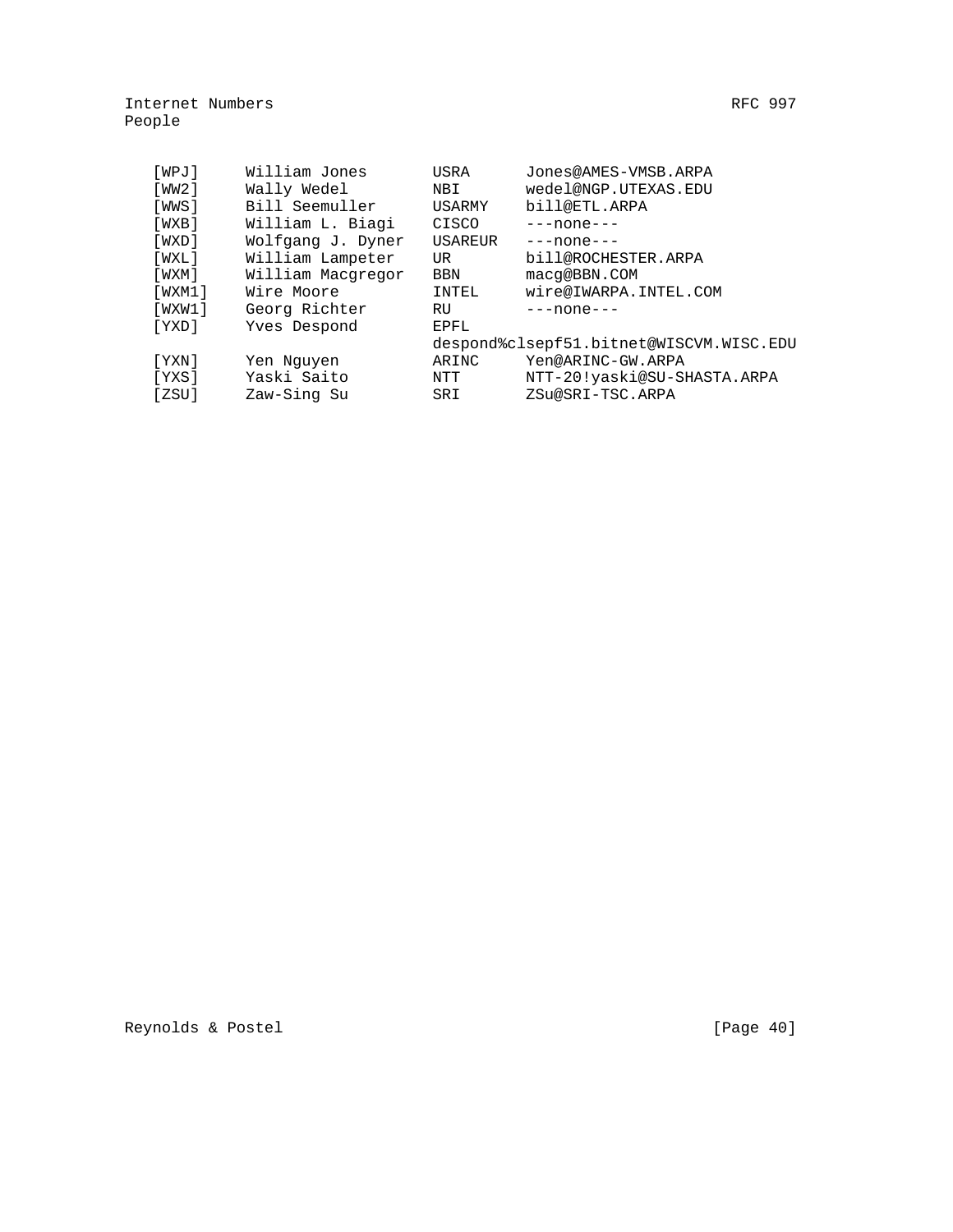| [WPJ]       | William Jones     | USRA       | Jones@AMES-VMSB.ARPA                    |
|-------------|-------------------|------------|-----------------------------------------|
| [ WW2 ]     | Wally Wedel       | NBI        | wedel@NGP.UTEXAS.EDU                    |
| [WWS]       | Bill Seemuller    | USARMY     | bill@ETL.ARPA                           |
| [WXB]       | William L. Biagi  | CISCO      | $---none---$                            |
| [WXD]       | Wolfgang J. Dyner | USAREUR    | $---none---$                            |
| [WXL]       | William Lampeter  | UR         | bill@ROCHESTER.ARPA                     |
| $[$ WXM $]$ | William Macqregor | <b>BBN</b> | macq@BBN.COM                            |
| [WXM1]      | Wire Moore        | INTEL      | wire@IWARPA.INTEL.COM                   |
| [WXW1]      | Georg Richter     | RU         | $---none---$                            |
| [YXD]       | Yves Despond      | EPFL       |                                         |
|             |                   |            | despond%clsepf51.bitnet@WISCVM.WISC.EDU |
| [ YXN ]     | Yen Nguyen        | ARINC      | Yen@ARINC-GW.ARPA                       |
| [YXS]       | Yaski Saito       | NTT        | NTT-20!yaski@SU-SHASTA.ARPA             |
| [ ZSU ]     | Zaw-Sing Su       | SRI        | ZSu@SRI-TSC.ARPA                        |
|             |                   |            |                                         |

Reynolds & Postel [Page 40]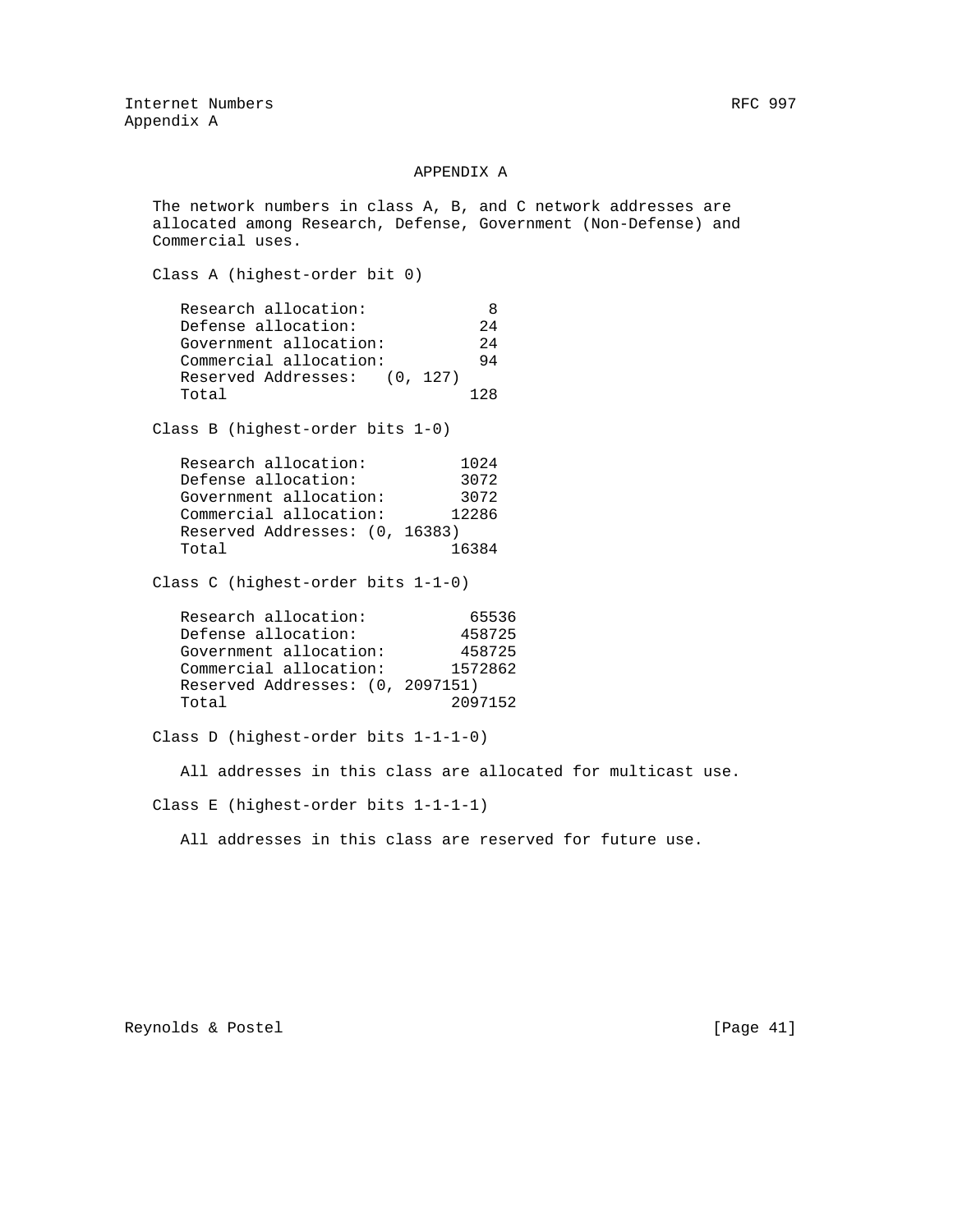## APPENDIX A

 The network numbers in class A, B, and C network addresses are allocated among Research, Defense, Government (Non-Defense) and Commercial uses.

Class A (highest-order bit 0)

| Research allocation:         | 8   |
|------------------------------|-----|
| Defense allocation:          | 2.4 |
| Government allocation:       | 2.4 |
| Commercial allocation:       | 94  |
| Reserved Addresses: (0, 127) |     |
| Total                        | 128 |

Class B (highest-order bits 1-0)

| Research allocation:           | 1024  |
|--------------------------------|-------|
| Defense allocation:            | 3072  |
| Government allocation:         | 3072  |
| Commercial allocation:         | 12286 |
| Reserved Addresses: (0, 16383) |       |
| Total                          | 16384 |

Class C (highest-order bits 1-1-0)

Class D (highest-order bits 1-1-1-0)

All addresses in this class are allocated for multicast use.

Class E (highest-order bits 1-1-1-1)

All addresses in this class are reserved for future use.

Reynolds & Postel [Page 41]